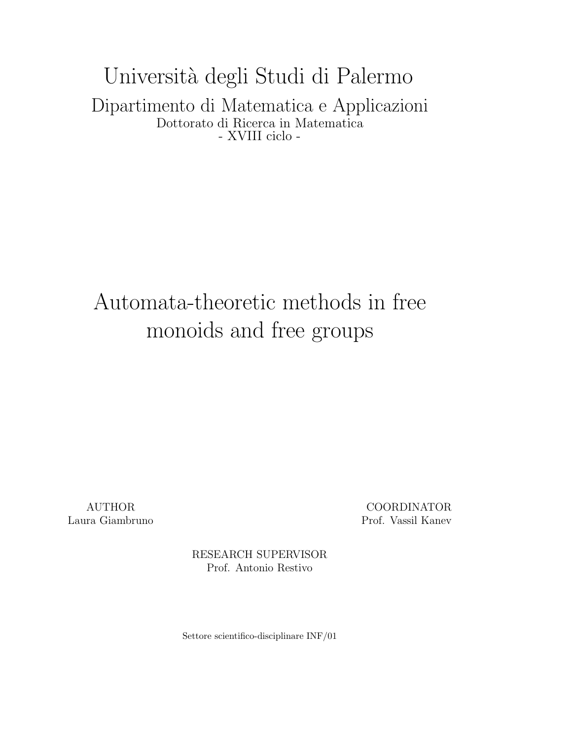Universit`a degli Studi di Palermo Dipartimento di Matematica e Applicazioni Dottorato di Ricerca in Matematica - XVIII ciclo -

# Automata-theoretic methods in free monoids and free groups

AUTHOR COORDINATOR Laura Giambruno Prof. Vassil Kanev

> RESEARCH SUPERVISOR Prof. Antonio Restivo

Settore scientifico-disciplinare INF/01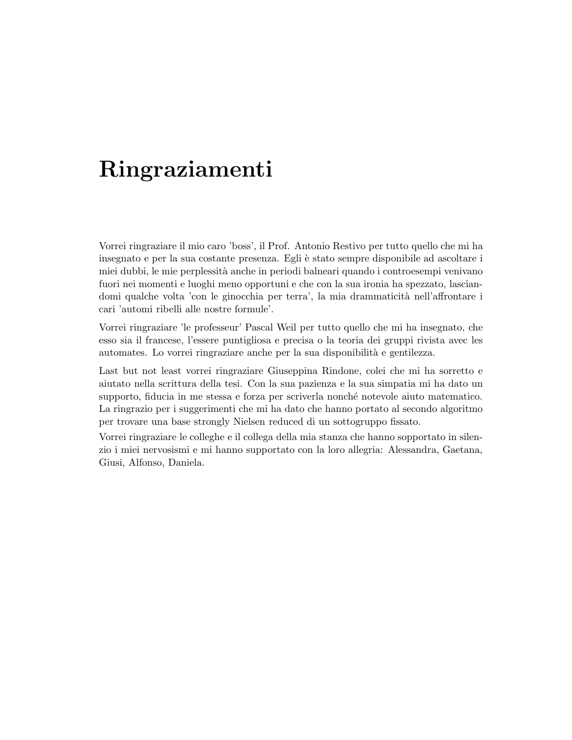# Ringraziamenti

Vorrei ringraziare il mio caro 'boss', il Prof. Antonio Restivo per tutto quello che mi ha insegnato e per la sua costante presenza. Egli è stato sempre disponibile ad ascoltare i miei dubbi, le mie perplessità anche in periodi balneari quando i controesempi venivano fuori nei momenti e luoghi meno opportuni e che con la sua ironia ha spezzato, lasciandomi qualche volta 'con le ginocchia per terra', la mia drammaticità nell'affrontare i cari 'automi ribelli alle nostre formule'.

Vorrei ringraziare 'le professeur' Pascal Weil per tutto quello che mi ha insegnato, che esso sia il francese, l'essere puntigliosa e precisa o la teoria dei gruppi rivista avec les automates. Lo vorrei ringraziare anche per la sua disponibilità e gentilezza.

Last but not least vorrei ringraziare Giuseppina Rindone, colei che mi ha sorretto e aiutato nella scrittura della tesi. Con la sua pazienza e la sua simpatia mi ha dato un supporto, fiducia in me stessa e forza per scriverla nonché notevole aiuto matematico. La ringrazio per i suggerimenti che mi ha dato che hanno portato al secondo algoritmo per trovare una base strongly Nielsen reduced di un sottogruppo fissato.

Vorrei ringraziare le colleghe e il collega della mia stanza che hanno sopportato in silenzio i miei nervosismi e mi hanno supportato con la loro allegria: Alessandra, Gaetana, Giusi, Alfonso, Daniela.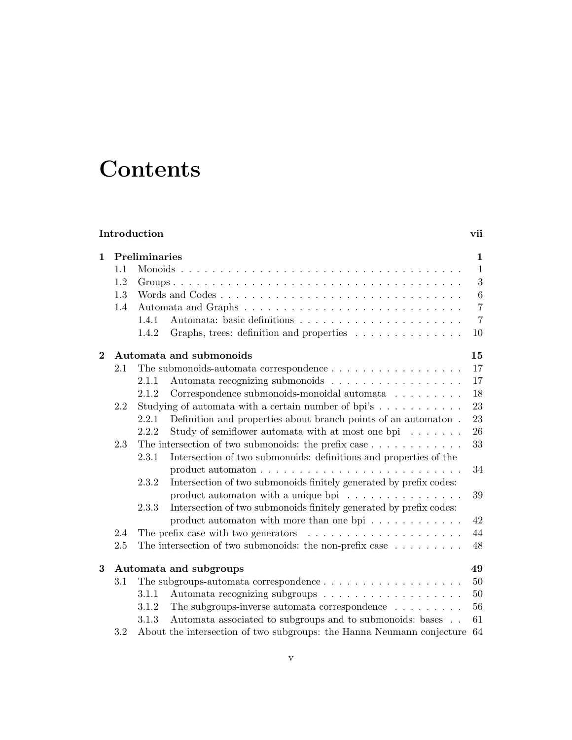# **Contents**

| Introduction   |                        |       |                                                                                   |                |  |  |
|----------------|------------------------|-------|-----------------------------------------------------------------------------------|----------------|--|--|
| $\mathbf 1$    | Preliminaries          |       |                                                                                   |                |  |  |
|                | 1.1                    |       |                                                                                   | $\mathbf{1}$   |  |  |
| 1.2<br>1.3     |                        |       |                                                                                   |                |  |  |
|                |                        |       |                                                                                   | 3<br>$\,6\,$   |  |  |
|                | 1.4                    |       |                                                                                   | $\overline{7}$ |  |  |
|                |                        | 1.4.1 |                                                                                   | $\overline{7}$ |  |  |
|                |                        | 1.4.2 | Graphs, trees: definition and properties                                          | 10             |  |  |
| $\overline{2}$ |                        |       | Automata and submonoids                                                           | 15             |  |  |
|                | 2.1                    |       | The submonoids-automata correspondence $\dots \dots \dots \dots \dots \dots$      | 17             |  |  |
|                |                        | 2.1.1 | Automata recognizing submonoids                                                   | 17             |  |  |
|                |                        | 2.1.2 | Correspondence submonoids-monoidal automata $\hfill\ldots\ldots\ldots\ldots$      | 18             |  |  |
|                | 2.2                    |       | Studying of automata with a certain number of bpi's $\dots \dots \dots$           | 23             |  |  |
|                |                        | 2.2.1 | Definition and properties about branch points of an automaton.                    | 23             |  |  |
|                |                        | 2.2.2 | Study of semiflower automata with at most one bpi $\dots \dots$                   | 26             |  |  |
|                | 2.3                    |       | The intersection of two submonoids: the prefix case $\dots \dots \dots \dots$     | 33             |  |  |
|                |                        | 2.3.1 | Intersection of two submonoids: definitions and properties of the                 |                |  |  |
|                |                        |       |                                                                                   | 34             |  |  |
|                |                        | 2.3.2 | Intersection of two submonoids finitely generated by prefix codes:                |                |  |  |
|                |                        |       | product automaton with a unique bpi $\ldots \ldots \ldots \ldots$                 | 39             |  |  |
|                |                        | 2.3.3 | Intersection of two submonoids finitely generated by prefix codes:                |                |  |  |
|                |                        |       | product automaton with more than one bpi $\dots \dots \dots$                      | 42             |  |  |
|                | 2.4                    |       | The prefix case with two generators $\dots \dots \dots \dots \dots \dots \dots$   | 44             |  |  |
| $2.5\,$        |                        |       | The intersection of two submonoids: the non-prefix case $\dots \dots \dots$       | 48             |  |  |
| $\bf{3}$       | Automata and subgroups |       |                                                                                   |                |  |  |
|                | 3.1                    |       | The subgroups-automata correspondence $\ldots \ldots \ldots \ldots \ldots \ldots$ | 50             |  |  |
|                |                        | 3.1.1 |                                                                                   | 50             |  |  |
|                |                        | 3.1.2 | The subgroups-inverse automata correspondence $\ldots \ldots \ldots$              | 56             |  |  |
|                |                        | 3.1.3 | Automata associated to subgroups and to submonoids: bases                         | 61             |  |  |
|                | 3.2                    |       | About the intersection of two subgroups: the Hanna Neumann conjecture             | 64             |  |  |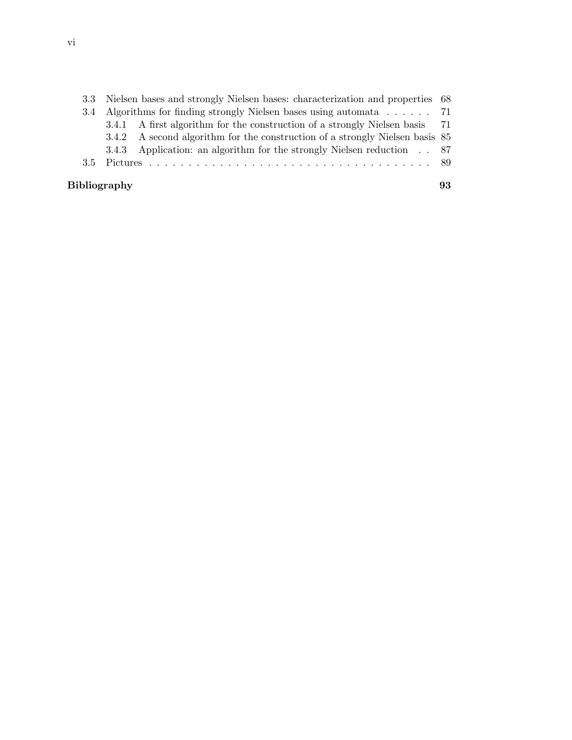|                     | 3.3 Nielsen bases and strongly Nielsen bases: characterization and properties 68 |                                                                              |  |  |  |
|---------------------|----------------------------------------------------------------------------------|------------------------------------------------------------------------------|--|--|--|
|                     | 3.4 Algorithms for finding strongly Nielsen bases using automata 71              |                                                                              |  |  |  |
|                     |                                                                                  | 3.4.1 A first algorithm for the construction of a strongly Nielsen basis 71  |  |  |  |
|                     |                                                                                  | 3.4.2 A second algorithm for the construction of a strongly Nielsen basis 85 |  |  |  |
|                     |                                                                                  | 3.4.3 Application: an algorithm for the strongly Nielsen reduction . 87      |  |  |  |
|                     |                                                                                  |                                                                              |  |  |  |
| <b>Bibliography</b> |                                                                                  |                                                                              |  |  |  |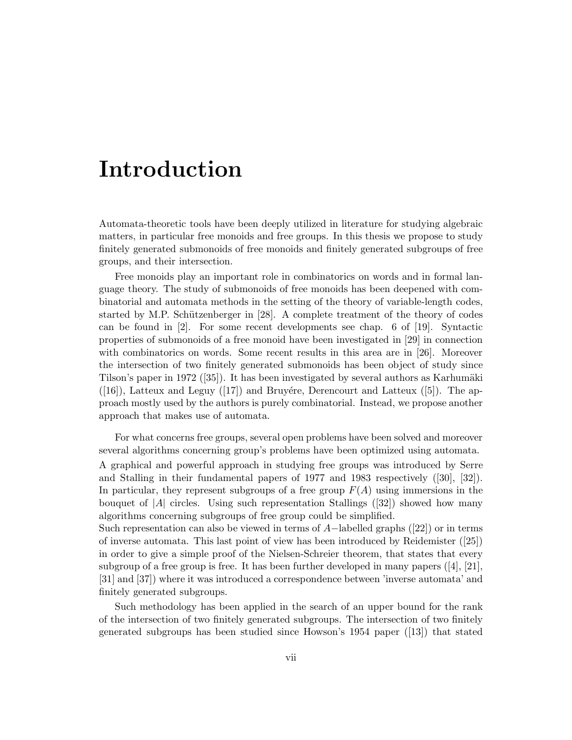# Introduction

finitely generated subgroups.

Automata-theoretic tools have been deeply utilized in literature for studying algebraic matters, in particular free monoids and free groups. In this thesis we propose to study finitely generated submonoids of free monoids and finitely generated subgroups of free groups, and their intersection.

Free monoids play an important role in combinatorics on words and in formal language theory. The study of submonoids of free monoids has been deepened with combinatorial and automata methods in the setting of the theory of variable-length codes, started by M.P. Schützenberger in  $[28]$ . A complete treatment of the theory of codes can be found in [2]. For some recent developments see chap. 6 of [19]. Syntactic properties of submonoids of a free monoid have been investigated in [29] in connection with combinatorics on words. Some recent results in this area are in [26]. Moreover the intersection of two finitely generated submonoids has been object of study since Tilson's paper in 1972  $([35])$ . It has been investigated by several authors as Karhumäki  $([16])$ , Latteux and Leguy  $([17])$  and Bruyére, Derencourt and Latteux  $([5])$ . The approach mostly used by the authors is purely combinatorial. Instead, we propose another approach that makes use of automata.

For what concerns free groups, several open problems have been solved and moreover several algorithms concerning group's problems have been optimized using automata. A graphical and powerful approach in studying free groups was introduced by Serre and Stalling in their fundamental papers of 1977 and 1983 respectively ([30], [32]). In particular, they represent subgroups of a free group  $F(A)$  using immersions in the bouquet of  $|A|$  circles. Using such representation Stallings ([32]) showed how many algorithms concerning subgroups of free group could be simplified. Such representation can also be viewed in terms of  $A-$ labelled graphs ([22]) or in terms of inverse automata. This last point of view has been introduced by Reidemister ([25]) in order to give a simple proof of the Nielsen-Schreier theorem, that states that every subgroup of a free group is free. It has been further developed in many papers  $([4], [21],$ [31] and [37]) where it was introduced a correspondence between 'inverse automata' and

Such methodology has been applied in the search of an upper bound for the rank of the intersection of two finitely generated subgroups. The intersection of two finitely generated subgroups has been studied since Howson's 1954 paper ([13]) that stated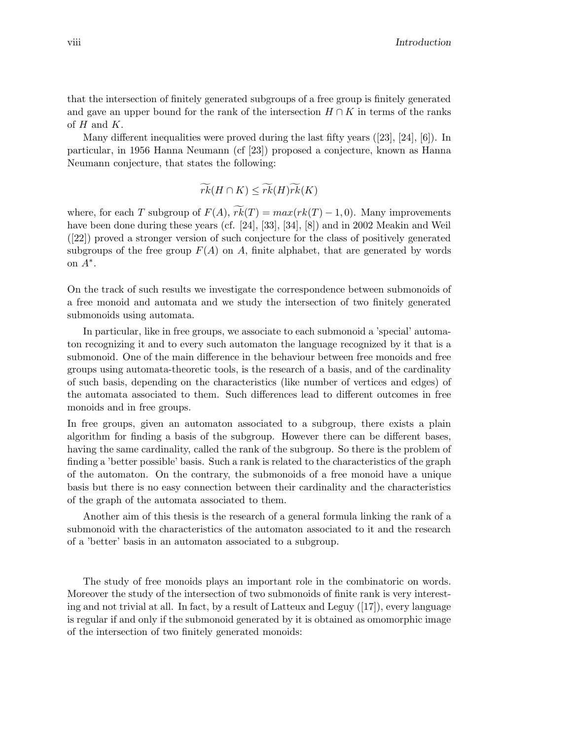that the intersection of finitely generated subgroups of a free group is finitely generated and gave an upper bound for the rank of the intersection  $H \cap K$  in terms of the ranks of  $H$  and  $K$ .

Many different inequalities were proved during the last fifty years ([23], [24], [6]). In particular, in 1956 Hanna Neumann (cf [23]) proposed a conjecture, known as Hanna Neumann conjecture, that states the following:

$$
\widetilde{rk}(H \cap K) \leq \widetilde{rk}(H)\widetilde{rk}(K)
$$

where, for each T subgroup of  $F(A)$ ,  $\widetilde{rk}(T) = max(rk(T) - 1, 0)$ . Many improvements have been done during these years (cf. [24], [33], [34], [8]) and in 2002 Meakin and Weil ([22]) proved a stronger version of such conjecture for the class of positively generated subgroups of the free group  $F(A)$  on A, finite alphabet, that are generated by words on  $A^*$ .

On the track of such results we investigate the correspondence between submonoids of a free monoid and automata and we study the intersection of two finitely generated submonoids using automata.

In particular, like in free groups, we associate to each submonoid a 'special' automaton recognizing it and to every such automaton the language recognized by it that is a submonoid. One of the main difference in the behaviour between free monoids and free groups using automata-theoretic tools, is the research of a basis, and of the cardinality of such basis, depending on the characteristics (like number of vertices and edges) of the automata associated to them. Such differences lead to different outcomes in free monoids and in free groups.

In free groups, given an automaton associated to a subgroup, there exists a plain algorithm for finding a basis of the subgroup. However there can be different bases, having the same cardinality, called the rank of the subgroup. So there is the problem of finding a 'better possible' basis. Such a rank is related to the characteristics of the graph of the automaton. On the contrary, the submonoids of a free monoid have a unique basis but there is no easy connection between their cardinality and the characteristics of the graph of the automata associated to them.

Another aim of this thesis is the research of a general formula linking the rank of a submonoid with the characteristics of the automaton associated to it and the research of a 'better' basis in an automaton associated to a subgroup.

The study of free monoids plays an important role in the combinatoric on words. Moreover the study of the intersection of two submonoids of finite rank is very interesting and not trivial at all. In fact, by a result of Latteux and Leguy  $([17])$ , every language is regular if and only if the submonoid generated by it is obtained as omomorphic image of the intersection of two finitely generated monoids: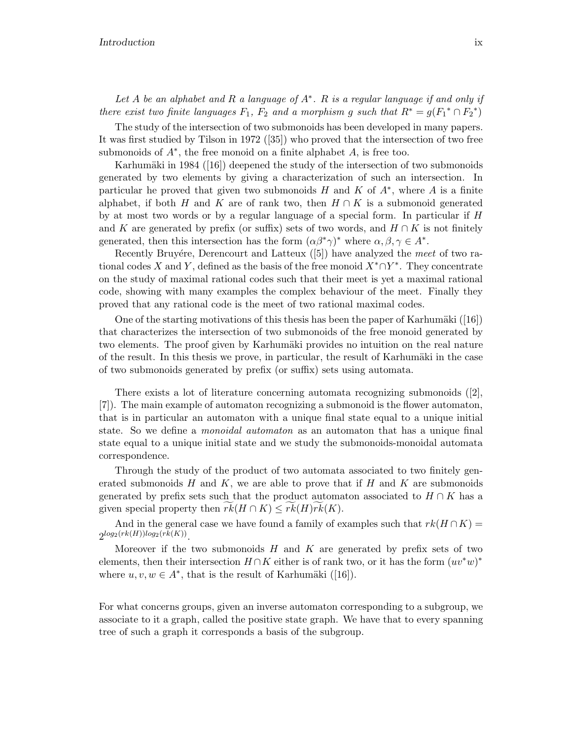Let  $A$  be an alphabet and  $R$  a language of  $A^*$ .  $R$  is a regular language if and only if there exist two finite languages  $F_1$ ,  $F_2$  and a morphism g such that  $R^* = g(F_1^* \cap F_2^*)$ 

The study of the intersection of two submonoids has been developed in many papers. It was first studied by Tilson in 1972 ([35]) who proved that the intersection of two free submonoids of  $A^*$ , the free monoid on a finite alphabet  $A$ , is free too.

Karhumäki in 1984 ( $[16]$ ) deepened the study of the intersection of two submonoids generated by two elements by giving a characterization of such an intersection. In particular he proved that given two submonoids  $H$  and  $K$  of  $A^*$ , where  $A$  is a finite alphabet, if both H and K are of rank two, then  $H \cap K$  is a submonoid generated by at most two words or by a regular language of a special form. In particular if H and K are generated by prefix (or suffix) sets of two words, and  $H \cap K$  is not finitely generated, then this intersection has the form  $(\alpha \beta^* \gamma)^*$  where  $\alpha, \beta, \gamma \in A^*$ .

Recently Bruyére, Derencourt and Latteux  $([5])$  have analyzed the meet of two rational codes X and Y, defined as the basis of the free monoid  $X^* \cap Y^*$ . They concentrate on the study of maximal rational codes such that their meet is yet a maximal rational code, showing with many examples the complex behaviour of the meet. Finally they proved that any rational code is the meet of two rational maximal codes.

One of the starting motivations of this thesis has been the paper of Karhumäki  $(16)$ that characterizes the intersection of two submonoids of the free monoid generated by two elements. The proof given by Karhumäki provides no intuition on the real nature of the result. In this thesis we prove, in particular, the result of Karhumäki in the case of two submonoids generated by prefix (or suffix) sets using automata.

There exists a lot of literature concerning automata recognizing submonoids ([2], [7]). The main example of automaton recognizing a submonoid is the flower automaton, that is in particular an automaton with a unique final state equal to a unique initial state. So we define a *monoidal automaton* as an automaton that has a unique final state equal to a unique initial state and we study the submonoids-monoidal automata correspondence.

Through the study of the product of two automata associated to two finitely generated submonoids  $H$  and  $K$ , we are able to prove that if  $H$  and  $K$  are submonoids generated by prefix sets such that the product automaton associated to  $H \cap K$  has a given special property then  $rk(H \cap K) \leq rk(H)rk(K)$ .

And in the general case we have found a family of examples such that  $rk(H \cap K)$  $2^{\log_2(rk(H))\log_2(rk(K))}$ .

Moreover if the two submonoids  $H$  and  $K$  are generated by prefix sets of two elements, then their intersection  $H \cap K$  either is of rank two, or it has the form  $(uv^*w)^*$ where  $u, v, w \in A^*$ , that is the result of Karhumäki ([16]).

For what concerns groups, given an inverse automaton corresponding to a subgroup, we associate to it a graph, called the positive state graph. We have that to every spanning tree of such a graph it corresponds a basis of the subgroup.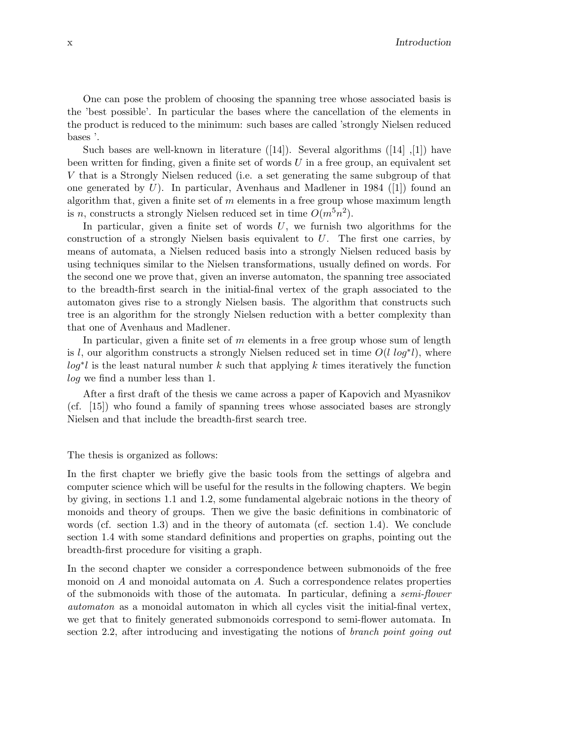One can pose the problem of choosing the spanning tree whose associated basis is the 'best possible'. In particular the bases where the cancellation of the elements in the product is reduced to the minimum: such bases are called 'strongly Nielsen reduced bases '.

Such bases are well-known in literature  $([14])$ . Several algorithms  $([14], [1])$  have been written for finding, given a finite set of words  $U$  in a free group, an equivalent set V that is a Strongly Nielsen reduced (i.e. a set generating the same subgroup of that one generated by  $U$ ). In particular, Avenhaus and Madlener in 1984 ([1]) found an algorithm that, given a finite set of  $m$  elements in a free group whose maximum length is *n*, constructs a strongly Nielsen reduced set in time  $O(m^5n^2)$ .

In particular, given a finite set of words  $U$ , we furnish two algorithms for the construction of a strongly Nielsen basis equivalent to  $U$ . The first one carries, by means of automata, a Nielsen reduced basis into a strongly Nielsen reduced basis by using techniques similar to the Nielsen transformations, usually defined on words. For the second one we prove that, given an inverse automaton, the spanning tree associated to the breadth-first search in the initial-final vertex of the graph associated to the automaton gives rise to a strongly Nielsen basis. The algorithm that constructs such tree is an algorithm for the strongly Nielsen reduction with a better complexity than that one of Avenhaus and Madlener.

In particular, given a finite set of  $m$  elements in a free group whose sum of length is l, our algorithm constructs a strongly Nielsen reduced set in time  $O(l \log^* l)$ , where  $log^*l$  is the least natural number k such that applying k times iteratively the function log we find a number less than 1.

After a first draft of the thesis we came across a paper of Kapovich and Myasnikov (cf. [15]) who found a family of spanning trees whose associated bases are strongly Nielsen and that include the breadth-first search tree.

The thesis is organized as follows:

In the first chapter we briefly give the basic tools from the settings of algebra and computer science which will be useful for the results in the following chapters. We begin by giving, in sections 1.1 and 1.2, some fundamental algebraic notions in the theory of monoids and theory of groups. Then we give the basic definitions in combinatoric of words (cf. section 1.3) and in the theory of automata (cf. section 1.4). We conclude section 1.4 with some standard definitions and properties on graphs, pointing out the breadth-first procedure for visiting a graph.

In the second chapter we consider a correspondence between submonoids of the free monoid on A and monoidal automata on A. Such a correspondence relates properties of the submonoids with those of the automata. In particular, defining a semi-flower automaton as a monoidal automaton in which all cycles visit the initial-final vertex, we get that to finitely generated submonoids correspond to semi-flower automata. In section 2.2, after introducing and investigating the notions of *branch point going out*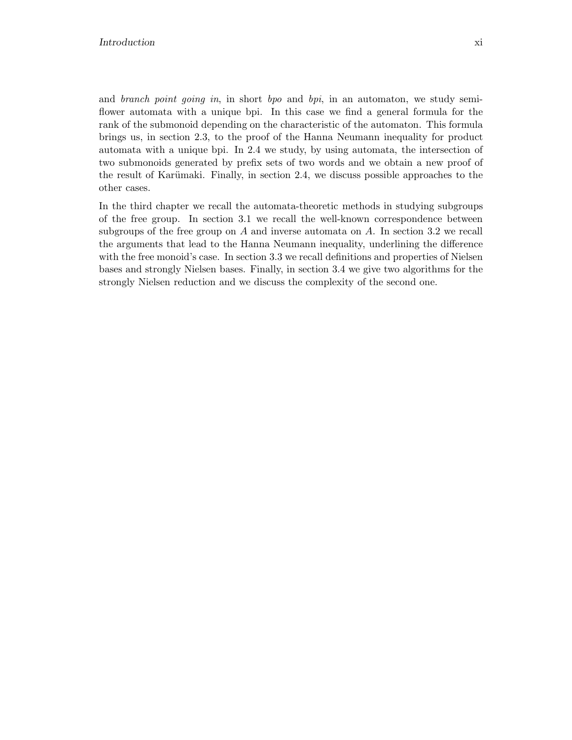and branch point going in, in short bpo and bpi, in an automaton, we study semiflower automata with a unique bpi. In this case we find a general formula for the rank of the submonoid depending on the characteristic of the automaton. This formula brings us, in section 2.3, to the proof of the Hanna Neumann inequality for product automata with a unique bpi. In 2.4 we study, by using automata, the intersection of two submonoids generated by prefix sets of two words and we obtain a new proof of the result of Karümaki. Finally, in section 2.4, we discuss possible approaches to the other cases.

In the third chapter we recall the automata-theoretic methods in studying subgroups of the free group. In section 3.1 we recall the well-known correspondence between subgroups of the free group on A and inverse automata on A. In section 3.2 we recall the arguments that lead to the Hanna Neumann inequality, underlining the difference with the free monoid's case. In section 3.3 we recall definitions and properties of Nielsen bases and strongly Nielsen bases. Finally, in section 3.4 we give two algorithms for the strongly Nielsen reduction and we discuss the complexity of the second one.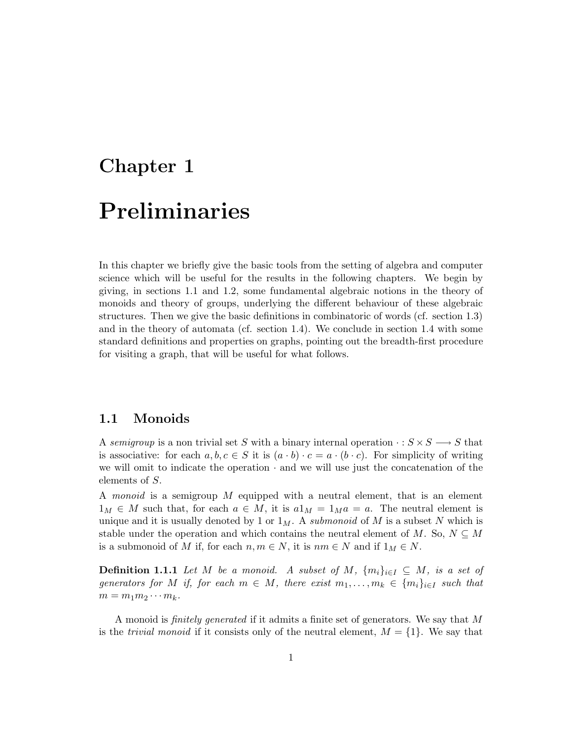# Chapter 1 Preliminaries

In this chapter we briefly give the basic tools from the setting of algebra and computer science which will be useful for the results in the following chapters. We begin by giving, in sections 1.1 and 1.2, some fundamental algebraic notions in the theory of monoids and theory of groups, underlying the different behaviour of these algebraic structures. Then we give the basic definitions in combinatoric of words (cf. section 1.3) and in the theory of automata (cf. section 1.4). We conclude in section 1.4 with some standard definitions and properties on graphs, pointing out the breadth-first procedure for visiting a graph, that will be useful for what follows.

## 1.1 Monoids

A semigroup is a non trivial set S with a binary internal operation  $\cdot : S \times S \longrightarrow S$  that is associative: for each  $a, b, c \in S$  it is  $(a \cdot b) \cdot c = a \cdot (b \cdot c)$ . For simplicity of writing we will omit to indicate the operation  $\cdot$  and we will use just the concatenation of the elements of S.

A monoid is a semigroup M equipped with a neutral element, that is an element  $1_M \in M$  such that, for each  $a \in M$ , it is  $a1_M = 1_M a = a$ . The neutral element is unique and it is usually denoted by 1 or  $1_M$ . A *submonoid* of M is a subset N which is stable under the operation and which contains the neutral element of M. So,  $N \subseteq M$ is a submonoid of M if, for each  $n, m \in N$ , it is  $nm \in N$  and if  $1_M \in N$ .

**Definition 1.1.1** Let M be a monoid. A subset of M,  $\{m_i\}_{i\in I} \subseteq M$ , is a set of generators for M if, for each  $m \in M$ , there exist  $m_1, \ldots, m_k \in \{m_i\}_{i \in I}$  such that  $m = m_1 m_2 \cdots m_k$ .

A monoid is finitely generated if it admits a finite set of generators. We say that M is the *trivial monoid* if it consists only of the neutral element,  $M = \{1\}$ . We say that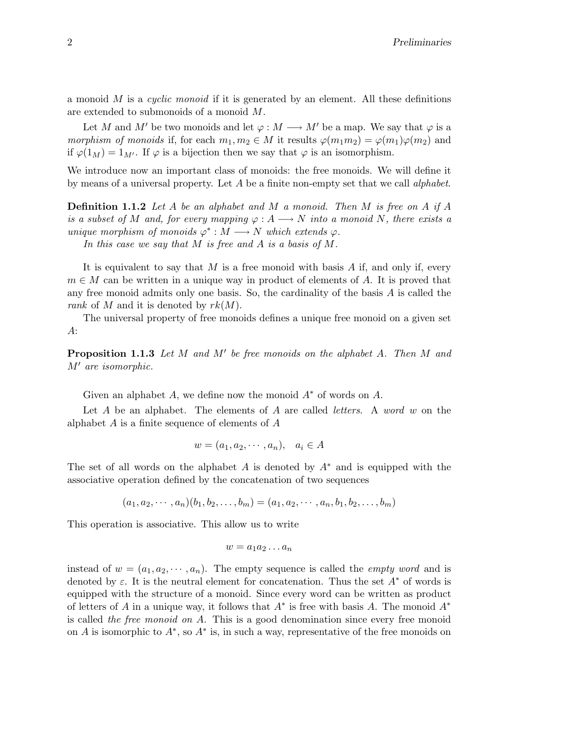a monoid  $M$  is a *cyclic monoid* if it is generated by an element. All these definitions are extended to submonoids of a monoid M.

Let M and M' be two monoids and let  $\varphi : M \longrightarrow M'$  be a map. We say that  $\varphi$  is a morphism of monoids if, for each  $m_1, m_2 \in M$  it results  $\varphi(m_1m_2) = \varphi(m_1)\varphi(m_2)$  and if  $\varphi(1_M) = 1_{M'}$ . If  $\varphi$  is a bijection then we say that  $\varphi$  is an isomorphism.

We introduce now an important class of monoids: the free monoids. We will define it by means of a universal property. Let A be a finite non-empty set that we call alphabet.

**Definition 1.1.2** Let A be an alphabet and M a monoid. Then M is free on A if A is a subset of M and, for every mapping  $\varphi: A \longrightarrow N$  into a monoid N, there exists a unique morphism of monoids  $\varphi^*: M \longrightarrow N$  which extends  $\varphi$ .

In this case we say that M is free and A is a basis of M.

It is equivalent to say that  $M$  is a free monoid with basis  $A$  if, and only if, every  $m \in M$  can be written in a unique way in product of elements of A. It is proved that any free monoid admits only one basis. So, the cardinality of the basis  $A$  is called the rank of M and it is denoted by  $rk(M)$ .

The universal property of free monoids defines a unique free monoid on a given set A:

**Proposition 1.1.3** Let  $M$  and  $M'$  be free monoids on the alphabet  $A$ . Then  $M$  and M′ are isomorphic.

Given an alphabet A, we define now the monoid  $A^*$  of words on A.

Let  $A$  be an alphabet. The elements of  $A$  are called *letters*. A *word*  $w$  on the alphabet  $A$  is a finite sequence of elements of  $A$ 

$$
w = (a_1, a_2, \cdots, a_n), \quad a_i \in A
$$

The set of all words on the alphabet A is denoted by  $A^*$  and is equipped with the associative operation defined by the concatenation of two sequences

$$
(a_1, a_2, \cdots, a_n)(b_1, b_2, \ldots, b_m) = (a_1, a_2, \cdots, a_n, b_1, b_2, \ldots, b_m)
$$

This operation is associative. This allow us to write

$$
w = a_1 a_2 \dots a_n
$$

instead of  $w = (a_1, a_2, \dots, a_n)$ . The empty sequence is called the *empty word* and is denoted by  $\varepsilon$ . It is the neutral element for concatenation. Thus the set  $A^*$  of words is equipped with the structure of a monoid. Since every word can be written as product of letters of A in a unique way, it follows that  $A^*$  is free with basis A. The monoid  $A^*$ is called the free monoid on  $A$ . This is a good denomination since every free monoid on A is isomorphic to  $A^*$ , so  $A^*$  is, in such a way, representative of the free monoids on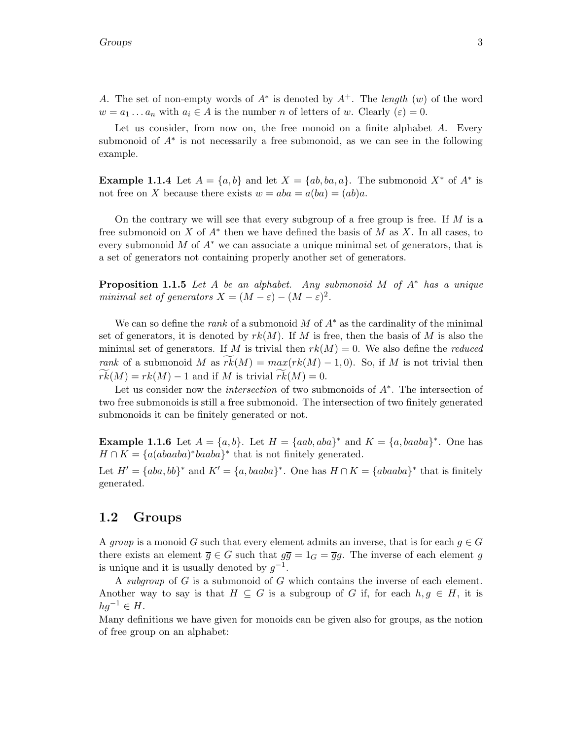A. The set of non-empty words of  $A^*$  is denoted by  $A^+$ . The length  $(w)$  of the word  $w = a_1 \dots a_n$  with  $a_i \in A$  is the number n of letters of w. Clearly  $(\varepsilon) = 0$ .

Let us consider, from now on, the free monoid on a finite alphabet  $A$ . Every submonoid of  $A^*$  is not necessarily a free submonoid, as we can see in the following example.

**Example 1.1.4** Let  $A = \{a, b\}$  and let  $X = \{ab, ba, a\}$ . The submonoid  $X^*$  of  $A^*$  is not free on X because there exists  $w = aba = a(ba) = (ab)a$ .

On the contrary we will see that every subgroup of a free group is free. If  $M$  is a free submonoid on X of  $A^*$  then we have defined the basis of M as X. In all cases, to every submonoid M of  $A^*$  we can associate a unique minimal set of generators, that is a set of generators not containing properly another set of generators.

**Proposition 1.1.5** Let A be an alphabet. Any submonoid M of  $A^*$  has a unique minimal set of generators  $X = (M - \varepsilon) - (M - \varepsilon)^2$ .

We can so define the *rank* of a submonoid M of  $A^*$  as the cardinality of the minimal set of generators, it is denoted by  $rk(M)$ . If M is free, then the basis of M is also the minimal set of generators. If M is trivial then  $rk(M) = 0$ . We also define the *reduced* rank of a submonoid M as  $rk(M) = max(rk(M) - 1, 0)$ . So, if M is not trivial then  $rk(M) = rk(M) - 1$  and if M is trivial  $rk(M) = 0$ .

Let us consider now the intersection of two submonoids of A<sup>∗</sup> . The intersection of two free submonoids is still a free submonoid. The intersection of two finitely generated submonoids it can be finitely generated or not.

**Example 1.1.6** Let  $A = \{a, b\}$ . Let  $H = \{aab, aba\}^*$  and  $K = \{a, baaba\}^*$ . One has  $H \cap K = \{a(abaaba)^*baaba\}^*$  that is not finitely generated.

Let  $H' = \{aba, bb\}^*$  and  $K' = \{a, baaba\}^*$ . One has  $H \cap K = \{abaaba\}^*$  that is finitely generated.

## 1.2 Groups

A group is a monoid G such that every element admits an inverse, that is for each  $g \in G$ there exists an element  $\overline{g} \in G$  such that  $g\overline{g} = 1_G = \overline{g}g$ . The inverse of each element g is unique and it is usually denoted by  $g^{-1}$ .

A subgroup of G is a submonoid of G which contains the inverse of each element. Another way to say is that  $H \subseteq G$  is a subgroup of G if, for each  $h,g \in H$ , it is  $hg^{-1} \in H$ .

Many definitions we have given for monoids can be given also for groups, as the notion of free group on an alphabet: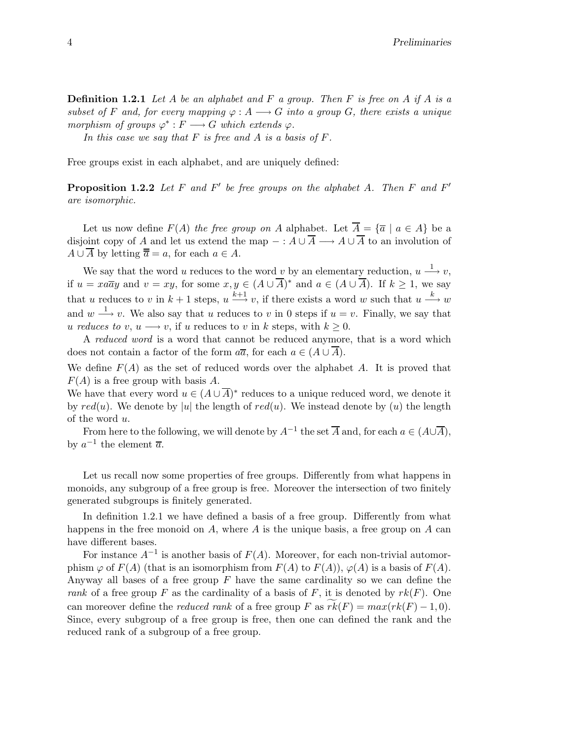**Definition 1.2.1** Let A be an alphabet and F a group. Then F is free on A if A is a subset of F and, for every mapping  $\varphi: A \longrightarrow G$  into a group G, there exists a unique morphism of groups  $\varphi^*: F \longrightarrow G$  which extends  $\varphi$ .

In this case we say that  $F$  is free and  $A$  is a basis of  $F$ .

Free groups exist in each alphabet, and are uniquely defined:

**Proposition 1.2.2** Let  $F$  and  $F'$  be free groups on the alphabet  $A$ . Then  $F$  and  $F'$ are isomorphic.

Let us now define  $F(A)$  the free group on A alphabet. Let  $\overline{A} = {\overline{a} \mid a \in A}$  be a disjoint copy of A and let us extend the map  $- : A \cup \overline{A} \longrightarrow A \cup \overline{A}$  to an involution of  $A \cup \overline{A}$  by letting  $\overline{a} = a$ , for each  $a \in A$ .

We say that the word u reduces to the word v by an elementary reduction,  $u \stackrel{1}{\longrightarrow} v$ , if  $u = xa\overline{a}y$  and  $v = xy$ , for some  $x, y \in (A \cup \overline{A})^*$  and  $a \in (A \cup \overline{A})$ . If  $k \geq 1$ , we say that u reduces to v in  $k+1$  steps,  $u \stackrel{k+1}{\longrightarrow} v$ , if there exists a word w such that  $u \stackrel{k}{\longrightarrow} w$ and  $w \stackrel{1}{\longrightarrow} v$ . We also say that u reduces to v in 0 steps if  $u = v$ . Finally, we say that u reduces to v,  $u \rightarrow v$ , if u reduces to v in k steps, with  $k \geq 0$ .

A reduced word is a word that cannot be reduced anymore, that is a word which does not contain a factor of the form  $a\overline{a}$ , for each  $a \in (A \cup A)$ .

We define  $F(A)$  as the set of reduced words over the alphabet A. It is proved that  $F(A)$  is a free group with basis A.

We have that every word  $u \in (A \cup \overline{A})^*$  reduces to a unique reduced word, we denote it by  $red(u)$ . We denote by |u| the length of  $red(u)$ . We instead denote by  $(u)$  the length of the word u.

From here to the following, we will denote by  $A^{-1}$  the set  $\overline{A}$  and, for each  $a \in (A\cup\overline{A})$ , by  $a^{-1}$  the element  $\overline{a}$ .

Let us recall now some properties of free groups. Differently from what happens in monoids, any subgroup of a free group is free. Moreover the intersection of two finitely generated subgroups is finitely generated.

In definition 1.2.1 we have defined a basis of a free group. Differently from what happens in the free monoid on  $A$ , where  $A$  is the unique basis, a free group on  $A$  can have different bases.

For instance  $A^{-1}$  is another basis of  $F(A)$ . Moreover, for each non-trivial automorphism  $\varphi$  of  $F(A)$  (that is an isomorphism from  $F(A)$  to  $F(A)$ ),  $\varphi(A)$  is a basis of  $F(A)$ . Anyway all bases of a free group  $F$  have the same cardinality so we can define the rank of a free group F as the cardinality of a basis of F, it is denoted by  $rk(F)$ . One can moreover define the *reduced rank* of a free group F as  $rk(F) = max(rk(F) - 1, 0)$ . Since, every subgroup of a free group is free, then one can defined the rank and the reduced rank of a subgroup of a free group.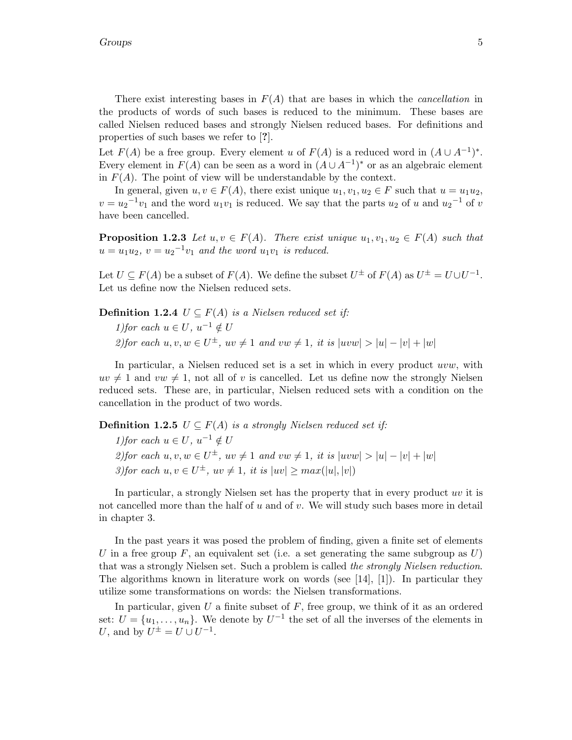There exist interesting bases in  $F(A)$  that are bases in which the *cancellation* in the products of words of such bases is reduced to the minimum. These bases are called Nielsen reduced bases and strongly Nielsen reduced bases. For definitions and properties of such bases we refer to [?].

Let  $F(A)$  be a free group. Every element u of  $F(A)$  is a reduced word in  $(A \cup A^{-1})^*$ . Every element in  $F(A)$  can be seen as a word in  $(A \cup A^{-1})^*$  or as an algebraic element in  $F(A)$ . The point of view will be understandable by the context.

In general, given  $u, v \in F(A)$ , there exist unique  $u_1, v_1, u_2 \in F$  such that  $u = u_1u_2$ ,  $v = u_2^{-1}v_1$  and the word  $u_1v_1$  is reduced. We say that the parts  $u_2$  of u and  $u_2^{-1}$  of v have been cancelled.

**Proposition 1.2.3** Let  $u, v \in F(A)$ . There exist unique  $u_1, v_1, u_2 \in F(A)$  such that  $u = u_1 u_2, v = u_2^{-1} v_1$  and the word  $u_1 v_1$  is reduced.

Let  $U \subseteq F(A)$  be a subset of  $F(A)$ . We define the subset  $U^{\pm}$  of  $F(A)$  as  $U^{\pm} = U \cup U^{-1}$ . Let us define now the Nielsen reduced sets.

**Definition 1.2.4**  $U \subseteq F(A)$  is a Nielsen reduced set if: 1) for each  $u \in U$ ,  $u^{-1} \notin U$ 2) for each  $u, v, w \in U^{\pm}$ ,  $uv \neq 1$  and  $vw \neq 1$ , it is  $|uvw| > |u| - |v| + |w|$ 

In particular, a Nielsen reduced set is a set in which in every product uvw, with  $uv \neq 1$  and  $vw \neq 1$ , not all of v is cancelled. Let us define now the strongly Nielsen reduced sets. These are, in particular, Nielsen reduced sets with a condition on the cancellation in the product of two words.

**Definition 1.2.5**  $U \subseteq F(A)$  is a strongly Nielsen reduced set if:

1) for each  $u \in U$ ,  $u^{-1} \notin U$ 2) for each  $u, v, w \in U^{\pm}$ ,  $uv \neq 1$  and  $vw \neq 1$ , it is  $|uvw| > |u| - |v| + |w|$ 3)for each  $u, v \in U^{\pm}$ ,  $uv \neq 1$ , it is  $|uv| \geq max(|u|, |v|)$ 

In particular, a strongly Nielsen set has the property that in every product uv it is not cancelled more than the half of u and of v. We will study such bases more in detail in chapter 3.

In the past years it was posed the problem of finding, given a finite set of elements U in a free group F, an equivalent set (i.e. a set generating the same subgroup as  $U$ ) that was a strongly Nielsen set. Such a problem is called the strongly Nielsen reduction. The algorithms known in literature work on words (see [14], [1]). In particular they utilize some transformations on words: the Nielsen transformations.

In particular, given  $U$  a finite subset of  $F$ , free group, we think of it as an ordered set:  $U = \{u_1, \ldots, u_n\}$ . We denote by  $U^{-1}$  the set of all the inverses of the elements in U, and by  $U^{\pm} = U \cup U^{-1}$ .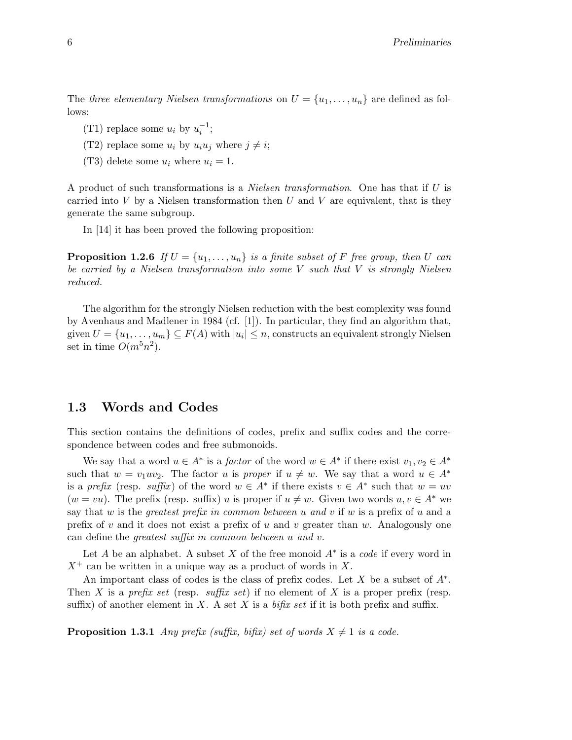The three elementary Nielsen transformations on  $U = \{u_1, \ldots, u_n\}$  are defined as follows:

- (T1) replace some  $u_i$  by  $u_i^{-1}$ ;
- (T2) replace some  $u_i$  by  $u_i u_j$  where  $j \neq i$ ;
- (T3) delete some  $u_i$  where  $u_i = 1$ .

A product of such transformations is a Nielsen transformation. One has that if U is carried into  $V$  by a Nielsen transformation then  $U$  and  $V$  are equivalent, that is they generate the same subgroup.

In [14] it has been proved the following proposition:

**Proposition 1.2.6** If  $U = \{u_1, \ldots, u_n\}$  is a finite subset of F free group, then U can be carried by a Nielsen transformation into some  $V$  such that  $V$  is strongly Nielsen reduced.

The algorithm for the strongly Nielsen reduction with the best complexity was found by Avenhaus and Madlener in 1984 (cf. [1]). In particular, they find an algorithm that, given  $U = \{u_1, \ldots, u_m\} \subseteq F(A)$  with  $|u_i| \leq n$ , constructs an equivalent strongly Nielsen set in time  $O(m^5n^2)$ .

## 1.3 Words and Codes

This section contains the definitions of codes, prefix and suffix codes and the correspondence between codes and free submonoids.

We say that a word  $u \in A^*$  is a *factor* of the word  $w \in A^*$  if there exist  $v_1, v_2 \in A^*$ such that  $w = v_1 u v_2$ . The factor u is proper if  $u \neq w$ . We say that a word  $u \in A^*$ is a prefix (resp. suffix) of the word  $w \in A^*$  if there exists  $v \in A^*$  such that  $w = uv$  $(w = vu)$ . The prefix (resp. suffix) u is proper if  $u \neq w$ . Given two words  $u, v \in A^*$  we say that w is the *greatest prefix in common between u and v* if w is a prefix of u and a prefix of  $v$  and it does not exist a prefix of  $u$  and  $v$  greater than  $w$ . Analogously one can define the greatest suffix in common between u and v.

Let A be an alphabet. A subset X of the free monoid  $A^*$  is a *code* if every word in  $X^+$  can be written in a unique way as a product of words in X.

An important class of codes is the class of prefix codes. Let  $X$  be a subset of  $A^*$ . Then X is a prefix set (resp. suffix set) if no element of X is a proper prefix (resp. suffix) of another element in X. A set X is a bifix set if it is both prefix and suffix.

**Proposition 1.3.1** Any prefix (suffix, bifix) set of words  $X \neq 1$  is a code.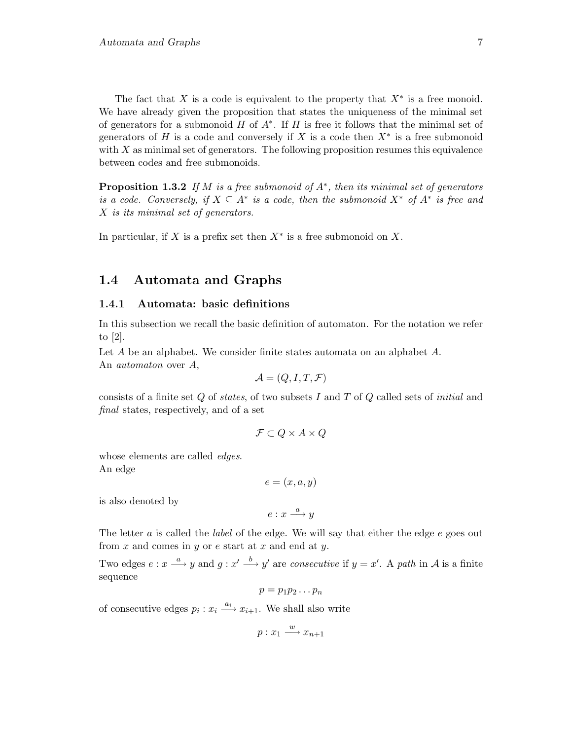The fact that X is a code is equivalent to the property that  $X^*$  is a free monoid. We have already given the proposition that states the uniqueness of the minimal set of generators for a submonoid  $H$  of  $A^*$ . If  $H$  is free it follows that the minimal set of generators of H is a code and conversely if X is a code then  $X^*$  is a free submonoid with  $X$  as minimal set of generators. The following proposition resumes this equivalence between codes and free submonoids.

**Proposition 1.3.2** If M is a free submonoid of  $A^*$ , then its minimal set of generators is a code. Conversely, if  $X \subseteq A^*$  is a code, then the submonoid  $X^*$  of  $A^*$  is free and X is its minimal set of generators.

In particular, if X is a prefix set then  $X^*$  is a free submonoid on X.

## 1.4 Automata and Graphs

#### 1.4.1 Automata: basic definitions

In this subsection we recall the basic definition of automaton. For the notation we refer to [2].

Let A be an alphabet. We consider finite states automata on an alphabet A. An automaton over A,

$$
\mathcal{A} = (Q, I, T, \mathcal{F})
$$

consists of a finite set  $Q$  of *states*, of two subsets  $I$  and  $T$  of  $Q$  called sets of *initial* and final states, respectively, and of a set

$$
\mathcal{F} \subset Q \times A \times Q
$$

whose elements are called *edges*. An edge

 $e = (x, a, y)$ 

is also denoted by

 $e: x \xrightarrow{a} y$ 

The letter a is called the *label* of the edge. We will say that either the edge e goes out from  $x$  and comes in  $y$  or  $e$  start at  $x$  and end at  $y$ .

Two edges  $e: x \stackrel{a}{\longrightarrow} y$  and  $g: x' \stackrel{b}{\longrightarrow} y'$  are consecutive if  $y = x'$ . A path in A is a finite sequence

$$
p=p_1p_2\ldots p_n
$$

of consecutive edges  $p_i : x_i \xrightarrow{a_i} x_{i+1}$ . We shall also write

$$
p: x_1 \xrightarrow{w} x_{n+1}
$$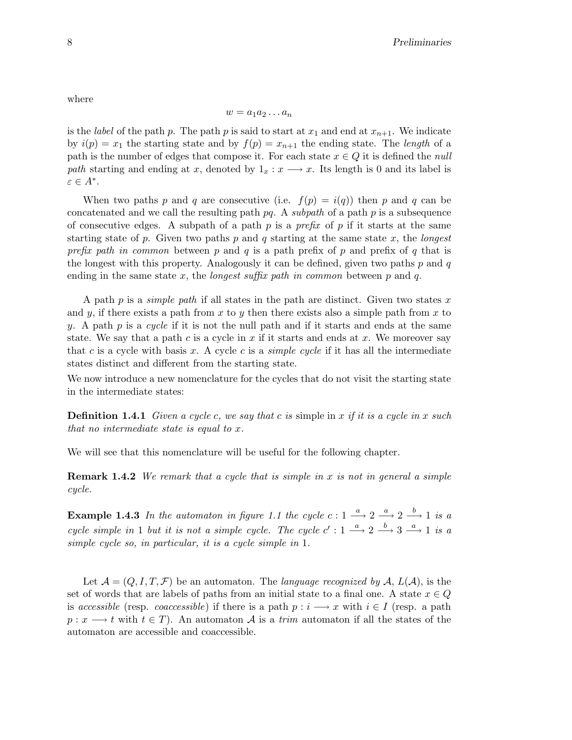where

$$
w = a_1 a_2 \dots a_n
$$

is the label of the path p. The path p is said to start at  $x_1$  and end at  $x_{n+1}$ . We indicate by  $i(p) = x_1$  the starting state and by  $f(p) = x_{n+1}$  the ending state. The length of a path is the number of edges that compose it. For each state  $x \in Q$  it is defined the *null* path starting and ending at x, denoted by  $1_x : x \longrightarrow x$ . Its length is 0 and its label is  $\varepsilon \in A^*$ .

When two paths p and q are consecutive (i.e.  $f(p) = i(q)$ ) then p and q can be concatenated and we call the resulting path  $pq$ . A subpath of a path  $p$  is a subsequence of consecutive edges. A subpath of a path  $p$  is a *prefix* of  $p$  if it starts at the same starting state of p. Given two paths p and q starting at the same state  $x$ , the longest prefix path in common between p and q is a path prefix of p and prefix of q that is the longest with this property. Analogously it can be defined, given two paths  $p$  and  $q$ ending in the same state x, the *longest suffix path in common* between p and q.

A path p is a *simple path* if all states in the path are distinct. Given two states x and y, if there exists a path from x to y then there exists also a simple path from x to y. A path  $p$  is a cycle if it is not the null path and if it starts and ends at the same state. We say that a path c is a cycle in  $x$  if it starts and ends at  $x$ . We moreover say that c is a cycle with basis x. A cycle c is a *simple cycle* if it has all the intermediate states distinct and different from the starting state.

We now introduce a new nomenclature for the cycles that do not visit the starting state in the intermediate states:

**Definition 1.4.1** Given a cycle c, we say that c is simple in x if it is a cycle in x such that no intermediate state is equal to x.

We will see that this nomenclature will be useful for the following chapter.

**Remark 1.4.2** We remark that a cycle that is simple in x is not in general a simple cycle.

**Example 1.4.3** In the automaton in figure 1.1 the cycle  $c: 1 \stackrel{a}{\longrightarrow} 2 \stackrel{a}{\longrightarrow} 2 \stackrel{b}{\longrightarrow} 1$  is a cycle simple in 1 but it is not a simple cycle. The cycle  $c' : 1 \stackrel{a}{\longrightarrow} 2 \stackrel{b}{\longrightarrow} 3 \stackrel{a}{\longrightarrow} 1$  is a simple cycle so, in particular, it is a cycle simple in 1.

Let  $\mathcal{A} = (Q, I, T, \mathcal{F})$  be an automaton. The language recognized by  $\mathcal{A}, L(\mathcal{A})$ , is the set of words that are labels of paths from an initial state to a final one. A state  $x \in Q$ is accessible (resp. coaccessible) if there is a path  $p : i \longrightarrow x$  with  $i \in I$  (resp. a path  $p: x \longrightarrow t$  with  $t \in T$ ). An automaton A is a trim automaton if all the states of the automaton are accessible and coaccessible.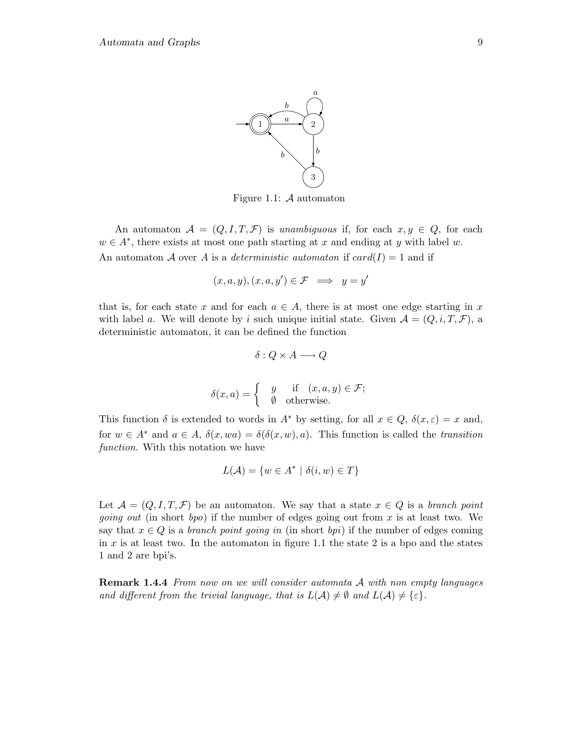

Figure 1.1:  $A$  automaton

An automaton  $\mathcal{A} = (Q, I, T, \mathcal{F})$  is unambiguous if, for each  $x, y \in Q$ , for each  $w \in A^*$ , there exists at most one path starting at x and ending at y with label w. An automaton A over A is a *deterministic automaton* if  $card(I) = 1$  and if

$$
(x, a, y), (x, a, y') \in \mathcal{F} \implies y = y'
$$

that is, for each state x and for each  $a \in A$ , there is at most one edge starting in x with label a. We will denote by i such unique initial state. Given  $\mathcal{A} = (Q, i, T, \mathcal{F})$ , a deterministic automaton, it can be defined the function

$$
\delta: Q \times A \longrightarrow Q
$$

$$
\delta(x, a) = \begin{cases} y & \text{if } (x, a, y) \in \mathcal{F}; \\ \emptyset & \text{otherwise.} \end{cases}
$$

This function  $\delta$  is extended to words in  $A^*$  by setting, for all  $x \in Q$ ,  $\delta(x,\varepsilon) = x$  and, for  $w \in A^*$  and  $a \in A$ ,  $\delta(x, wa) = \delta(\delta(x, w), a)$ . This function is called the transition function. With this notation we have

$$
L(\mathcal{A}) = \{ w \in A^* \mid \delta(i, w) \in T \}
$$

Let  $\mathcal{A} = (Q, I, T, \mathcal{F})$  be an automaton. We say that a state  $x \in Q$  is a branch point *going out* (in short *bpo*) if the number of edges going out from x is at least two. We say that  $x \in Q$  is a *branch point going in* (in short *bpi*) if the number of edges coming in  $x$  is at least two. In the automaton in figure 1.1 the state 2 is a bpo and the states 1 and 2 are bpi's.

**Remark 1.4.4** From now on we will consider automata A with non empty languages and different from the trivial language, that is  $L(\mathcal{A}) \neq \emptyset$  and  $L(\mathcal{A}) \neq \{\varepsilon\}.$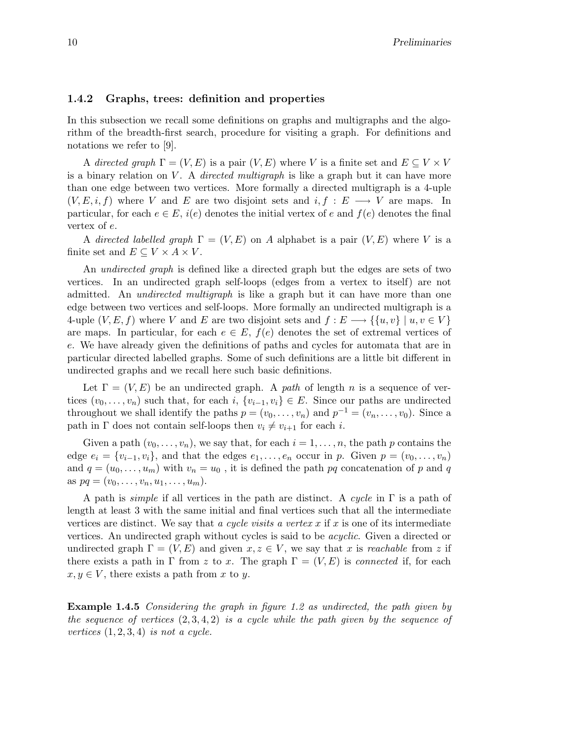#### 1.4.2 Graphs, trees: definition and properties

In this subsection we recall some definitions on graphs and multigraphs and the algorithm of the breadth-first search, procedure for visiting a graph. For definitions and notations we refer to [9].

A directed graph  $\Gamma = (V, E)$  is a pair  $(V, E)$  where V is a finite set and  $E \subseteq V \times V$ is a binary relation on V. A *directed multigraph* is like a graph but it can have more than one edge between two vertices. More formally a directed multigraph is a 4-uple  $(V, E, i, f)$  where V and E are two disjoint sets and  $i, f : E \longrightarrow V$  are maps. In particular, for each  $e \in E$ ,  $i(e)$  denotes the initial vertex of e and  $f(e)$  denotes the final vertex of e.

A directed labelled graph  $\Gamma = (V, E)$  on A alphabet is a pair  $(V, E)$  where V is a finite set and  $E \subseteq V \times A \times V$ .

An *undirected graph* is defined like a directed graph but the edges are sets of two vertices. In an undirected graph self-loops (edges from a vertex to itself) are not admitted. An undirected multigraph is like a graph but it can have more than one edge between two vertices and self-loops. More formally an undirected multigraph is a 4-uple  $(V, E, f)$  where V and E are two disjoint sets and  $f : E \longrightarrow \{ \{u, v\} \mid u, v \in V \}$ are maps. In particular, for each  $e \in E$ ,  $f(e)$  denotes the set of extremal vertices of e. We have already given the definitions of paths and cycles for automata that are in particular directed labelled graphs. Some of such definitions are a little bit different in undirected graphs and we recall here such basic definitions.

Let  $\Gamma = (V, E)$  be an undirected graph. A path of length n is a sequence of vertices  $(v_0, \ldots, v_n)$  such that, for each i,  $\{v_{i-1}, v_i\} \in E$ . Since our paths are undirected throughout we shall identify the paths  $p = (v_0, \ldots, v_n)$  and  $p^{-1} = (v_n, \ldots, v_0)$ . Since a path in  $\Gamma$  does not contain self-loops then  $v_i \neq v_{i+1}$  for each i.

Given a path  $(v_0,\ldots,v_n)$ , we say that, for each  $i=1,\ldots,n$ , the path p contains the edge  $e_i = \{v_{i-1}, v_i\}$ , and that the edges  $e_1, \ldots, e_n$  occur in p. Given  $p = (v_0, \ldots, v_n)$ and  $q = (u_0, \ldots, u_m)$  with  $v_n = u_0$ , it is defined the path pq concatenation of p and q as  $pq = (v_0, \ldots, v_n, u_1, \ldots, u_m)$ .

A path is *simple* if all vertices in the path are distinct. A cycle in  $\Gamma$  is a path of length at least 3 with the same initial and final vertices such that all the intermediate vertices are distinct. We say that a cycle visits a vertex  $x$  if  $x$  is one of its intermediate vertices. An undirected graph without cycles is said to be acyclic. Given a directed or undirected graph  $\Gamma = (V, E)$  and given  $x, z \in V$ , we say that x is reachable from z if there exists a path in Γ from z to x. The graph  $\Gamma = (V, E)$  is connected if, for each  $x, y \in V$ , there exists a path from x to y.

Example 1.4.5 Considering the graph in figure 1.2 as undirected, the path given by the sequence of vertices  $(2, 3, 4, 2)$  is a cycle while the path given by the sequence of vertices  $(1, 2, 3, 4)$  is not a cycle.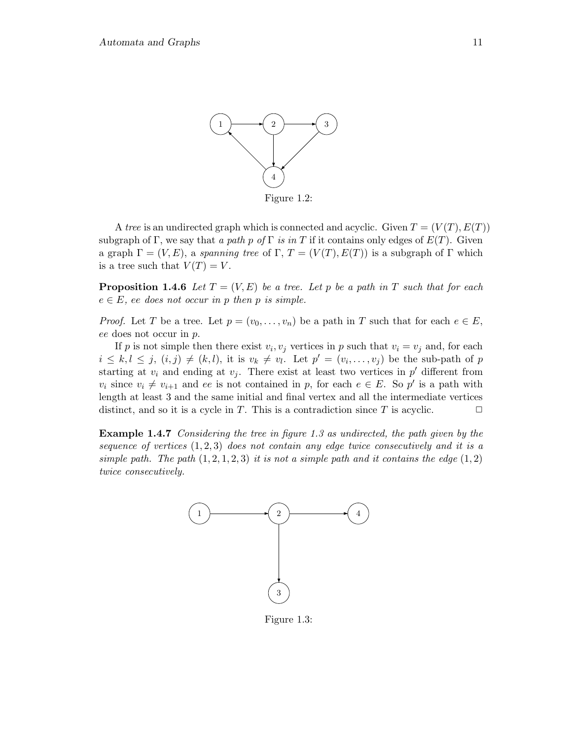

Figure 1.2:

A tree is an undirected graph which is connected and acyclic. Given  $T = (V(T), E(T))$ subgraph of Γ, we say that a path p of Γ is in T if it contains only edges of  $E(T)$ . Given a graph  $\Gamma = (V, E)$ , a spanning tree of  $\Gamma$ ,  $T = (V(T), E(T))$  is a subgraph of  $\Gamma$  which is a tree such that  $V(T) = V$ .

**Proposition 1.4.6** Let  $T = (V, E)$  be a tree. Let p be a path in T such that for each  $e \in E$ , ee does not occur in p then p is simple.

*Proof.* Let T be a tree. Let  $p = (v_0, \ldots, v_n)$  be a path in T such that for each  $e \in E$ , ee does not occur in p.

If p is not simple then there exist  $v_i, v_j$  vertices in p such that  $v_i = v_j$  and, for each  $i \leq k, l \leq j, (i,j) \neq (k,l)$ , it is  $v_k \neq v_l$ . Let  $p' = (v_i, \ldots, v_j)$  be the sub-path of p starting at  $v_i$  and ending at  $v_j$ . There exist at least two vertices in  $p'$  different from  $v_i$  since  $v_i \neq v_{i+1}$  and ee is not contained in p, for each  $e \in E$ . So p' is a path with length at least 3 and the same initial and final vertex and all the intermediate vertices distinct, and so it is a cycle in T. This is a contradiction since T is acyclic.  $\Box$ 

Example 1.4.7 Considering the tree in figure 1.3 as undirected, the path given by the sequence of vertices  $(1, 2, 3)$  does not contain any edge twice consecutively and it is a simple path. The path  $(1, 2, 1, 2, 3)$  it is not a simple path and it contains the edge  $(1, 2)$ twice consecutively.



Figure 1.3: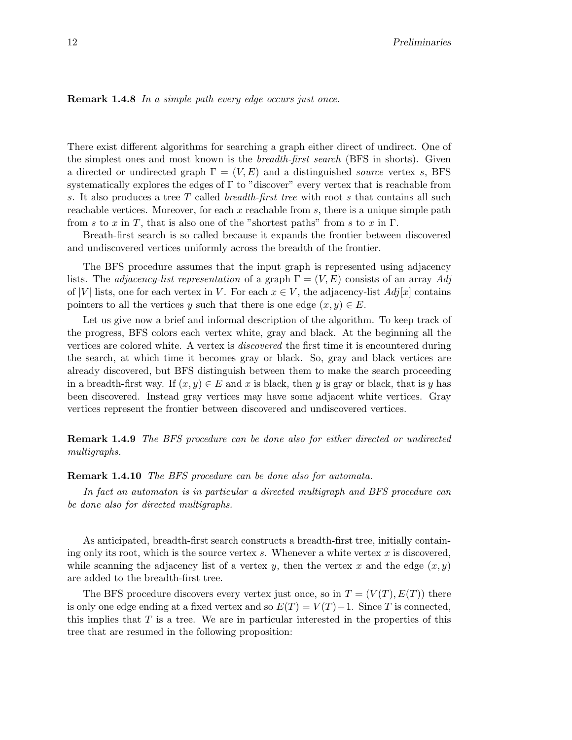#### Remark 1.4.8 In a simple path every edge occurs just once.

There exist different algorithms for searching a graph either direct of undirect. One of the simplest ones and most known is the breadth-first search (BFS in shorts). Given a directed or undirected graph  $\Gamma = (V, E)$  and a distinguished *source* vertex s, BFS systematically explores the edges of  $\Gamma$  to "discover" every vertex that is reachable from s. It also produces a tree T called breadth-first tree with root s that contains all such reachable vertices. Moreover, for each  $x$  reachable from  $s$ , there is a unique simple path from s to x in T, that is also one of the "shortest paths" from s to x in  $\Gamma$ .

Breath-first search is so called because it expands the frontier between discovered and undiscovered vertices uniformly across the breadth of the frontier.

The BFS procedure assumes that the input graph is represented using adjacency lists. The *adjacency-list representation* of a graph  $\Gamma = (V, E)$  consists of an array Adj of |V| lists, one for each vertex in V. For each  $x \in V$ , the adjacency-list  $Adj[x]$  contains pointers to all the vertices y such that there is one edge  $(x, y) \in E$ .

Let us give now a brief and informal description of the algorithm. To keep track of the progress, BFS colors each vertex white, gray and black. At the beginning all the vertices are colored white. A vertex is discovered the first time it is encountered during the search, at which time it becomes gray or black. So, gray and black vertices are already discovered, but BFS distinguish between them to make the search proceeding in a breadth-first way. If  $(x, y) \in E$  and x is black, then y is gray or black, that is y has been discovered. Instead gray vertices may have some adjacent white vertices. Gray vertices represent the frontier between discovered and undiscovered vertices.

Remark 1.4.9 The BFS procedure can be done also for either directed or undirected multigraphs.

#### Remark 1.4.10 The BFS procedure can be done also for automata.

In fact an automaton is in particular a directed multigraph and BFS procedure can be done also for directed multigraphs.

As anticipated, breadth-first search constructs a breadth-first tree, initially containing only its root, which is the source vertex  $s$ . Whenever a white vertex  $x$  is discovered, while scanning the adjacency list of a vertex y, then the vertex x and the edge  $(x, y)$ are added to the breadth-first tree.

The BFS procedure discovers every vertex just once, so in  $T = (V(T), E(T))$  there is only one edge ending at a fixed vertex and so  $E(T) = V(T) - 1$ . Since T is connected, this implies that  $T$  is a tree. We are in particular interested in the properties of this tree that are resumed in the following proposition: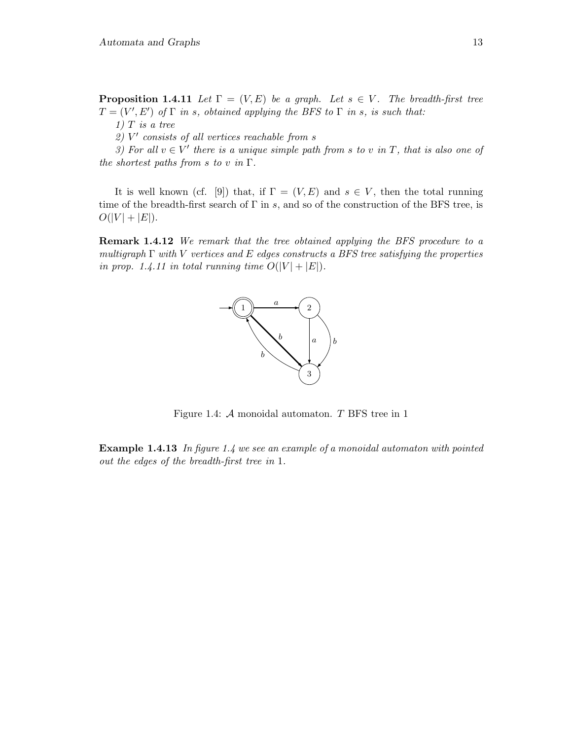**Proposition 1.4.11** Let  $\Gamma = (V, E)$  be a graph. Let  $s \in V$ . The breadth-first tree  $T = (V', E')$  of  $\Gamma$  in s, obtained applying the BFS to  $\Gamma$  in s, is such that:

 $1)$  T is a tree

2) V ′ consists of all vertices reachable from s

3) For all  $v \in V'$  there is a unique simple path from s to v in T, that is also one of the shortest paths from s to v in  $\Gamma$ .

It is well known (cf. [9]) that, if  $\Gamma = (V, E)$  and  $s \in V$ , then the total running time of the breadth-first search of  $\Gamma$  in s, and so of the construction of the BFS tree, is  $O(|V| + |E|).$ 

**Remark 1.4.12** We remark that the tree obtained applying the BFS procedure to a multigraph  $\Gamma$  with V vertices and E edges constructs a BFS tree satisfying the properties in prop. 1.4.11 in total running time  $O(|V| + |E|)$ .



Figure 1.4:  $A$  monoidal automaton.  $T$  BFS tree in 1

**Example 1.4.13** In figure 1.4 we see an example of a monoidal automaton with pointed out the edges of the breadth-first tree in 1.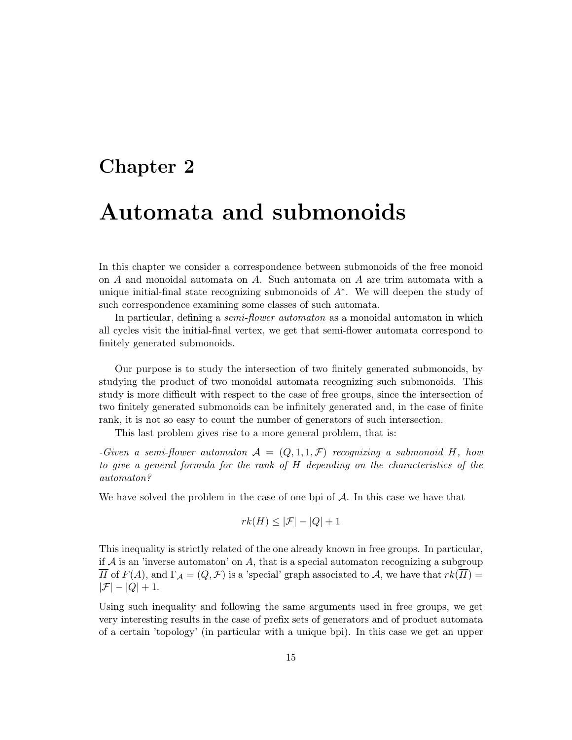# Chapter 2

# Automata and submonoids

In this chapter we consider a correspondence between submonoids of the free monoid on A and monoidal automata on A. Such automata on A are trim automata with a unique initial-final state recognizing submonoids of A<sup>∗</sup> . We will deepen the study of such correspondence examining some classes of such automata.

In particular, defining a *semi-flower automaton* as a monoidal automaton in which all cycles visit the initial-final vertex, we get that semi-flower automata correspond to finitely generated submonoids.

Our purpose is to study the intersection of two finitely generated submonoids, by studying the product of two monoidal automata recognizing such submonoids. This study is more difficult with respect to the case of free groups, since the intersection of two finitely generated submonoids can be infinitely generated and, in the case of finite rank, it is not so easy to count the number of generators of such intersection.

This last problem gives rise to a more general problem, that is:

-Given a semi-flower automaton  $\mathcal{A} = (Q, 1, 1, \mathcal{F})$  recognizing a submonoid H, how to give a general formula for the rank of H depending on the characteristics of the automaton?

We have solved the problem in the case of one bpi of  $A$ . In this case we have that

$$
rk(H) \leq |\mathcal{F}| - |Q| + 1
$$

This inequality is strictly related of the one already known in free groups. In particular, if  $A$  is an 'inverse automaton' on  $A$ , that is a special automaton recognizing a subgroup H of  $F(A)$ , and  $\Gamma_A = (Q, \mathcal{F})$  is a 'special' graph associated to A, we have that  $rk(H)$  $|\mathcal{F}| - |Q| + 1.$ 

Using such inequality and following the same arguments used in free groups, we get very interesting results in the case of prefix sets of generators and of product automata of a certain 'topology' (in particular with a unique bpi). In this case we get an upper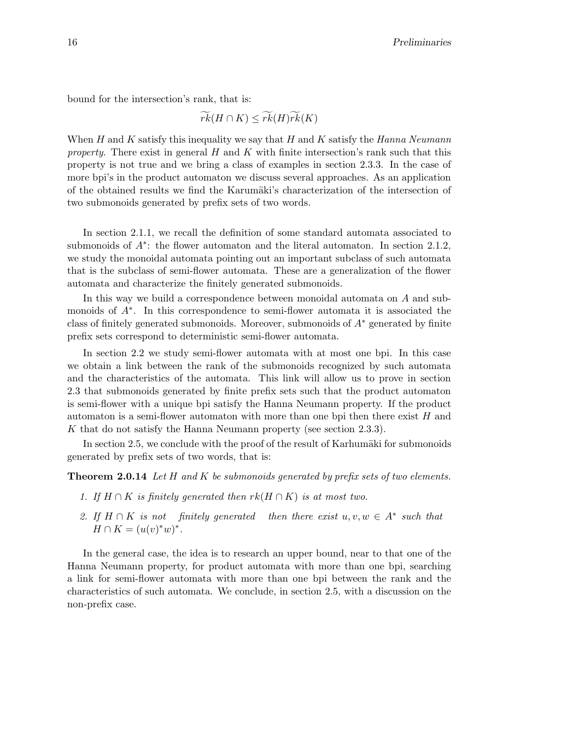bound for the intersection's rank, that is:

 $\widetilde{rk}(H \cap K) \leq \widetilde{rk}(H)\widetilde{rk}(K)$ 

When H and K satisfy this inequality we say that H and K satisfy the Hanna Neumann property. There exist in general  $H$  and  $K$  with finite intersection's rank such that this property is not true and we bring a class of examples in section 2.3.3. In the case of more bpi's in the product automaton we discuss several approaches. As an application of the obtained results we find the Karumäki's characterization of the intersection of two submonoids generated by prefix sets of two words.

In section 2.1.1, we recall the definition of some standard automata associated to submonoids of  $A^*$ : the flower automaton and the literal automaton. In section 2.1.2, we study the monoidal automata pointing out an important subclass of such automata that is the subclass of semi-flower automata. These are a generalization of the flower automata and characterize the finitely generated submonoids.

In this way we build a correspondence between monoidal automata on A and submonoids of  $A^*$ . In this correspondence to semi-flower automata it is associated the class of finitely generated submonoids. Moreover, submonoids of  $A^*$  generated by finite prefix sets correspond to deterministic semi-flower automata.

In section 2.2 we study semi-flower automata with at most one bpi. In this case we obtain a link between the rank of the submonoids recognized by such automata and the characteristics of the automata. This link will allow us to prove in section 2.3 that submonoids generated by finite prefix sets such that the product automaton is semi-flower with a unique bpi satisfy the Hanna Neumann property. If the product automaton is a semi-flower automaton with more than one bpi then there exist  $H$  and K that do not satisfy the Hanna Neumann property (see section 2.3.3).

In section 2.5, we conclude with the proof of the result of Karhumäki for submonoids generated by prefix sets of two words, that is:

**Theorem 2.0.14** Let H and K be submonoids generated by prefix sets of two elements.

- 1. If  $H \cap K$  is finitely generated then  $rk(H \cap K)$  is at most two.
- 2. If  $H \cap K$  is not finitely generated then there exist  $u, v, w \in A^*$  such that  $H \cap K = (u(v)^*w)^*.$

In the general case, the idea is to research an upper bound, near to that one of the Hanna Neumann property, for product automata with more than one bpi, searching a link for semi-flower automata with more than one bpi between the rank and the characteristics of such automata. We conclude, in section 2.5, with a discussion on the non-prefix case.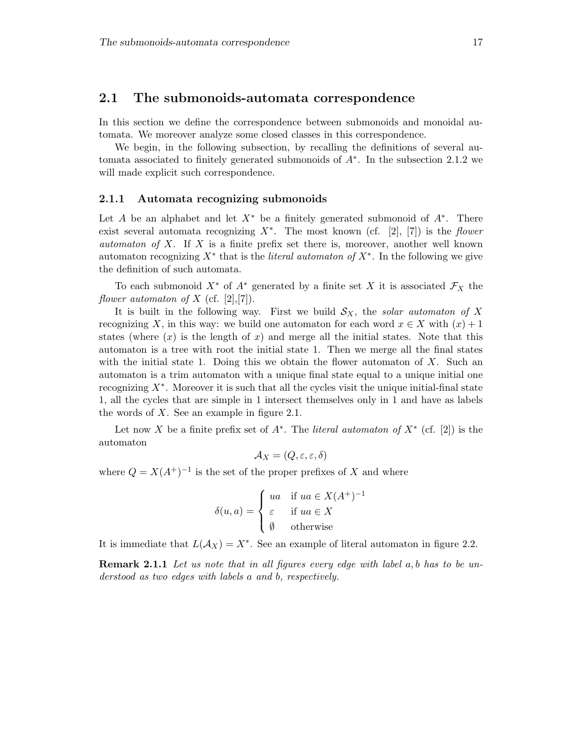## 2.1 The submonoids-automata correspondence

In this section we define the correspondence between submonoids and monoidal automata. We moreover analyze some closed classes in this correspondence.

We begin, in the following subsection, by recalling the definitions of several automata associated to finitely generated submonoids of A<sup>∗</sup> . In the subsection 2.1.2 we will made explicit such correspondence.

#### 2.1.1 Automata recognizing submonoids

Let A be an alphabet and let  $X^*$  be a finitely generated submonoid of  $A^*$ . There exist several automata recognizing  $X^*$ . The most known (cf. [2], [7]) is the flower *automaton of X.* If X is a finite prefix set there is, moreover, another well known automaton recognizing  $X^*$  that is the *literal automaton of*  $X^*$ . In the following we give the definition of such automata.

To each submonoid  $X^*$  of  $A^*$  generated by a finite set X it is associated  $\mathcal{F}_X$  the flower automaton of X (cf.  $[2],[7]$ ).

It is built in the following way. First we build  $\mathcal{S}_X$ , the solar automaton of X recognizing X, in this way: we build one automaton for each word  $x \in X$  with  $(x) + 1$ states (where  $(x)$  is the length of x) and merge all the initial states. Note that this automaton is a tree with root the initial state 1. Then we merge all the final states with the initial state 1. Doing this we obtain the flower automaton of  $X$ . Such an automaton is a trim automaton with a unique final state equal to a unique initial one recognizing  $X^*$ . Moreover it is such that all the cycles visit the unique initial-final state 1, all the cycles that are simple in 1 intersect themselves only in 1 and have as labels the words of X. See an example in figure 2.1.

Let now X be a finite prefix set of  $A^*$ . The *literal automaton of*  $X^*$  (cf. [2]) is the automaton

$$
\mathcal{A}_X = (Q, \varepsilon, \varepsilon, \delta)
$$

where  $Q = X(A^+)^{-1}$  is the set of the proper prefixes of X and where

$$
\delta(u, a) = \begin{cases} ua & \text{if } ua \in X(A^+)^{-1} \\ \varepsilon & \text{if } ua \in X \\ \emptyset & \text{otherwise} \end{cases}
$$

It is immediate that  $L(A_X) = X^*$ . See an example of literal automaton in figure 2.2.

**Remark 2.1.1** Let us note that in all figures every edge with label  $a, b$  has to be understood as two edges with labels a and b, respectively.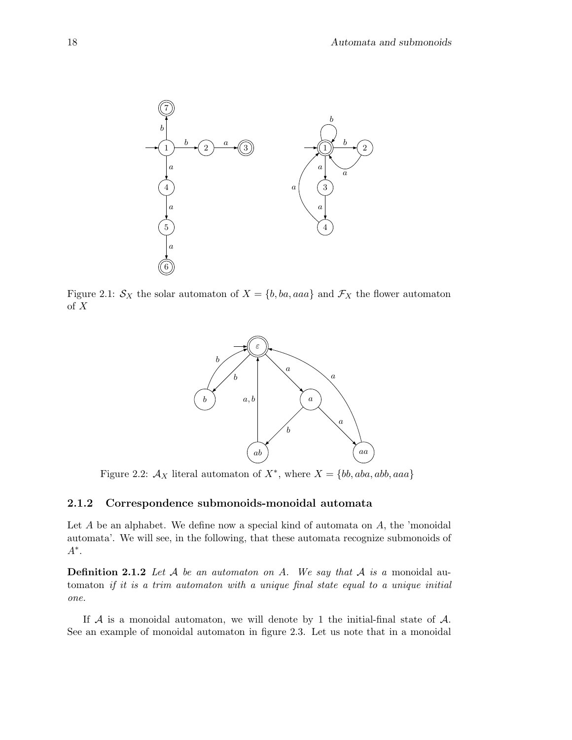

Figure 2.1:  $S_X$  the solar automaton of  $X = \{b, ba, aaa\}$  and  $\mathcal{F}_X$  the flower automaton of X



Figure 2.2:  $A_X$  literal automaton of  $X^*$ , where  $X = \{bb, aba, abb, aaa\}$ 

## 2.1.2 Correspondence submonoids-monoidal automata

Let  $A$  be an alphabet. We define now a special kind of automata on  $A$ , the 'monoidal automata'. We will see, in the following, that these automata recognize submonoids of A∗ .

**Definition 2.1.2** Let A be an automator on A. We say that A is a monoidal automaton if it is a trim automaton with a unique final state equal to a unique initial one.

If  $A$  is a monoidal automaton, we will denote by 1 the initial-final state of  $A$ . See an example of monoidal automaton in figure 2.3. Let us note that in a monoidal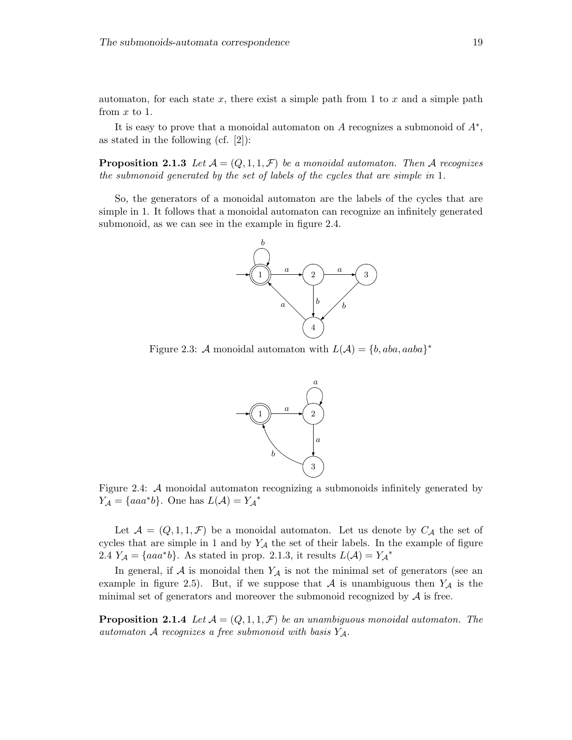automaton, for each state  $x$ , there exist a simple path from 1 to  $x$  and a simple path from  $x$  to 1.

It is easy to prove that a monoidal automaton on  $A$  recognizes a submonoid of  $A^*$ , as stated in the following (cf. [2]):

**Proposition 2.1.3** Let  $\mathcal{A} = (Q, 1, 1, \mathcal{F})$  be a monoidal automaton. Then A recognizes the submonoid generated by the set of labels of the cycles that are simple in 1.

So, the generators of a monoidal automaton are the labels of the cycles that are simple in 1. It follows that a monoidal automaton can recognize an infinitely generated submonoid, as we can see in the example in figure 2.4.



Figure 2.3: A monoidal automaton with  $L(\mathcal{A}) = \{b, aba, aaba\}^*$ 



Figure 2.4: A monoidal automaton recognizing a submonoids infinitely generated by  $Y_{\mathcal{A}} = \{aaa^*b\}.$  One has  $L(\mathcal{A}) = Y_{\mathcal{A}}^*$ 

Let  $\mathcal{A} = (Q, 1, 1, \mathcal{F})$  be a monoidal automaton. Let us denote by  $C_{\mathcal{A}}$  the set of cycles that are simple in 1 and by  $Y_A$  the set of their labels. In the example of figure 2.4  $Y_A = \{aaa^*b\}$ . As stated in prop. 2.1.3, it results  $L(\mathcal{A}) = Y_A^*$ 

In general, if  $A$  is monoidal then  $Y_A$  is not the minimal set of generators (see an example in figure 2.5). But, if we suppose that A is unambiguous then  $Y_A$  is the minimal set of generators and moreover the submonoid recognized by  $A$  is free.

**Proposition 2.1.4** Let  $A = (Q, 1, 1, \mathcal{F})$  be an unambiguous monoidal automaton. The automaton A recognizes a free submonoid with basis  $Y_A$ .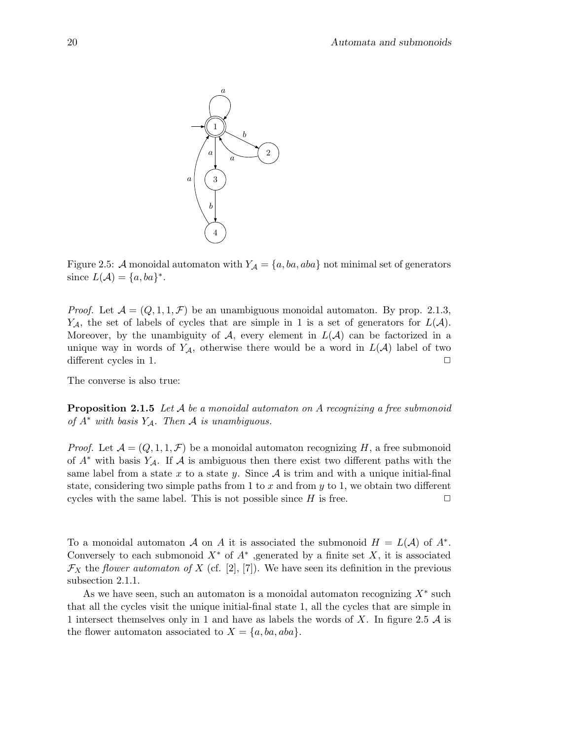

Figure 2.5: A monoidal automaton with  $Y_A = \{a, ba, aba\}$  not minimal set of generators since  $L(\mathcal{A}) = \{a, ba\}^*$ .

*Proof.* Let  $\mathcal{A} = (Q, 1, 1, \mathcal{F})$  be an unambiguous monoidal automaton. By prop. 2.1.3,  $Y_{\mathcal{A}}$ , the set of labels of cycles that are simple in 1 is a set of generators for  $L(\mathcal{A})$ . Moreover, by the unambiguity of  $\mathcal{A}$ , every element in  $L(\mathcal{A})$  can be factorized in a unique way in words of  $Y_{\mathcal{A}}$ , otherwise there would be a word in  $L(\mathcal{A})$  label of two different cycles in 1.  $\Box$ 

The converse is also true:

**Proposition 2.1.5** Let  $A$  be a monoidal automaton on  $A$  recognizing a free submonoid of  $A^*$  with basis  $Y_A$ . Then A is unambiguous.

*Proof.* Let  $\mathcal{A} = (Q, 1, 1, \mathcal{F})$  be a monoidal automaton recognizing H, a free submonoid of  $A^*$  with basis  $Y_A$ . If A is ambiguous then there exist two different paths with the same label from a state x to a state y. Since  $A$  is trim and with a unique initial-final state, considering two simple paths from 1 to x and from y to 1, we obtain two different cycles with the same label. This is not possible since  $H$  is free.  $\Box$ 

To a monoidal automaton A on A it is associated the submonoid  $H = L(A)$  of  $A^*$ . Conversely to each submonoid  $X^*$  of  $A^*$ , generated by a finite set X, it is associated  $\mathcal{F}_X$  the flower automaton of X (cf. [2], [7]). We have seen its definition in the previous subsection 2.1.1.

As we have seen, such an automaton is a monoidal automaton recognizing  $X^*$  such that all the cycles visit the unique initial-final state 1, all the cycles that are simple in 1 intersect themselves only in 1 and have as labels the words of X. In figure 2.5  $\mathcal A$  is the flower automaton associated to  $X = \{a, ba, aba\}.$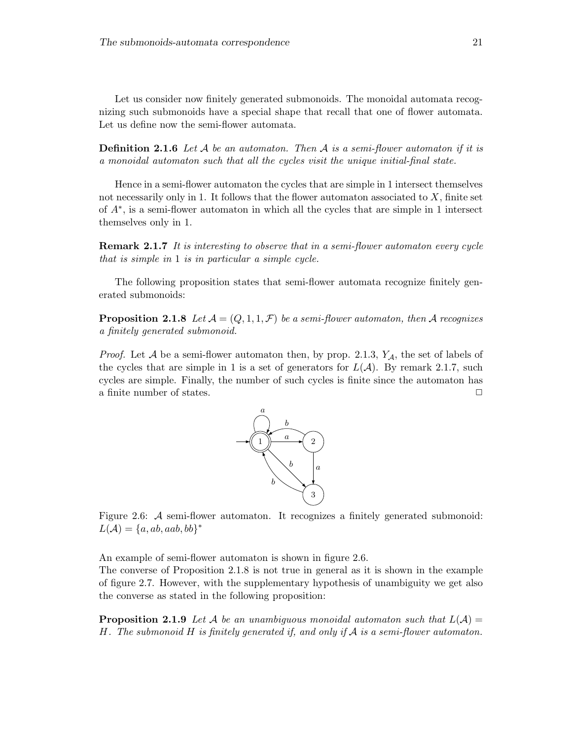Let us consider now finitely generated submonoids. The monoidal automata recognizing such submonoids have a special shape that recall that one of flower automata. Let us define now the semi-flower automata.

**Definition 2.1.6** Let  $A$  be an automaton. Then  $A$  is a semi-flower automaton if it is a monoidal automaton such that all the cycles visit the unique initial-final state.

Hence in a semi-flower automaton the cycles that are simple in 1 intersect themselves not necessarily only in 1. It follows that the flower automaton associated to  $X$ , finite set of A<sup>∗</sup> , is a semi-flower automaton in which all the cycles that are simple in 1 intersect themselves only in 1.

**Remark 2.1.7** It is interesting to observe that in a semi-flower automaton every cycle that is simple in 1 is in particular a simple cycle.

The following proposition states that semi-flower automata recognize finitely generated submonoids:

**Proposition 2.1.8** Let  $A = (Q, 1, 1, \mathcal{F})$  be a semi-flower automaton, then A recognizes a finitely generated submonoid.

*Proof.* Let A be a semi-flower automaton then, by prop. 2.1.3,  $Y_A$ , the set of labels of the cycles that are simple in 1 is a set of generators for  $L(\mathcal{A})$ . By remark 2.1.7, such cycles are simple. Finally, the number of such cycles is finite since the automaton has a finite number of states.  $\Box$ 



Figure 2.6: A semi-flower automaton. It recognizes a finitely generated submonoid:  $L(\mathcal{A}) = \{a, ab, aab, bb\}^*$ 

An example of semi-flower automaton is shown in figure 2.6.

The converse of Proposition 2.1.8 is not true in general as it is shown in the example of figure 2.7. However, with the supplementary hypothesis of unambiguity we get also the converse as stated in the following proposition:

**Proposition 2.1.9** Let A be an unambiguous monoidal automaton such that  $L(\mathcal{A}) =$ H. The submonoid H is finitely generated if, and only if  $A$  is a semi-flower automaton.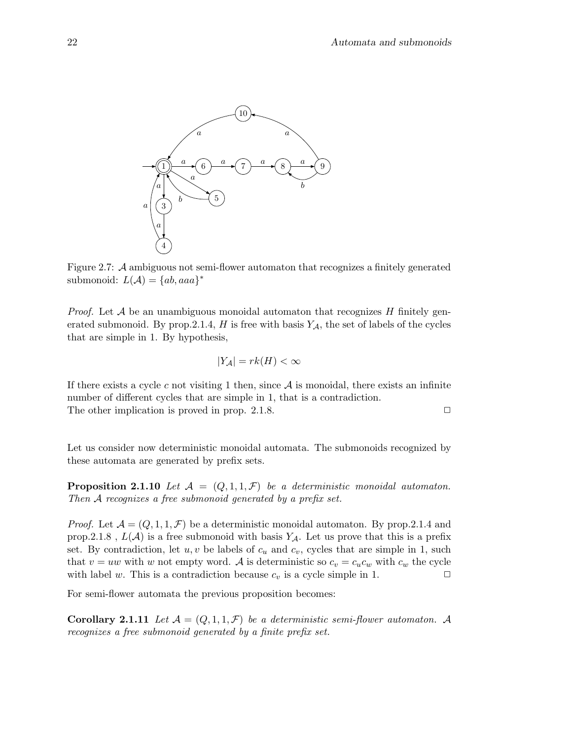

Figure 2.7: A ambiguous not semi-flower automaton that recognizes a finitely generated submonoid:  $L(\mathcal{A}) = \{ab,aaa\}^*$ 

*Proof.* Let  $\mathcal A$  be an unambiguous monoidal automaton that recognizes  $H$  finitely generated submonoid. By prop. 2.1.4, H is free with basis  $Y_A$ , the set of labels of the cycles that are simple in 1. By hypothesis,

$$
|Y_{\mathcal{A}}| = rk(H) < \infty
$$

If there exists a cycle c not visiting 1 then, since  $A$  is monoidal, there exists an infinite number of different cycles that are simple in 1, that is a contradiction. The other implication is proved in prop. 2.1.8.  $\Box$ 

Let us consider now deterministic monoidal automata. The submonoids recognized by these automata are generated by prefix sets.

**Proposition 2.1.10** Let  $\mathcal{A} = (Q, 1, 1, \mathcal{F})$  be a deterministic monoidal automaton. Then A recognizes a free submonoid generated by a prefix set.

*Proof.* Let  $\mathcal{A} = (Q, 1, 1, \mathcal{F})$  be a deterministic monoidal automaton. By prop.2.1.4 and prop.2.1.8,  $L(\mathcal{A})$  is a free submonoid with basis  $Y_{\mathcal{A}}$ . Let us prove that this is a prefix set. By contradiction, let  $u, v$  be labels of  $c_u$  and  $c_v$ , cycles that are simple in 1, such that  $v = uw$  with w not empty word. A is deterministic so  $c_v = c_u c_w$  with  $c_w$  the cycle with label w. This is a contradiction because  $c_v$  is a cycle simple in 1.  $\Box$ 

For semi-flower automata the previous proposition becomes:

**Corollary 2.1.11** Let  $\mathcal{A} = (Q, 1, 1, \mathcal{F})$  be a deterministic semi-flower automaton. A recognizes a free submonoid generated by a finite prefix set.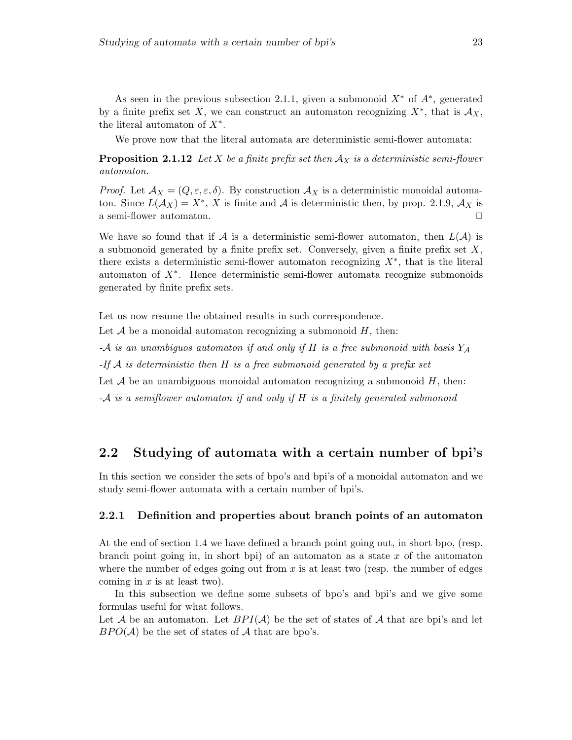As seen in the previous subsection 2.1.1, given a submonoid  $X^*$  of  $A^*$ , generated by a finite prefix set X, we can construct an automaton recognizing  $X^*$ , that is  $\mathcal{A}_X$ , the literal automaton of  $X^*$ .

We prove now that the literal automata are deterministic semi-flower automata:

**Proposition 2.1.12** Let X be a finite prefix set then  $A_X$  is a deterministic semi-flower automaton.

Proof. Let  $\mathcal{A}_X = (Q, \varepsilon, \varepsilon, \delta)$ . By construction  $\mathcal{A}_X$  is a deterministic monoidal automaton. Since  $L(\mathcal{A}_X) = X^*$ , X is finite and A is deterministic then, by prop. 2.1.9,  $\mathcal{A}_X$  is a semi-flower automaton.  $\Box$ 

We have so found that if A is a deterministic semi-flower automaton, then  $L(\mathcal{A})$  is a submonoid generated by a finite prefix set. Conversely, given a finite prefix set  $X$ , there exists a deterministic semi-flower automaton recognizing  $X^*$ , that is the literal automaton of X<sup>∗</sup> . Hence deterministic semi-flower automata recognize submonoids generated by finite prefix sets.

Let us now resume the obtained results in such correspondence.

Let  $A$  be a monoidal automaton recognizing a submonoid  $H$ , then:

-A is an unambiguos automaton if and only if H is a free submonoid with basis  $Y_A$ 

 $-If \mathcal{A}$  is deterministic then H is a free submonoid generated by a prefix set

Let  $A$  be an unambiguous monoidal automaton recognizing a submonoid  $H$ , then:

-A is a semiflower automaton if and only if H is a finitely generated submonoid

# 2.2 Studying of automata with a certain number of bpi's

In this section we consider the sets of bpo's and bpi's of a monoidal automaton and we study semi-flower automata with a certain number of bpi's.

## 2.2.1 Definition and properties about branch points of an automaton

At the end of section 1.4 we have defined a branch point going out, in short bpo, (resp. branch point going in, in short bpi) of an automaton as a state  $x$  of the automaton where the number of edges going out from  $x$  is at least two (resp. the number of edges coming in  $x$  is at least two).

In this subsection we define some subsets of bpo's and bpi's and we give some formulas useful for what follows.

Let A be an automaton. Let  $BPI(\mathcal{A})$  be the set of states of A that are bpi's and let  $BPO(\mathcal{A})$  be the set of states of  $\mathcal A$  that are bpo's.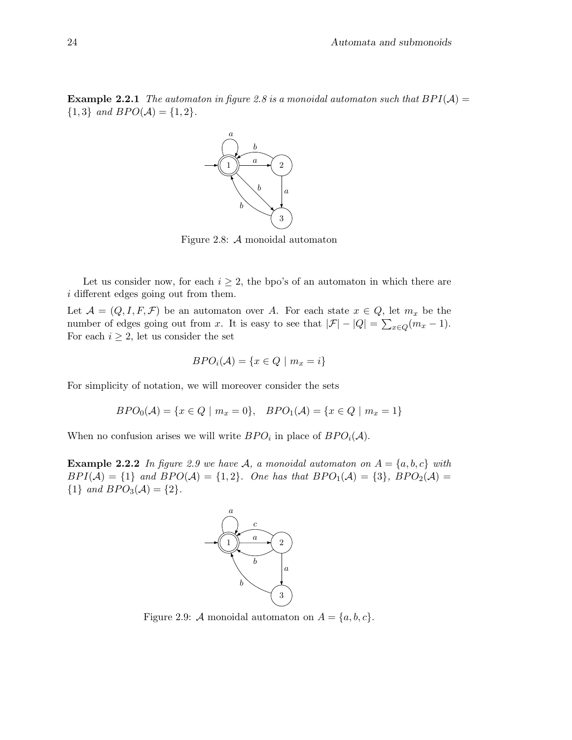**Example 2.2.1** The automaton in figure 2.8 is a monoidal automaton such that  $BPI(A) =$  ${1,3}$  and  $BPO(A) = {1,2}.$ 



Figure 2.8: A monoidal automaton

Let us consider now, for each  $i \geq 2$ , the bpo's of an automaton in which there are i different edges going out from them.

Let  $\mathcal{A} = (Q, I, F, \mathcal{F})$  be an automaton over A. For each state  $x \in Q$ , let  $m_x$  be the number of edges going out from x. It is easy to see that  $|\mathcal{F}| - |Q| = \sum_{x \in Q} (m_x - 1)$ . For each  $i \geq 2$ , let us consider the set

$$
BPO_i(\mathcal{A}) = \{x \in Q \mid m_x = i\}
$$

For simplicity of notation, we will moreover consider the sets

$$
BPO_0(\mathcal{A}) = \{x \in Q \mid m_x = 0\}, \quad BPO_1(\mathcal{A}) = \{x \in Q \mid m_x = 1\}
$$

When no confusion arises we will write  $BPO_i$  in place of  $BPO_i(\mathcal{A})$ .

**Example 2.2.2** In figure 2.9 we have A, a monoidal automaton on  $A = \{a, b, c\}$  with  $BPI(\mathcal{A}) = \{1\}$  and  $BPO(\mathcal{A}) = \{1,2\}$ . One has that  $BPO_1(\mathcal{A}) = \{3\}$ ,  $BPO_2(\mathcal{A}) =$  ${1}$  and  $BPO<sub>3</sub>(A) = {2}.$ 



Figure 2.9: A monoidal automaton on  $A = \{a, b, c\}.$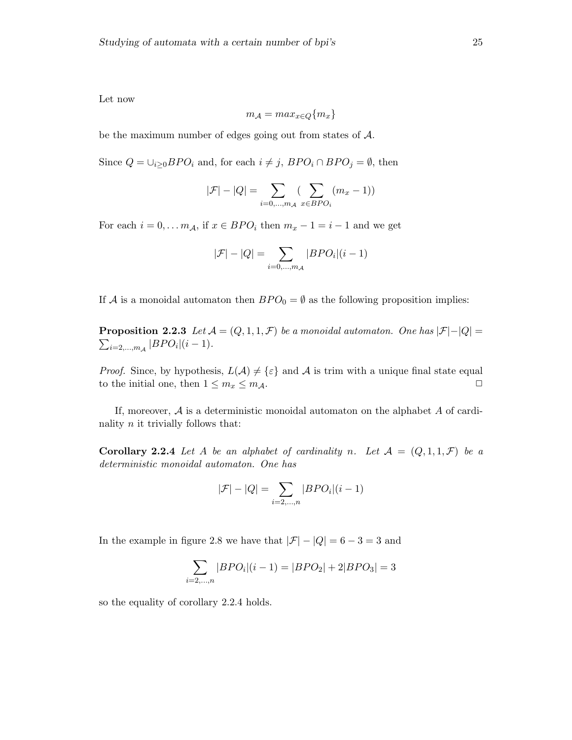Let now

$$
m_{\mathcal{A}} = max_{x \in Q} \{m_x\}
$$

be the maximum number of edges going out from states of A.

Since  $Q = \bigcup_{i \geq 0} BPO_i$  and, for each  $i \neq j$ ,  $BPO_i \cap BPO_j = \emptyset$ , then

$$
|\mathcal{F}| - |Q| = \sum_{i=0,\dots,m_A} \left(\sum_{x \in BPO_i} (m_x - 1)\right)
$$

For each  $i = 0, \ldots m_A$ , if  $x \in BPO_i$  then  $m_x - 1 = i - 1$  and we get

$$
|\mathcal{F}|-|Q|=\sum_{i=0,...,m_{\mathcal{A}}}|BPO_{i}|(i-1)
$$

If A is a monoidal automaton then  $BPO_0 = \emptyset$  as the following proposition implies:

**Proposition 2.2.3** Let  $\mathcal{A} = (Q, 1, 1, \mathcal{F})$  be a monoidal automaton. One has  $|\mathcal{F}|-|Q|=$  $\sum_{i=2,...,m_{\mathcal{A}}} |BPO_i|(i-1).$ 

*Proof.* Since, by hypothesis,  $L(\mathcal{A}) \neq {\varepsilon}$  and  $\mathcal{A}$  is trim with a unique final state equal to the initial one, then  $1 \leq m_x \leq m_{\mathcal{A}}$ .

If, moreover,  $A$  is a deterministic monoidal automaton on the alphabet  $A$  of cardinality  $n$  it trivially follows that:

**Corollary 2.2.4** Let A be an alphabet of cardinality n. Let  $A = (Q, 1, 1, \mathcal{F})$  be a deterministic monoidal automaton. One has

$$
|\mathcal{F}|-|Q|=\sum_{i=2,...,n}|BPO_{i}|(i-1)
$$

In the example in figure 2.8 we have that  $|\mathcal{F}| - |Q| = 6 - 3 = 3$  and

$$
\sum_{i=2,\dots,n} |BPO_i|(i-1) = |BPO_2| + 2|BPO_3| = 3
$$

so the equality of corollary 2.2.4 holds.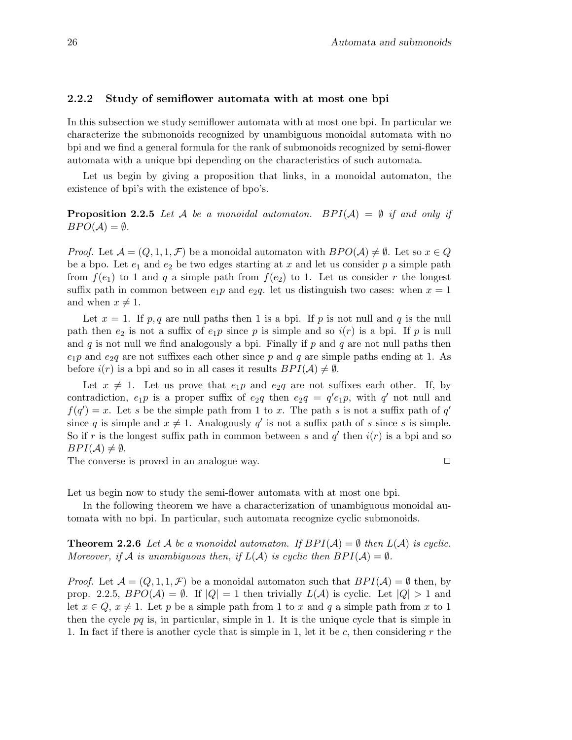### 2.2.2 Study of semiflower automata with at most one bpi

In this subsection we study semiflower automata with at most one bpi. In particular we characterize the submonoids recognized by unambiguous monoidal automata with no bpi and we find a general formula for the rank of submonoids recognized by semi-flower automata with a unique bpi depending on the characteristics of such automata.

Let us begin by giving a proposition that links, in a monoidal automaton, the existence of bpi's with the existence of bpo's.

**Proposition 2.2.5** Let A be a monoidal automaton. BPI(A) =  $\emptyset$  if and only if  $BPO(\mathcal{A})=\emptyset$ .

*Proof.* Let  $\mathcal{A} = (Q, 1, 1, \mathcal{F})$  be a monoidal automaton with  $BPO(\mathcal{A}) \neq \emptyset$ . Let so  $x \in Q$ be a bpo. Let  $e_1$  and  $e_2$  be two edges starting at x and let us consider p a simple path from  $f(e_1)$  to 1 and q a simple path from  $f(e_2)$  to 1. Let us consider r the longest suffix path in common between  $e_1p$  and  $e_2q$ . let us distinguish two cases: when  $x = 1$ and when  $x \neq 1$ .

Let  $x = 1$ . If p, q are null paths then 1 is a bpi. If p is not null and q is the null path then  $e_2$  is not a suffix of  $e_1p$  since p is simple and so  $i(r)$  is a bpi. If p is null and  $q$  is not null we find analogously a bpi. Finally if  $p$  and  $q$  are not null paths then  $e_1p$  and  $e_2q$  are not suffixes each other since p and q are simple paths ending at 1. As before  $i(r)$  is a bpi and so in all cases it results  $BPI(\mathcal{A}) \neq \emptyset$ .

Let  $x \neq 1$ . Let us prove that  $e_1p$  and  $e_2q$  are not suffixes each other. If, by contradiction,  $e_1p$  is a proper suffix of  $e_2q$  then  $e_2q = q'e_1p$ , with q' not null and  $f(q') = x$ . Let s be the simple path from 1 to x. The path s is not a suffix path of q' since q is simple and  $x \neq 1$ . Analogously q' is not a suffix path of s since s is simple. So if r is the longest suffix path in common between s and  $q'$  then  $i(r)$  is a bpi and so  $BPI(\mathcal{A}) \neq \emptyset$ .

The converse is proved in an analogue way.  $\Box$ 

Let us begin now to study the semi-flower automata with at most one bpi.

In the following theorem we have a characterization of unambiguous monoidal automata with no bpi. In particular, such automata recognize cyclic submonoids.

**Theorem 2.2.6** Let A be a monoidal automaton. If  $BPI(A) = \emptyset$  then  $L(A)$  is cyclic. Moreover, if A is unambiguous then, if  $L(A)$  is cyclic then  $BPI(A) = \emptyset$ .

*Proof.* Let  $\mathcal{A} = (Q, 1, 1, \mathcal{F})$  be a monoidal automaton such that  $BPI(\mathcal{A}) = \emptyset$  then, by prop. 2.2.5,  $BPO(\mathcal{A}) = \emptyset$ . If  $|Q| = 1$  then trivially  $L(\mathcal{A})$  is cyclic. Let  $|Q| > 1$  and let  $x \in Q$ ,  $x \neq 1$ . Let p be a simple path from 1 to x and q a simple path from x to 1 then the cycle  $pq$  is, in particular, simple in 1. It is the unique cycle that is simple in 1. In fact if there is another cycle that is simple in 1, let it be  $c$ , then considering  $r$  the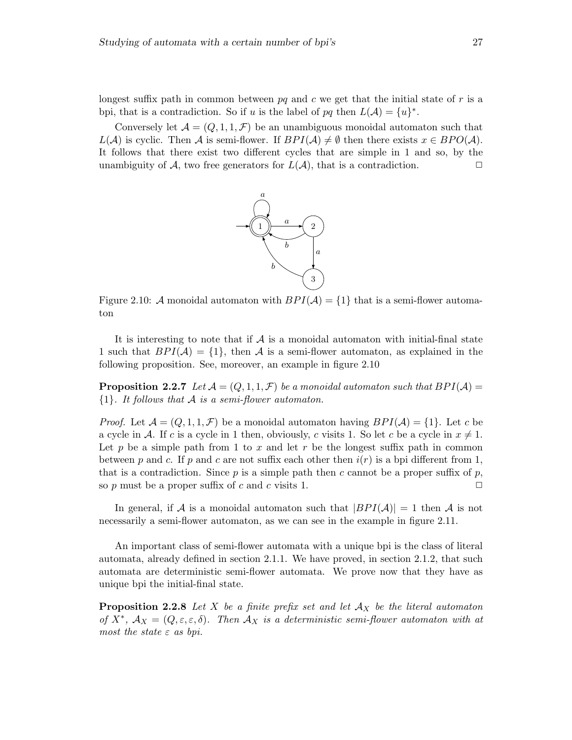Conversely let  $\mathcal{A} = (Q, 1, 1, \mathcal{F})$  be an unambiguous monoidal automaton such that  $L(\mathcal{A})$  is cyclic. Then  $\mathcal A$  is semi-flower. If  $BPI(\mathcal{A})\neq \emptyset$  then there exists  $x\in BPO(\mathcal{A})$ . It follows that there exist two different cycles that are simple in 1 and so, by the unambiguity of  $\mathcal{A}$ , two free generators for  $L(\mathcal{A})$ , that is a contradiction.



Figure 2.10: A monoidal automaton with  $BPI(\mathcal{A}) = \{1\}$  that is a semi-flower automaton

It is interesting to note that if  $A$  is a monoidal automaton with initial-final state 1 such that  $BPI(\mathcal{A}) = \{1\}$ , then  $\mathcal A$  is a semi-flower automaton, as explained in the following proposition. See, moreover, an example in figure 2.10

**Proposition 2.2.7** Let  $\mathcal{A} = (Q, 1, 1, \mathcal{F})$  be a monoidal automaton such that  $BPI(\mathcal{A}) =$  ${1}.$  It follows that A is a semi-flower automaton.

*Proof.* Let  $\mathcal{A} = (Q, 1, 1, \mathcal{F})$  be a monoidal automaton having  $BPI(\mathcal{A}) = \{1\}$ . Let c be a cycle in A. If c is a cycle in 1 then, obviously, c visits 1. So let c be a cycle in  $x \neq 1$ . Let p be a simple path from 1 to x and let r be the longest suffix path in common between p and c. If p and c are not suffix each other then  $i(r)$  is a bpi different from 1, that is a contradiction. Since p is a simple path then c cannot be a proper suffix of p, so p must be a proper suffix of c and c visits 1.  $\Box$ 

In general, if A is a monoidal automaton such that  $|BPI(\mathcal{A})|=1$  then A is not necessarily a semi-flower automaton, as we can see in the example in figure 2.11.

An important class of semi-flower automata with a unique bpi is the class of literal automata, already defined in section 2.1.1. We have proved, in section 2.1.2, that such automata are deterministic semi-flower automata. We prove now that they have as unique bpi the initial-final state.

**Proposition 2.2.8** Let X be a finite prefix set and let  $A_X$  be the literal automator of  $X^*$ ,  $\mathcal{A}_X = (Q, \varepsilon, \varepsilon, \delta)$ . Then  $\mathcal{A}_X$  is a deterministic semi-flower automaton with at most the state  $\varepsilon$  as bpi.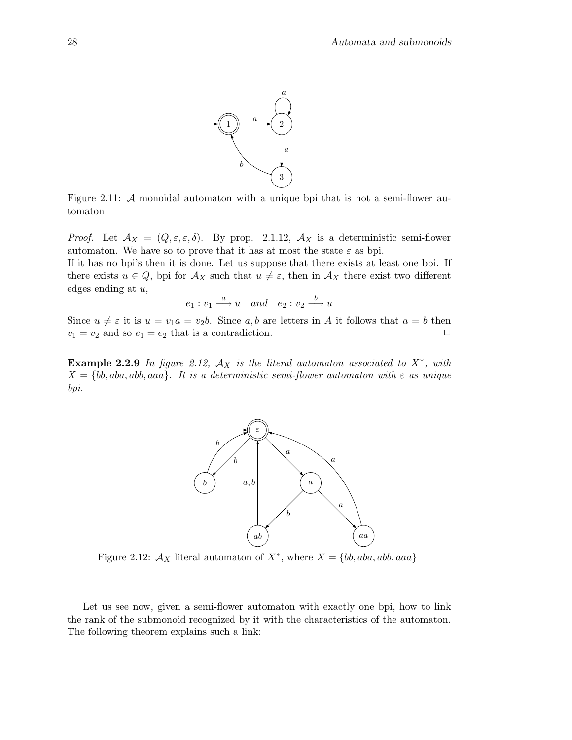

Figure 2.11: A monoidal automaton with a unique bpi that is not a semi-flower automaton

*Proof.* Let  $\mathcal{A}_X = (Q, \varepsilon, \varepsilon, \delta)$ . By prop. 2.1.12,  $\mathcal{A}_X$  is a deterministic semi-flower automaton. We have so to prove that it has at most the state  $\varepsilon$  as bpi.

If it has no bpi's then it is done. Let us suppose that there exists at least one bpi. If there exists  $u \in Q$ , bpi for  $\mathcal{A}_X$  such that  $u \neq \varepsilon$ , then in  $\mathcal{A}_X$  there exist two different edges ending at  $u$ ,

$$
e_1: v_1 \stackrel{a}{\longrightarrow} u \quad and \quad e_2: v_2 \stackrel{b}{\longrightarrow} u
$$

Since  $u \neq \varepsilon$  it is  $u = v_1 a = v_2 b$ . Since a, b are letters in A it follows that  $a = b$  then  $v_1 = v_2$  and so  $e_1 = e_2$  that is a contradiction.

Example 2.2.9 In figure 2.12,  $\mathcal{A}_X$  is the literal automaton associated to  $X^*$ , with  $X = \{bb, aba, aba, abb,aaa\}.$  It is a deterministic semi-flower automaton with  $\varepsilon$  as unique bpi.



Figure 2.12:  $\mathcal{A}_X$  literal automaton of  $X^*$ , where  $X = \{bb, aba, abb, aaa\}$ 

Let us see now, given a semi-flower automaton with exactly one bpi, how to link the rank of the submonoid recognized by it with the characteristics of the automaton. The following theorem explains such a link: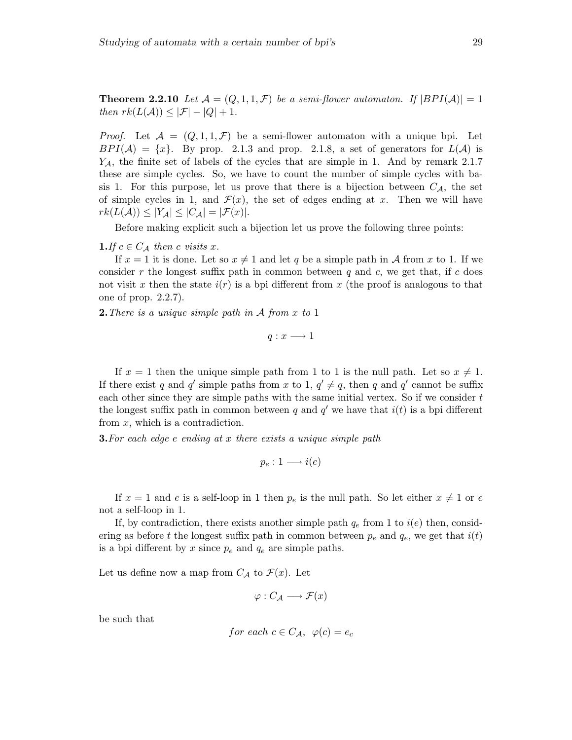*Proof.* Let  $\mathcal{A} = (Q, 1, 1, \mathcal{F})$  be a semi-flower automaton with a unique bpi. Let  $BPI(\mathcal{A}) = \{x\}.$  By prop. 2.1.3 and prop. 2.1.8, a set of generators for  $L(\mathcal{A})$  is  $Y_A$ , the finite set of labels of the cycles that are simple in 1. And by remark 2.1.7 these are simple cycles. So, we have to count the number of simple cycles with basis 1. For this purpose, let us prove that there is a bijection between  $C_A$ , the set of simple cycles in 1, and  $\mathcal{F}(x)$ , the set of edges ending at x. Then we will have  $rk(L(\mathcal{A})) \leq |Y_{\mathcal{A}}| \leq |C_{\mathcal{A}}| = |\mathcal{F}(x)|.$ 

Before making explicit such a bijection let us prove the following three points:

### **1.** If  $c \in C_A$  then c visits x.

If  $x = 1$  it is done. Let so  $x \neq 1$  and let q be a simple path in A from x to 1. If we consider r the longest suffix path in common between  $q$  and  $c$ , we get that, if  $c$  does not visit x then the state  $i(r)$  is a bpi different from x (the proof is analogous to that one of prop. 2.2.7).

**2.** There is a unique simple path in  $A$  from  $x$  to 1

$$
q:x\longrightarrow 1
$$

If  $x = 1$  then the unique simple path from 1 to 1 is the null path. Let so  $x \neq 1$ . If there exist q and q' simple paths from x to 1,  $q' \neq q$ , then q and q' cannot be suffix each other since they are simple paths with the same initial vertex. So if we consider  $t$ the longest suffix path in common between q and  $q'$  we have that  $i(t)$  is a bpi different from x, which is a contradiction.

**3.** For each edge e ending at x there exists a unique simple path

$$
p_e: 1 \longrightarrow i(e)
$$

If  $x = 1$  and e is a self-loop in 1 then  $p_e$  is the null path. So let either  $x \neq 1$  or e not a self-loop in 1.

If, by contradiction, there exists another simple path  $q_e$  from 1 to  $i(e)$  then, considering as before t the longest suffix path in common between  $p_e$  and  $q_e$ , we get that  $i(t)$ is a bpi different by x since  $p_e$  and  $q_e$  are simple paths.

Let us define now a map from  $C_A$  to  $\mathcal{F}(x)$ . Let

$$
\varphi : C_{\mathcal{A}} \longrightarrow \mathcal{F}(x)
$$

be such that

for each 
$$
c \in C_{\mathcal{A}}
$$
,  $\varphi(c) = e_c$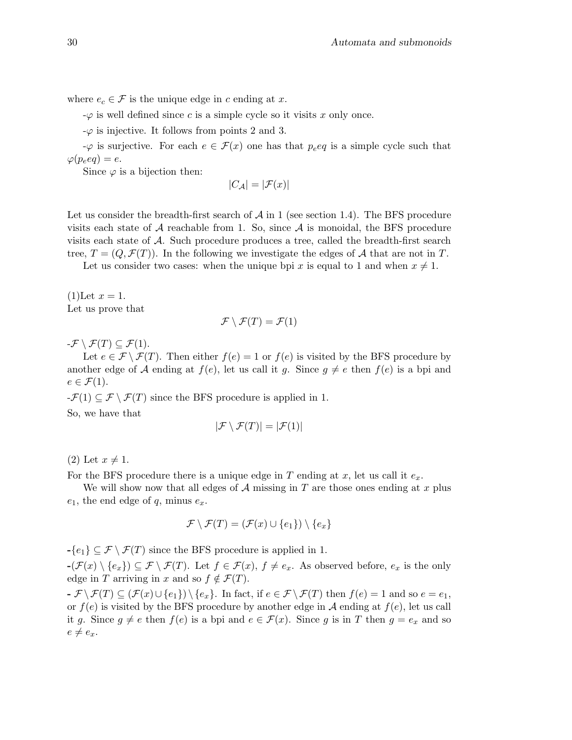where  $e_c \in \mathcal{F}$  is the unique edge in c ending at x.

 $-\varphi$  is well defined since c is a simple cycle so it visits x only once.

 $-\varphi$  is injective. It follows from points 2 and 3.

 $-\varphi$  is surjective. For each  $e \in \mathcal{F}(x)$  one has that  $p_e \in \mathcal{G}$  is a simple cycle such that  $\varphi(p_eeq) = e.$ 

Since  $\varphi$  is a bijection then:

$$
|C_{\mathcal{A}}| = |\mathcal{F}(x)|
$$

Let us consider the breadth-first search of  $A$  in 1 (see section 1.4). The BFS procedure visits each state of  $A$  reachable from 1. So, since  $A$  is monoidal, the BFS procedure visits each state of A. Such procedure produces a tree, called the breadth-first search tree,  $T = (Q, \mathcal{F}(T))$ . In the following we investigate the edges of A that are not in T.

Let us consider two cases: when the unique bpi x is equal to 1 and when  $x \neq 1$ .

 $(1)$ Let  $x = 1$ . Let us prove that

$$
\mathcal{F}\setminus \mathcal{F}(T)=\mathcal{F}(1)
$$

 $-\mathcal{F} \setminus \mathcal{F}(T) \subseteq \mathcal{F}(1).$ 

Let  $e \in \mathcal{F} \setminus \mathcal{F}(T)$ . Then either  $f(e) = 1$  or  $f(e)$  is visited by the BFS procedure by another edge of A ending at  $f(e)$ , let us call it g. Since  $g \neq e$  then  $f(e)$  is a bpi and  $e \in \mathcal{F}(1)$ .

 $-\mathcal{F}(1) \subseteq \mathcal{F} \setminus \mathcal{F}(T)$  since the BFS procedure is applied in 1. So, we have that

$$
|\mathcal{F} \setminus \mathcal{F}(T)| = |\mathcal{F}(1)|
$$

 $(2)$  Let  $x \neq 1$ .

For the BFS procedure there is a unique edge in T ending at x, let us call it  $e_x$ .

We will show now that all edges of  $A$  missing in  $T$  are those ones ending at  $x$  plus  $e_1$ , the end edge of q, minus  $e_x$ .

$$
\mathcal{F} \setminus \mathcal{F}(T) = (\mathcal{F}(x) \cup \{e_1\}) \setminus \{e_x\}
$$

 $-\{e_1\} \subseteq \mathcal{F} \setminus \mathcal{F}(T)$  since the BFS procedure is applied in 1.

 $-(\mathcal{F}(x) \setminus \{e_x\}) \subseteq \mathcal{F} \setminus \mathcal{F}(T)$ . Let  $f \in \mathcal{F}(x)$ ,  $f \neq e_x$ . As observed before,  $e_x$  is the only edge in T arriving in x and so  $f \notin \mathcal{F}(T)$ .

 $-\mathcal{F}\setminus\mathcal{F}(T)\subseteq(\mathcal{F}(x)\cup\{e_1\})\setminus\{e_x\}.$  In fact, if  $e\in\mathcal{F}\setminus\mathcal{F}(T)$  then  $f(e)=1$  and so  $e=e_1$ , or  $f(e)$  is visited by the BFS procedure by another edge in A ending at  $f(e)$ , let us call it g. Since  $g \neq e$  then  $f(e)$  is a bpi and  $e \in \mathcal{F}(x)$ . Since g is in T then  $g = e_x$  and so  $e \neq e_x$ .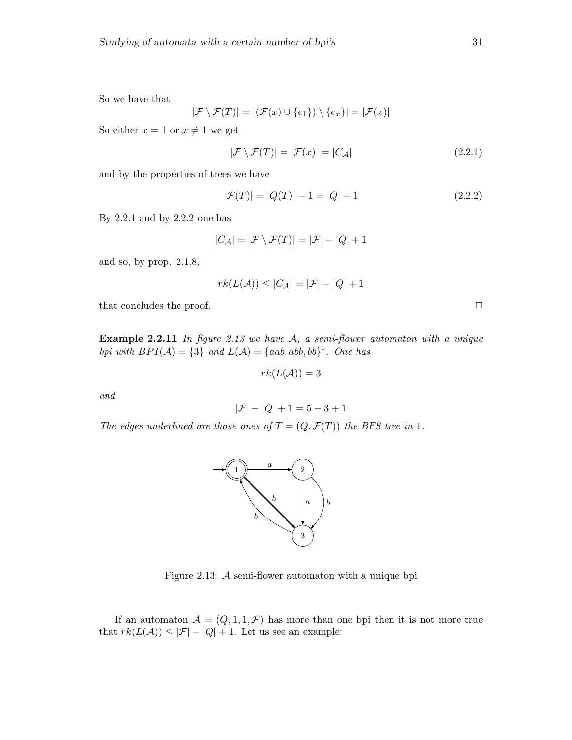So we have that

$$
|\mathcal{F} \setminus \mathcal{F}(T)| = |(\mathcal{F}(x) \cup \{e_1\}) \setminus \{e_x\}| = |\mathcal{F}(x)|
$$

So either  $x = 1$  or  $x \neq 1$  we get

$$
|\mathcal{F} \setminus \mathcal{F}(T)| = |\mathcal{F}(x)| = |C_{\mathcal{A}}| \tag{2.2.1}
$$

and by the properties of trees we have

$$
|\mathcal{F}(T)| = |Q(T)| - 1 = |Q| - 1 \tag{2.2.2}
$$

By 2.2.1 and by 2.2.2 one has

$$
|C_{\mathcal{A}}| = |\mathcal{F} \setminus \mathcal{F}(T)| = |\mathcal{F}| - |Q| + 1
$$

and so, by prop. 2.1.8,

$$
rk(L(\mathcal{A}))\leq |C_{\mathcal{A}}|=|\mathcal{F}|-|Q|+1
$$

that concludes the proof.  $\Box$ 

**Example 2.2.11** In figure 2.13 we have  $A$ , a semi-flower automaton with a unique bpi with  $BPI(\mathcal{A}) = \{3\}$  and  $L(\mathcal{A}) = \{aab, abb, bb\}^*$ . One has

$$
rk(L(\mathcal{A}))=3
$$

and

$$
|\mathcal{F}|-|Q|+1=5-3+1
$$

The edges underlined are those ones of  $T = (Q, \mathcal{F}(T))$  the BFS tree in 1.



Figure 2.13: A semi-flower automaton with a unique bpi

If an automaton  $\mathcal{A} = (Q, 1, 1, \mathcal{F})$  has more than one bpi then it is not more true that  $rk(L(\mathcal{A})) \leq |\mathcal{F}| - |Q| + 1$ . Let us see an example: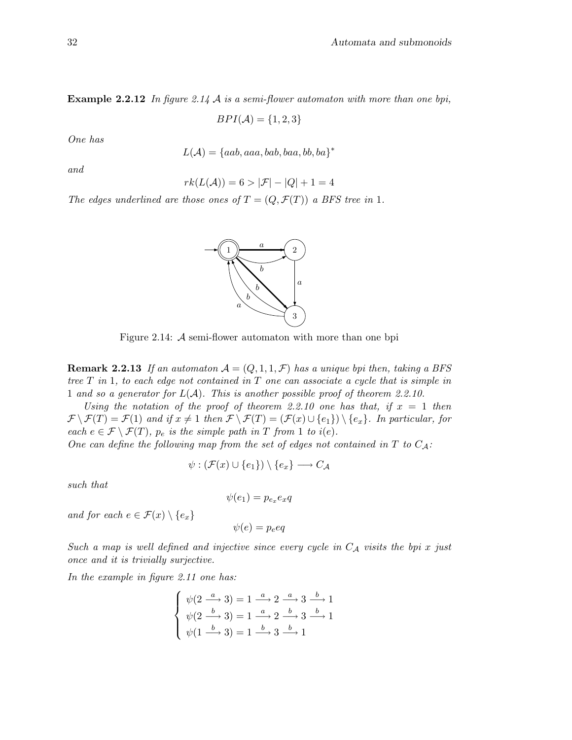**Example 2.2.12** In figure 2.14 A is a semi-flower automaton with more than one bpi,

 $BPI(\mathcal{A}) = \{1, 2, 3\}$ 

One has

$$
L(\mathcal{A}) = \{aab,aaa, bab, baa, bb, ba\}^*
$$

and

$$
rk(L(\mathcal{A})) = 6 > |\mathcal{F}| - |Q| + 1 = 4
$$

1  $\rightarrow$  2

b

a

a

The edges underlined are those ones of  $T = (Q, \mathcal{F}(T))$  a BFS tree in 1.



b b

Figure 2.14: A semi-flower automaton with more than one bpi

**Remark 2.2.13** If an automaton  $A = (Q, 1, 1, \mathcal{F})$  has a unique bpi then, taking a BFS tree  $T$  in 1, to each edge not contained in  $T$  one can associate a cycle that is simple in 1 and so a generator for  $L(\mathcal{A})$ . This is another possible proof of theorem 2.2.10.

Using the notation of the proof of theorem 2.2.10 one has that, if  $x = 1$  then  $\mathcal{F} \setminus \mathcal{F}(T) = \mathcal{F}(1)$  and if  $x \neq 1$  then  $\mathcal{F} \setminus \mathcal{F}(T) = (\mathcal{F}(x) \cup \{e_1\}) \setminus \{e_x\}$ . In particular, for each  $e \in \mathcal{F} \setminus \mathcal{F}(T)$ ,  $p_e$  is the simple path in T from 1 to i(e).

One can define the following map from the set of edges not contained in T to  $C_{\mathcal{A}}$ :

$$
\psi : (\mathcal{F}(x) \cup \{e_1\}) \setminus \{e_x\} \longrightarrow C_{\mathcal{A}}
$$

such that

$$
\psi(e_1) = p_{e_x}e_xq
$$

and for each  $e \in \mathcal{F}(x) \setminus \{e_x\}$ 

$$
\psi(e) = p_e e q
$$

Such a map is well defined and injective since every cycle in  $C_A$  visits the bpi x just once and it is trivially surjective.

In the example in figure 2.11 one has:

$$
\begin{cases} \psi(2 \xrightarrow{a} 3) = 1 \xrightarrow{a} 2 \xrightarrow{a} 3 \xrightarrow{b} 1 \\ \psi(2 \xrightarrow{b} 3) = 1 \xrightarrow{a} 2 \xrightarrow{b} 3 \xrightarrow{b} 1 \\ \psi(1 \xrightarrow{b} 3) = 1 \xrightarrow{b} 3 \xrightarrow{b} 1 \end{cases}
$$

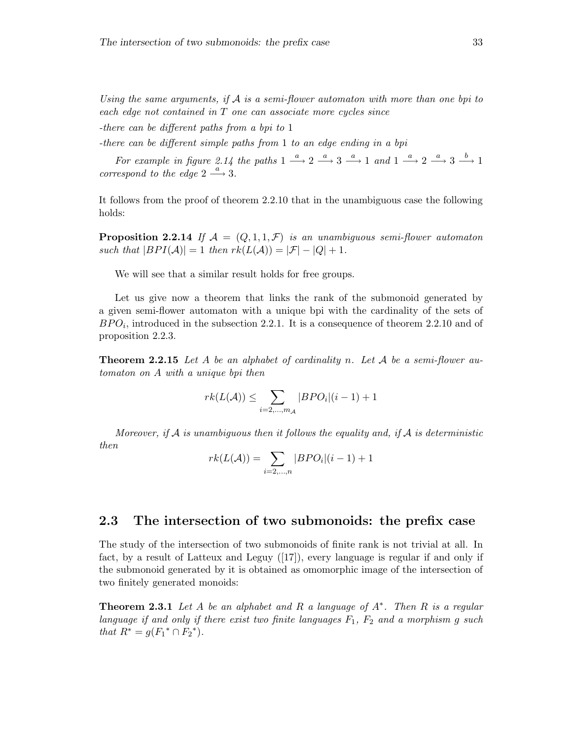Using the same arguments, if  $A$  is a semi-flower automaton with more than one bpi to each edge not contained in T one can associate more cycles since

-there can be different paths from a bpi to 1

-there can be different simple paths from 1 to an edge ending in a bpi

For example in figure 2.14 the paths  $1 \stackrel{a}{\longrightarrow} 2 \stackrel{a}{\longrightarrow} 3 \stackrel{a}{\longrightarrow} 1$  and  $1 \stackrel{a}{\longrightarrow} 2 \stackrel{a}{\longrightarrow} 3 \stackrel{b}{\longrightarrow} 1$ correspond to the edge  $2 \stackrel{a}{\longrightarrow} 3$ .

It follows from the proof of theorem 2.2.10 that in the unambiguous case the following holds:

**Proposition 2.2.14** If  $\mathcal{A} = (Q, 1, 1, \mathcal{F})$  is an unambiguous semi-flower automaton such that  $|BPI(\mathcal{A})|=1$  then  $rk(L(\mathcal{A}))=|\mathcal{F}|-|Q|+1$ .

We will see that a similar result holds for free groups.

Let us give now a theorem that links the rank of the submonoid generated by a given semi-flower automaton with a unique bpi with the cardinality of the sets of  $BPO_i$ , introduced in the subsection 2.2.1. It is a consequence of theorem 2.2.10 and of proposition 2.2.3.

**Theorem 2.2.15** Let A be an alphabet of cardinality n. Let A be a semi-flower automaton on A with a unique bpi then

$$
rk(L(\mathcal{A})) \le \sum_{i=2,\dots,m_{\mathcal{A}}} |BPO_i|(i-1) + 1
$$

Moreover, if  $A$  is unambiquous then it follows the equality and, if  $A$  is deterministic then

$$
rk(L(\mathcal{A}))=\sum_{i=2,\ldots,n}|BPO_{i}|(i-1)+1
$$

# 2.3 The intersection of two submonoids: the prefix case

The study of the intersection of two submonoids of finite rank is not trivial at all. In fact, by a result of Latteux and Leguy ([17]), every language is regular if and only if the submonoid generated by it is obtained as omomorphic image of the intersection of two finitely generated monoids:

**Theorem 2.3.1** Let A be an alphabet and R a language of  $A^*$ . Then R is a regular language if and only if there exist two finite languages  $F_1$ ,  $F_2$  and a morphism g such that  $R^* = g(F_1^* \cap F_2^*)$ .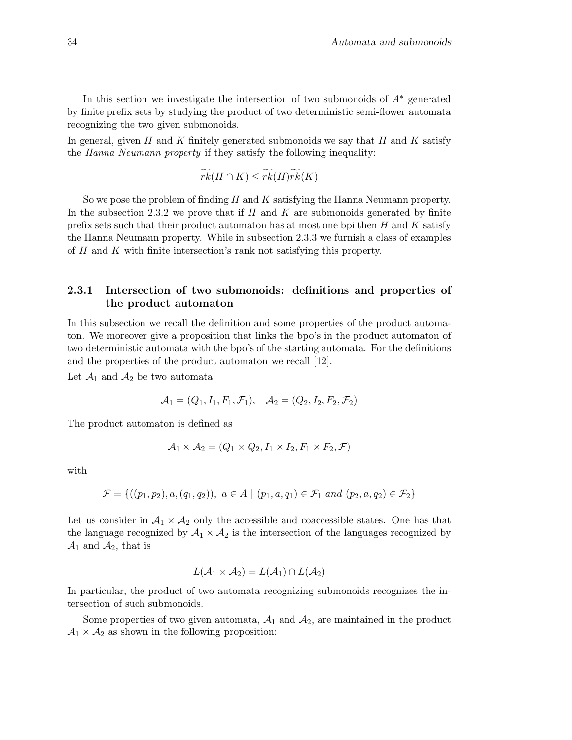In this section we investigate the intersection of two submonoids of  $A^*$  generated by finite prefix sets by studying the product of two deterministic semi-flower automata recognizing the two given submonoids.

In general, given H and K finitely generated submonoids we say that H and K satisfy the Hanna Neumann property if they satisfy the following inequality:

$$
\widetilde{rk}(H\cap K)\leq \widetilde{rk}(H)\widetilde{rk}(K)
$$

So we pose the problem of finding  $H$  and  $K$  satisfying the Hanna Neumann property. In the subsection 2.3.2 we prove that if  $H$  and  $K$  are submonoids generated by finite prefix sets such that their product automaton has at most one bpi then  $H$  and  $K$  satisfy the Hanna Neumann property. While in subsection 2.3.3 we furnish a class of examples of H and K with finite intersection's rank not satisfying this property.

# 2.3.1 Intersection of two submonoids: definitions and properties of the product automaton

In this subsection we recall the definition and some properties of the product automaton. We moreover give a proposition that links the bpo's in the product automaton of two deterministic automata with the bpo's of the starting automata. For the definitions and the properties of the product automaton we recall [12].

Let  $\mathcal{A}_1$  and  $\mathcal{A}_2$  be two automata

$$
A_1 = (Q_1, I_1, F_1, \mathcal{F}_1), \quad A_2 = (Q_2, I_2, F_2, \mathcal{F}_2)
$$

The product automaton is defined as

$$
\mathcal{A}_1 \times \mathcal{A}_2 = (Q_1 \times Q_2, I_1 \times I_2, F_1 \times F_2, \mathcal{F})
$$

with

$$
\mathcal{F} = \{((p_1, p_2), a, (q_1, q_2)), a \in A \mid (p_1, a, q_1) \in \mathcal{F}_1 \text{ and } (p_2, a, q_2) \in \mathcal{F}_2\}
$$

Let us consider in  $A_1 \times A_2$  only the accessible and coaccessible states. One has that the language recognized by  $A_1 \times A_2$  is the intersection of the languages recognized by  $\mathcal{A}_1$  and  $\mathcal{A}_2$ , that is

$$
L(\mathcal{A}_1 \times \mathcal{A}_2) = L(\mathcal{A}_1) \cap L(\mathcal{A}_2)
$$

In particular, the product of two automata recognizing submonoids recognizes the intersection of such submonoids.

Some properties of two given automata,  $A_1$  and  $A_2$ , are maintained in the product  $A_1 \times A_2$  as shown in the following proposition: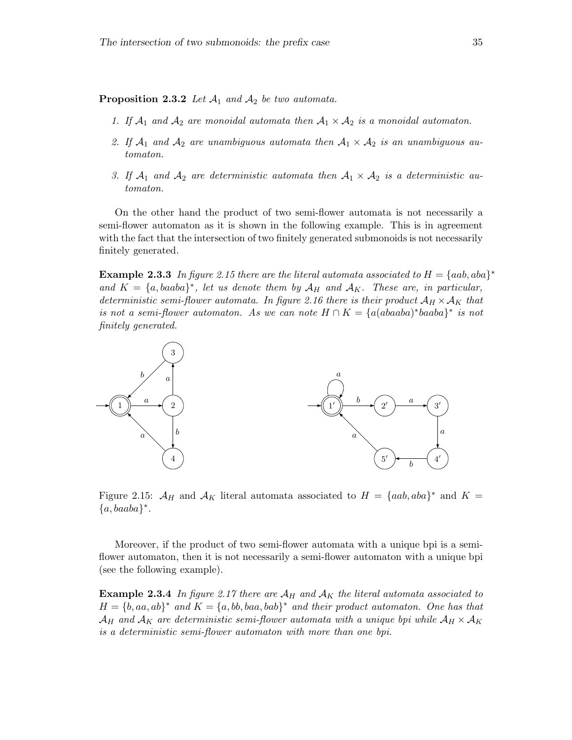**Proposition 2.3.2** Let  $\mathcal{A}_1$  and  $\mathcal{A}_2$  be two automata.

- 1. If  $A_1$  and  $A_2$  are monoidal automata then  $A_1 \times A_2$  is a monoidal automaton.
- 2. If  $A_1$  and  $A_2$  are unambiguous automata then  $A_1 \times A_2$  is an unambiguous automaton.
- 3. If  $A_1$  and  $A_2$  are deterministic automata then  $A_1 \times A_2$  is a deterministic automaton.

On the other hand the product of two semi-flower automata is not necessarily a semi-flower automaton as it is shown in the following example. This is in agreement with the fact that the intersection of two finitely generated submonoids is not necessarily finitely generated.

**Example 2.3.3** In figure 2.15 there are the literal automata associated to  $H = \{aab, aba\}^*$ and  $K = \{a, baaba\}^*$ , let us denote them by  $\mathcal{A}_H$  and  $\mathcal{A}_K$ . These are, in particular, deterministic semi-flower automata. In figure 2.16 there is their product  $A_H \times A_K$  that is not a semi-flower automaton. As we can note  $H \cap K = \{a(abaaba)^*baaba\}^*$  is not finitely generated.



Figure 2.15:  $\mathcal{A}_H$  and  $\mathcal{A}_K$  literal automata associated to  $H = \{aab, aba\}^*$  and  $K =$  ${a, baaba}$ \*.

Moreover, if the product of two semi-flower automata with a unique bpi is a semiflower automaton, then it is not necessarily a semi-flower automaton with a unique bpi (see the following example).

**Example 2.3.4** In figure 2.17 there are  $A_H$  and  $A_K$  the literal automata associated to  $H = \{b, aa, ab\}^*$  and  $K = \{a, bb, baa, bab\}^*$  and their product automaton. One has that  $\mathcal{A}_H$  and  $\mathcal{A}_K$  are deterministic semi-flower automata with a unique bpi while  $\mathcal{A}_H \times \mathcal{A}_K$ is a deterministic semi-flower automaton with more than one bpi.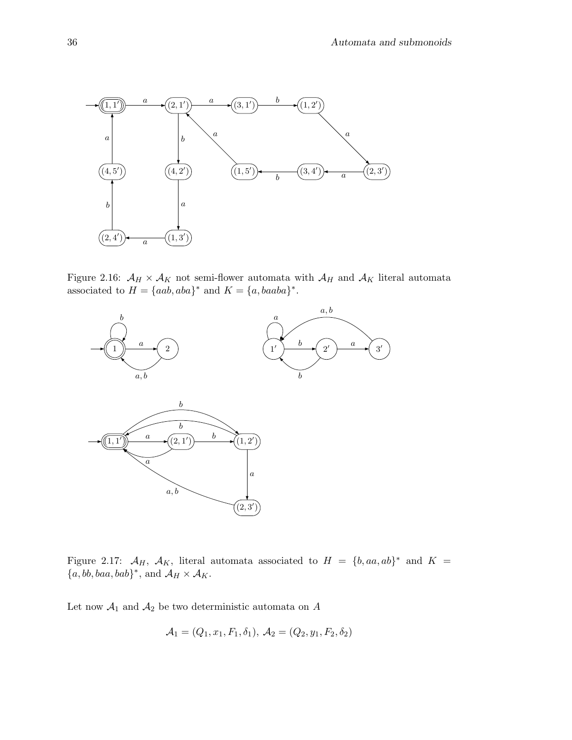

Figure 2.16:  $\mathcal{A}_H \times \mathcal{A}_K$  not semi-flower automata with  $\mathcal{A}_H$  and  $\mathcal{A}_K$  literal automata associated to  $H = \{aab, aba\}^*$  and  $K = \{a, baaba\}^*$ .



Figure 2.17:  $\mathcal{A}_H$ ,  $\mathcal{A}_K$ , literal automata associated to  $H = \{b, aa, ab\}^*$  and  $K =$  ${a, bb, baa, bab}^*$ , and  $\mathcal{A}_H \times \mathcal{A}_K$ .

Let now  $\mathcal{A}_1$  and  $\mathcal{A}_2$  be two deterministic automata on  $A$ 

$$
A_1 = (Q_1, x_1, F_1, \delta_1), A_2 = (Q_2, y_1, F_2, \delta_2)
$$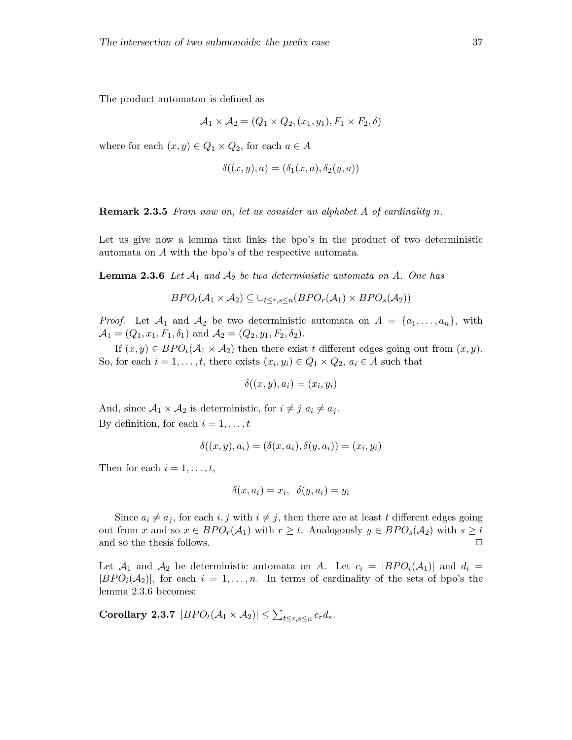The product automaton is defined as

$$
A_1 \times A_2 = (Q_1 \times Q_2, (x_1, y_1), F_1 \times F_2, \delta)
$$

where for each  $(x, y) \in Q_1 \times Q_2$ , for each  $a \in A$ 

$$
\delta((x,y),a)=(\delta_1(x,a),\delta_2(y,a))
$$

Remark 2.3.5 From now on, let us consider an alphabet A of cardinality n.

Let us give now a lemma that links the bpo's in the product of two deterministic automata on A with the bpo's of the respective automata.

**Lemma 2.3.6** Let  $A_1$  and  $A_2$  be two deterministic automata on A. One has

$$
BPO_{t}(\mathcal{A}_{1} \times \mathcal{A}_{2}) \subseteq \cup_{t \leq r,s \leq n} (BPO_{r}(\mathcal{A}_{1}) \times BPO_{s}(\mathcal{A}_{2}))
$$

*Proof.* Let  $A_1$  and  $A_2$  be two deterministic automata on  $A = \{a_1, \ldots, a_n\}$ , with  $\mathcal{A}_1 = (Q_1, x_1, F_1, \delta_1)$  and  $\mathcal{A}_2 = (Q_2, y_1, F_2, \delta_2)$ .

If  $(x,y) \in BPO<sub>t</sub>(A<sub>1</sub> \times A<sub>2</sub>)$  then there exist t different edges going out from  $(x,y)$ . So, for each  $i = 1, \ldots, t$ , there exists  $(x_i, y_i) \in Q_1 \times Q_2$ ,  $a_i \in A$  such that

$$
\delta((x,y),a_i)=(x_i,y_i)
$$

And, since  $A_1 \times A_2$  is deterministic, for  $i \neq j$   $a_i \neq a_j$ . By definition, for each  $i = 1, \ldots, t$ 

$$
\delta((x,y),a_i) = (\delta(x,a_i),\delta(y,a_i)) = (x_i,y_i)
$$

Then for each  $i = 1, \ldots, t$ ,

$$
\delta(x, a_i) = x_i, \ \ \delta(y, a_i) = y_i
$$

Since  $a_i \neq a_j$ , for each  $i, j$  with  $i \neq j$ , then there are at least t different edges going out from x and so  $x \in BPO_r(\mathcal{A}_1)$  with  $r \geq t$ . Analogously  $y \in BPO_s(\mathcal{A}_2)$  with  $s \geq t$ and so the thesis follows.

Let  $\mathcal{A}_1$  and  $\mathcal{A}_2$  be deterministic automata on A. Let  $c_i = |BPO_i(\mathcal{A}_1)|$  and  $d_i =$  $|BPO_i(\mathcal{A}_2)|$ , for each  $i = 1,\ldots,n$ . In terms of cardinality of the sets of bpo's the lemma 2.3.6 becomes:

Corollary 2.3.7  $|BPO_t(A_1 \times A_2)| \leq \sum_{t \leq r,s \leq n} c_r d_s$ .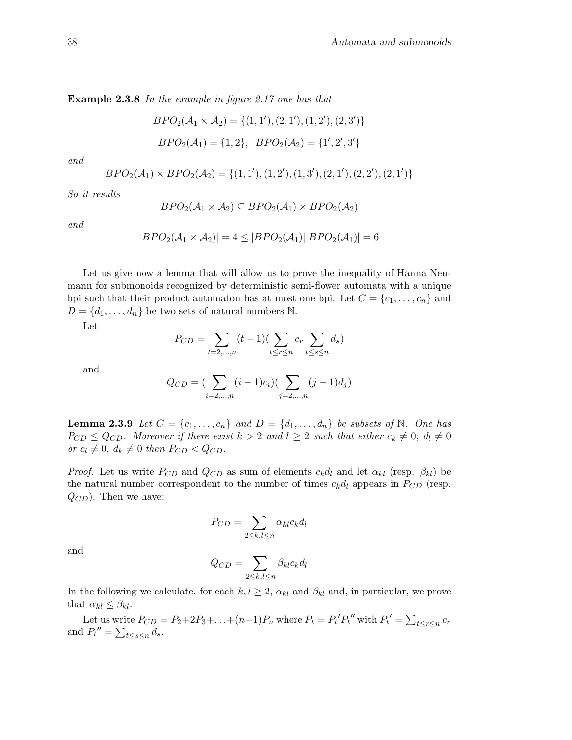Example 2.3.8 In the example in figure 2.17 one has that

$$
BPO2(A1 × A2) = \{(1, 1'), (2, 1'), (1, 2'), (2, 3')\}
$$
  

$$
BPO2(A1) = \{1, 2\}, \ BPO2(A2) = \{1', 2', 3'\}
$$

and

$$
BPO_{2}(\mathcal{A}_{1}) \times BPO_{2}(\mathcal{A}_{2}) = \{(1,1'), (1,2'), (1,3'), (2,1'), (2,2'), (2,1')\}
$$

So it results

$$
BPO_{2}(\mathcal{A}_{1} \times \mathcal{A}_{2}) \subseteq BPO_{2}(\mathcal{A}_{1}) \times BPO_{2}(\mathcal{A}_{2})
$$

and

$$
|BPO_2(\mathcal{A}_1 \times \mathcal{A}_2)| = 4 \leq |BPO_2(\mathcal{A}_1)||BPO_2(\mathcal{A}_1)| = 6
$$

Let us give now a lemma that will allow us to prove the inequality of Hanna Neumann for submonoids recognized by deterministic semi-flower automata with a unique bpi such that their product automaton has at most one bpi. Let  $C = \{c_1, \ldots, c_n\}$  and  $D = \{d_1, \ldots, d_n\}$  be two sets of natural numbers N.

Let

$$
P_{CD} = \sum_{t=2,\dots,n} (t-1) (\sum_{t \le r \le n} c_r \sum_{t \le s \le n} d_s)
$$

and

$$
Q_{CD} = \left(\sum_{i=2,\dots,n} (i-1)c_i\right)\left(\sum_{j=2,\dots,n} (j-1)d_j\right)
$$

**Lemma 2.3.9** Let  $C = \{c_1, \ldots, c_n\}$  and  $D = \{d_1, \ldots, d_n\}$  be subsets of N. One has  $P_{CD} \leq Q_{CD}$ . Moreover if there exist  $k > 2$  and  $l \geq 2$  such that either  $c_k \neq 0, d_l \neq 0$ or  $c_l \neq 0$ ,  $d_k \neq 0$  then  $P_{CD} < Q_{CD}$ .

*Proof.* Let us write  $P_{CD}$  and  $Q_{CD}$  as sum of elements  $c_k d_l$  and let  $\alpha_{kl}$  (resp.  $\beta_{kl}$ ) be the natural number correspondent to the number of times  $c_k d_l$  appears in  $P_{CD}$  (resp.  $Q_{CD}$ ). Then we have:

$$
P_{CD} = \sum_{2 \le k,l \le n} \alpha_{kl} c_k d_l
$$

and

$$
Q_{CD} = \sum_{2 \le k,l \le n} \beta_{kl} c_k d_l
$$

In the following we calculate, for each  $k, l \geq 2$ ,  $\alpha_{kl}$  and  $\beta_{kl}$  and, in particular, we prove that  $\alpha_{kl} \leq \beta_{kl}$ .

Let us write  $P_{CD} = P_2 + 2P_3 + \ldots + (n-1)P_n$  where  $P_t = P_t' P_t''$  with  $P_t' = \sum_{t \leq r \leq n} c_r$ and  $P_t'' = \sum_{t \leq s \leq n} d_s$ .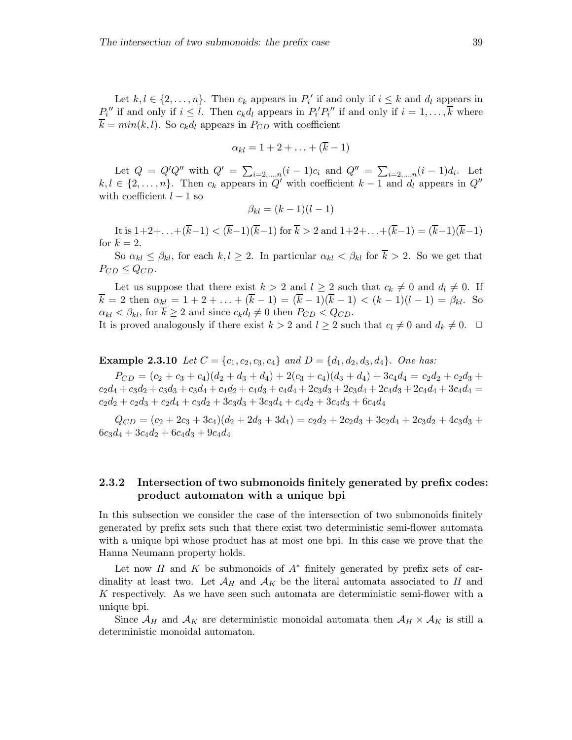Let  $k, l \in \{2, ..., n\}$ . Then  $c_k$  appears in  $P'_i$  if and only if  $i \leq k$  and  $d_l$  appears in  $P_i''$  if and only if  $i \leq l$ . Then  $c_k d_l$  appears in  $P_i' P_i''$  if and only if  $i = 1, \ldots, \overline{k}$  where  $\overline{k} = min(k, l)$ . So  $c_k d_l$  appears in  $P_{CD}$  with coefficient

$$
\alpha_{kl}=1+2+\ldots+(\overline{k}-1)
$$

Let  $Q = Q'Q''$  with  $Q' = \sum_{i=2,...,n} (i-1)c_i$  and  $Q'' = \sum_{i=2,...,n} (i-1)d_i$ . Let  $k, l \in \{2, \ldots, n\}$ . Then  $c_k$  appears in  $Q'$  with coefficient  $k-1$  and  $d_l$  appears in  $Q''$ with coefficient  $l - 1$  so

$$
\beta_{kl} = (k-1)(l-1)
$$

It is  $1+2+\ldots+(\overline{k}-1) < (\overline{k}-1)(\overline{k}-1)$  for  $\overline{k} > 2$  and  $1+2+\ldots+(\overline{k}-1) = (\overline{k}-1)(\overline{k}-1)$ for  $\overline{k} = 2$ .

So  $\alpha_{kl} \leq \beta_{kl}$ , for each  $k, l \geq 2$ . In particular  $\alpha_{kl} < \beta_{kl}$  for  $\overline{k} > 2$ . So we get that  $P_{CD} \leq Q_{CD}$ .

Let us suppose that there exist  $k > 2$  and  $l \geq 2$  such that  $c_k \neq 0$  and  $d_l \neq 0$ . If  $k = 2$  then  $\alpha_{kl} = 1 + 2 + \ldots + (k - 1) = (k - 1)(k - 1) < (k - 1)(l - 1) = \beta_{kl}$ . So  $\alpha_{kl} < \beta_{kl}$ , for  $k \geq 2$  and since  $c_k d_l \neq 0$  then  $P_{CD} < Q_{CD}$ .

It is proved analogously if there exist  $k > 2$  and  $l \geq 2$  such that  $c_l \neq 0$  and  $d_k \neq 0$ .  $\Box$ 

**Example 2.3.10** Let  $C = \{c_1, c_2, c_3, c_4\}$  and  $D = \{d_1, d_2, d_3, d_4\}$ . One has:

 $P_{CD} = (c_2 + c_3 + c_4)(d_2 + d_3 + d_4) + 2(c_3 + c_4)(d_3 + d_4) + 3c_4d_4 = c_2d_2 + c_2d_3 +$  $c_2d_4 + c_3d_2 + c_3d_3 + c_3d_4 + c_4d_2 + c_4d_3 + c_4d_4 + 2c_3d_3 + 2c_3d_4 + 2c_4d_3 + 2c_4d_4 + 3c_4d_4 =$  $c_2d_2 + c_2d_3 + c_2d_4 + c_3d_2 + 3c_3d_3 + 3c_3d_4 + c_4d_2 + 3c_4d_3 + 6c_4d_4$ 

 $Q_{CD} = (c_2 + 2c_3 + 3c_4)(d_2 + 2d_3 + 3d_4) = c_2d_2 + 2c_2d_3 + 3c_2d_4 + 2c_3d_2 + 4c_3d_3 +$  $6c_3d_4 + 3c_4d_2 + 6c_4d_3 + 9c_4d_4$ 

### 2.3.2 Intersection of two submonoids finitely generated by prefix codes: product automaton with a unique bpi

In this subsection we consider the case of the intersection of two submonoids finitely generated by prefix sets such that there exist two deterministic semi-flower automata with a unique bpi whose product has at most one bpi. In this case we prove that the Hanna Neumann property holds.

Let now H and K be submonoids of  $A^*$  finitely generated by prefix sets of cardinality at least two. Let  $\mathcal{A}_H$  and  $\mathcal{A}_K$  be the literal automata associated to H and K respectively. As we have seen such automata are deterministic semi-flower with a unique bpi.

Since  $\mathcal{A}_H$  and  $\mathcal{A}_K$  are deterministic monoidal automata then  $\mathcal{A}_H \times \mathcal{A}_K$  is still a deterministic monoidal automaton.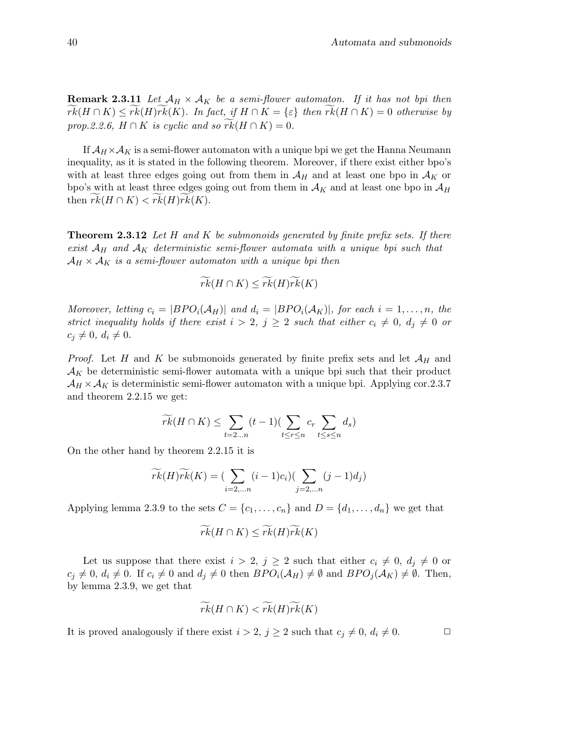**Remark 2.3.11** Let  $\mathcal{A}_H \times \mathcal{A}_K$  be a semi-flower automaton. If it has not bpi then  $rk(H \cap K) \leq rk(H)rk(K)$ . In fact, if  $H \cap K = \{\varepsilon\}$  then  $rk(H \cap K) = 0$  otherwise by prop.2.2.6,  $H \cap K$  is cyclic and so  $rk(H \cap K) = 0$ .

If  $\mathcal{A}_H \times \mathcal{A}_K$  is a semi-flower automaton with a unique bpi we get the Hanna Neumann inequality, as it is stated in the following theorem. Moreover, if there exist either bpo's with at least three edges going out from them in  $\mathcal{A}_H$  and at least one bpo in  $\mathcal{A}_K$  or bpo's with at least three edges going out from them in  $A_K$  and at least one bpo in  $A_H$ then  $rk(H \cap K) < rk(H)rk(K)$ .

**Theorem 2.3.12** Let H and K be submonoids generated by finite prefix sets. If there exist  $A_H$  and  $A_K$  deterministic semi-flower automata with a unique bpi such that  $\mathcal{A}_H \times \mathcal{A}_K$  is a semi-flower automaton with a unique bpi then

$$
\widetilde{rk}(H \cap K) \leq \widetilde{rk}(H)\widetilde{rk}(K)
$$

Moreover, letting  $c_i = |BPO_i(A_H)|$  and  $d_i = |BPO_i(A_K)|$ , for each  $i = 1, \ldots, n$ , the strict inequality holds if there exist  $i > 2$ ,  $j \geq 2$  such that either  $c_i \neq 0$ ,  $d_j \neq 0$  or  $c_i \neq 0, d_i \neq 0.$ 

*Proof.* Let H and K be submonoids generated by finite prefix sets and let  $\mathcal{A}_H$  and  $\mathcal{A}_K$  be deterministic semi-flower automata with a unique bpi such that their product  $\mathcal{A}_H \times \mathcal{A}_K$  is deterministic semi-flower automaton with a unique bpi. Applying cor.2.3.7 and theorem 2.2.15 we get:

$$
\widetilde{rk}(H\cap K) \leq \sum_{t=2...n} (t-1) \left( \sum_{t\leq r\leq n} c_r \sum_{t\leq s\leq n} d_s \right)
$$

On the other hand by theorem 2.2.15 it is

$$
\widetilde{rk}(H)\widetilde{rk}(K) = \left(\sum_{i=2,\dots n} (i-1)c_i\right)\left(\sum_{j=2,\dots n} (j-1)d_j\right)
$$

Applying lemma 2.3.9 to the sets  $C = \{c_1, \ldots, c_n\}$  and  $D = \{d_1, \ldots, d_n\}$  we get that

$$
\widetilde{rk}(H \cap K) \leq \widetilde{rk}(H)\widetilde{rk}(K)
$$

Let us suppose that there exist  $i > 2$ ,  $j \geq 2$  such that either  $c_i \neq 0$ ,  $d_j \neq 0$  or  $c_j \neq 0, d_i \neq 0$ . If  $c_i \neq 0$  and  $d_j \neq 0$  then  $BPO_i(\mathcal{A}_H) \neq \emptyset$  and  $BPO_j(\mathcal{A}_K) \neq \emptyset$ . Then, by lemma 2.3.9, we get that

$$
\widetilde{rk}(H\cap K) < \widetilde{rk}(H)\widetilde{rk}(K)
$$

It is proved analogously if there exist  $i > 2$ ,  $j \geq 2$  such that  $c_i \neq 0$ ,  $d_i \neq 0$ .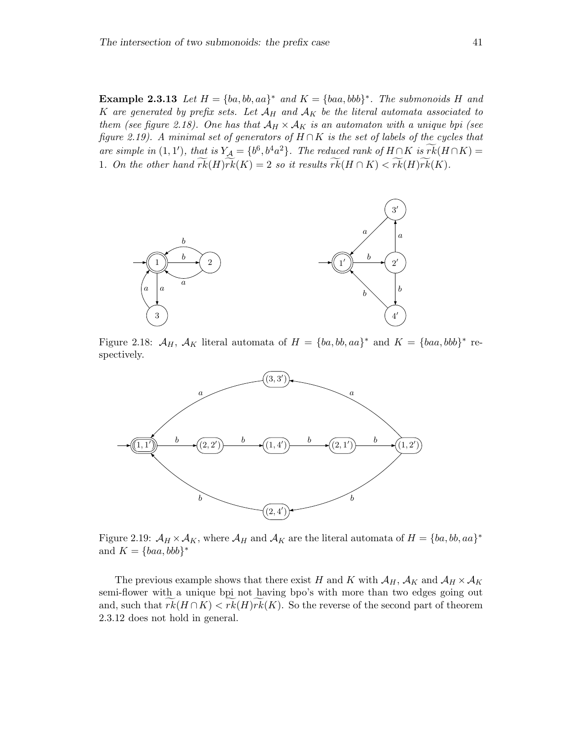**Example 2.3.13** Let  $H = \{ba, bb, aa\}^*$  and  $K = \{baa, bbb\}^*$ . The submonoids H and K are generated by prefix sets. Let  $A_H$  and  $A_K$  be the literal automata associated to them (see figure 2.18). One has that  $A_H \times A_K$  is an automaton with a unique bpi (see figure 2.19). A minimal set of generators of  $H \cap K$  is the set of labels of the cycles that are simple in (1, 1'), that is  $Y_A = \{b^6, b^4a^2\}$ . The reduced rank of  $H \cap K$  is  $rk(H \cap K) =$ 1. On the other hand  $\widetilde{rk}(H)\widetilde{rk}(K) = 2$  so it results  $\widetilde{rk}(H \cap K) < \widetilde{rk}(H)\widetilde{rk}(K)$ .



Figure 2.18:  $\mathcal{A}_H$ ,  $\mathcal{A}_K$  literal automata of  $H = \{ba, bb, aa\}^*$  and  $K = \{baa, bbb\}^*$  respectively.



Figure 2.19:  $\mathcal{A}_H \times \mathcal{A}_K$ , where  $\mathcal{A}_H$  and  $\mathcal{A}_K$  are the literal automata of  $H = \{ba, bb, aa\}^*$ and  $K = \{baa, bbb\}^*$ 

The previous example shows that there exist H and K with  $\mathcal{A}_H$ ,  $\mathcal{A}_K$  and  $\mathcal{A}_H \times \mathcal{A}_K$ semi-flower with a unique bpi not having bpo's with more than two edges going out and, such that  $rk(H \cap K) < rk(H)rk(K)$ . So the reverse of the second part of theorem 2.3.12 does not hold in general.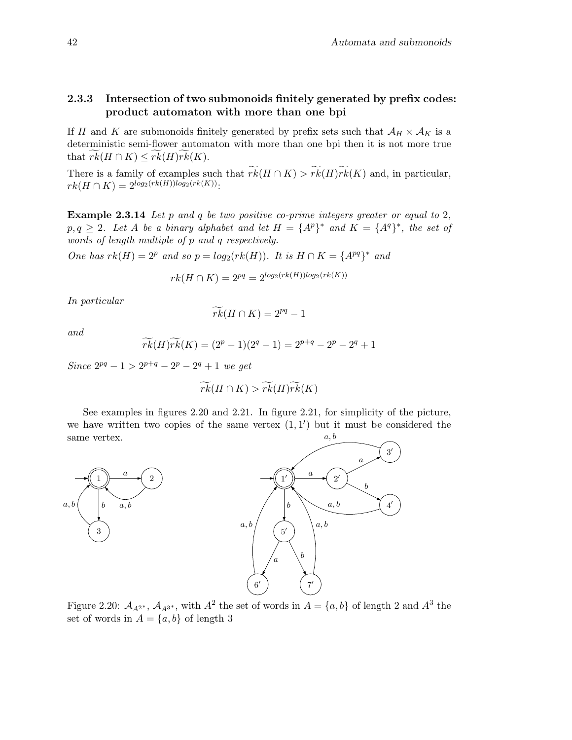# 2.3.3 Intersection of two submonoids finitely generated by prefix codes: product automaton with more than one bpi

If H and K are submonoids finitely generated by prefix sets such that  $\mathcal{A}_H \times \mathcal{A}_K$  is a deterministic semi-flower automaton with more than one bpi then it is not more true that  $rk(H \cap K) \leq rk(H)rk(K)$ .

There is a family of examples such that  $\widetilde{rk}(H \cap K) > \widetilde{rk}(H)\widetilde{rk}(K)$  and, in particular,  $rk(H \cap K) = 2^{log_2(rk(H))log_2(rk(K))}$ :

Example 2.3.14 Let p and q be two positive co-prime integers greater or equal to 2,  $p,q \geq 2$ . Let A be a binary alphabet and let  $H = \{A^p\}^*$  and  $K = \{A^q\}^*$ , the set of words of length multiple of p and q respectively.

One has  $rk(H) = 2^p$  and so  $p = log_2(rk(H))$ . It is  $H \cap K = \{A^{pq}\}^*$  and

$$
rk(H \cap K) = 2^{pq} = 2^{\log_2(rk(H))\log_2(rk(K))}
$$

In particular

$$
\widetilde{rk}(H \cap K) = 2^{pq} - 1
$$

and

$$
\widetilde{rk}(H)\widetilde{rk}(K) = (2^p - 1)(2^q - 1) = 2^{p+q} - 2^p - 2^q + 1
$$

Since  $2^{pq} - 1 > 2^{p+q} - 2^p - 2^q + 1$  we get

$$
\widetilde{rk}(H \cap K) > \widetilde{rk}(H)\widetilde{rk}(K)
$$

See examples in figures 2.20 and 2.21. In figure 2.21, for simplicity of the picture, we have written two copies of the same vertex  $(1,1')$  but it must be considered the same vertex. a, b





Figure 2.20:  $\mathcal{A}_{A^{2^*}}$ ,  $\mathcal{A}_{A^{3^*}}$ , with  $A^2$  the set of words in  $A = \{a, b\}$  of length 2 and  $A^3$  the set of words in  $A = \{a, b\}$  of length 3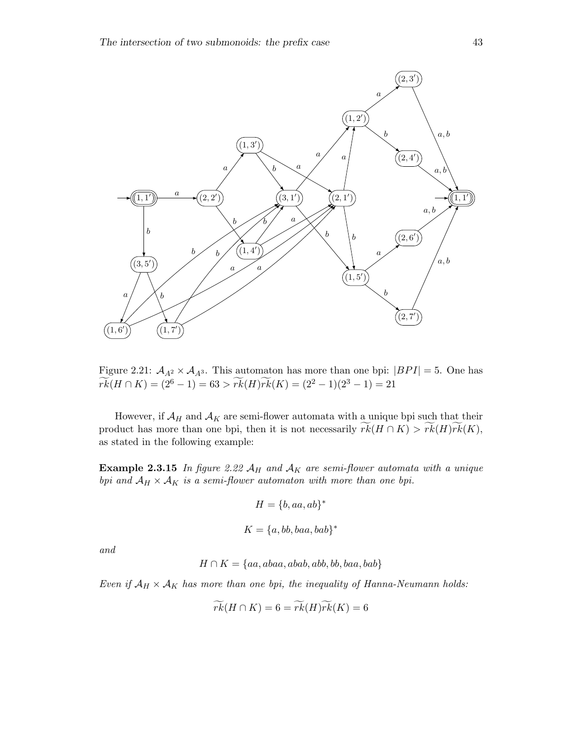

Figure 2.21:  $A_{A^2} \times A_{A^3}$ . This automaton has more than one bpi:  $|BPI| = 5$ . One has  $\widetilde{rk}(H \cap K) = (2^6 - 1) = 63 > \widetilde{rk}(H)\widetilde{rk}(K) = (2^2 - 1)(2^3 - 1) = 21$ 

However, if  $\mathcal{A}_H$  and  $\mathcal{A}_K$  are semi-flower automata with a unique bpi such that their product has more than one bpi, then it is not necessarily  $rk(H \cap K) > rk(H)\widetilde{rk}(K)$ , as stated in the following example:

**Example 2.3.15** In figure 2.22  $A_H$  and  $A_K$  are semi-flower automata with a unique bpi and  $A_H \times A_K$  is a semi-flower automaton with more than one bpi.

$$
H = \{b, aa, ab\}^*
$$

$$
K = \{a, bb, baa, bab\}^*
$$

and

$$
H \cap K = \{aa, abaa, abab, abb, bb, baa, bab\}
$$

Even if  $A_H \times A_K$  has more than one bpi, the inequality of Hanna-Neumann holds:

$$
\widetilde{rk}(H\cap K)=6=\widetilde{rk}(H)\widetilde{rk}(K)=6
$$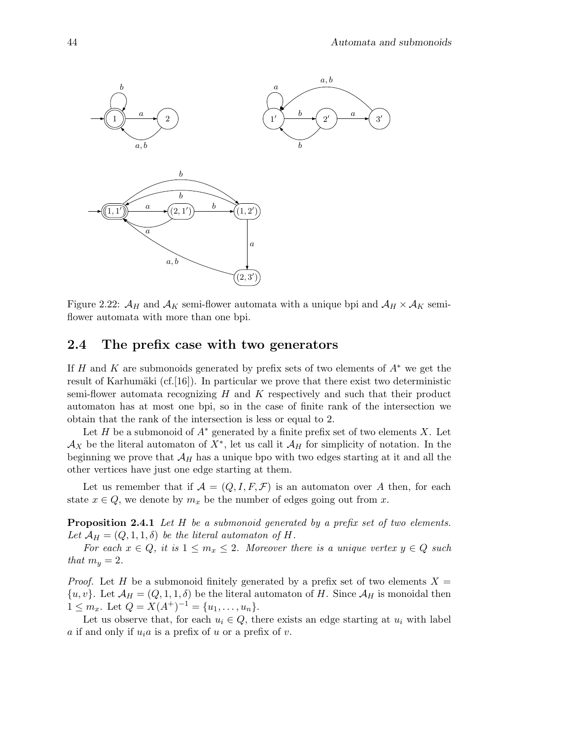

Figure 2.22:  $\mathcal{A}_H$  and  $\mathcal{A}_K$  semi-flower automata with a unique bpi and  $\mathcal{A}_H \times \mathcal{A}_K$  semiflower automata with more than one bpi.

# 2.4 The prefix case with two generators

If H and K are submonoids generated by prefix sets of two elements of  $A^*$  we get the result of Karhumäki (cf. [16]). In particular we prove that there exist two deterministic semi-flower automata recognizing  $H$  and  $K$  respectively and such that their product automaton has at most one bpi, so in the case of finite rank of the intersection we obtain that the rank of the intersection is less or equal to 2.

Let H be a submonoid of  $A^*$  generated by a finite prefix set of two elements X. Let  $\mathcal{A}_X$  be the literal automaton of  $X^*$ , let us call it  $\mathcal{A}_H$  for simplicity of notation. In the beginning we prove that  $\mathcal{A}_H$  has a unique bpo with two edges starting at it and all the other vertices have just one edge starting at them.

Let us remember that if  $\mathcal{A} = (Q, I, F, \mathcal{F})$  is an automaton over A then, for each state  $x \in Q$ , we denote by  $m_x$  be the number of edges going out from x.

Proposition 2.4.1 Let H be a submonoid generated by a prefix set of two elements. Let  $\mathcal{A}_H = (Q, 1, 1, \delta)$  be the literal automaton of H.

For each  $x \in Q$ , it is  $1 \leq m_x \leq 2$ . Moreover there is a unique vertex  $y \in Q$  such that  $m_y = 2$ .

*Proof.* Let H be a submonoid finitely generated by a prefix set of two elements  $X =$  $\{u, v\}$ . Let  $\mathcal{A}_H = (Q, 1, 1, \delta)$  be the literal automaton of H. Since  $\mathcal{A}_H$  is monoidal then  $1 \leq m_x$ . Let  $Q = X(A^+)^{-1} = \{u_1, \ldots, u_n\}.$ 

Let us observe that, for each  $u_i \in Q$ , there exists an edge starting at  $u_i$  with label a if and only if  $u_i a$  is a prefix of u or a prefix of v.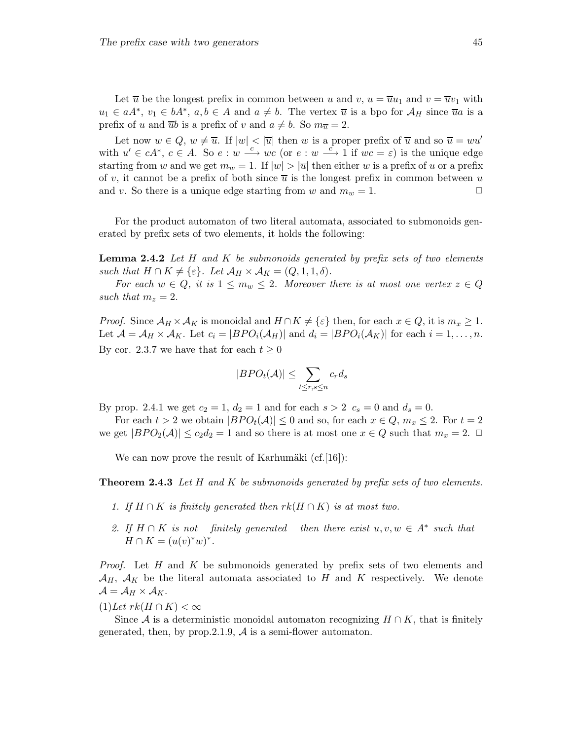Let  $\overline{u}$  be the longest prefix in common between u and v,  $u = \overline{u}u_1$  and  $v = \overline{u}v_1$  with  $u_1 \in aA^*$ ,  $v_1 \in bA^*$ ,  $a, b \in A$  and  $a \neq b$ . The vertex  $\overline{u}$  is a bpo for  $A_H$  since  $\overline{u}a$  is a prefix of u and  $\overline{u}b$  is a prefix of v and  $a \neq b$ . So  $m_{\overline{u}} = 2$ .

Let now  $w \in Q$ ,  $w \neq \overline{u}$ . If  $|w| < |\overline{u}|$  then w is a proper prefix of  $\overline{u}$  and so  $\overline{u} = w u'$ with  $u' \in cA^*$ ,  $c \in A$ . So  $e : w \stackrel{c}{\longrightarrow} wc$  (or  $e : w \stackrel{c}{\longrightarrow} 1$  if  $wc = \varepsilon$ ) is the unique edge starting from w and we get  $m_w = 1$ . If  $|w| > |\overline{u}|$  then either w is a prefix of u or a prefix of v, it cannot be a prefix of both since  $\overline{u}$  is the longest prefix in common between u and v. So there is a unique edge starting from w and  $m_w = 1$ .

For the product automaton of two literal automata, associated to submonoids generated by prefix sets of two elements, it holds the following:

**Lemma 2.4.2** Let H and K be submonoids generated by prefix sets of two elements such that  $H \cap K \neq \{\varepsilon\}$ . Let  $\mathcal{A}_H \times \mathcal{A}_K = (Q, 1, 1, \delta)$ .

For each  $w \in Q$ , it is  $1 \leq m_w \leq 2$ . Moreover there is at most one vertex  $z \in Q$ such that  $m_z = 2$ .

*Proof.* Since  $\mathcal{A}_H \times \mathcal{A}_K$  is monoidal and  $H \cap K \neq {\varepsilon}$  then, for each  $x \in Q$ , it is  $m_x \geq 1$ . Let  $\mathcal{A} = \mathcal{A}_H \times \mathcal{A}_K$ . Let  $c_i = |BPO_i(\mathcal{A}_H)|$  and  $d_i = |BPO_i(\mathcal{A}_K)|$  for each  $i = 1, \ldots, n$ . By cor. 2.3.7 we have that for each  $t \geq 0$ 

$$
|BPO_t(\mathcal{A})| \le \sum_{t \le r, s \le n} c_r d_s
$$

By prop. 2.4.1 we get  $c_2 = 1$ ,  $d_2 = 1$  and for each  $s > 2$   $c_s = 0$  and  $d_s = 0$ .

For each  $t > 2$  we obtain  $|BPO_t(\mathcal{A})| \leq 0$  and so, for each  $x \in Q$ ,  $m_x \leq 2$ . For  $t = 2$ we get  $|BPO_2(\mathcal{A})| \leq c_2d_2 = 1$  and so there is at most one  $x \in Q$  such that  $m_x = 2$ .

We can now prove the result of Karhumäki  $(cf.[16])$ :

**Theorem 2.4.3** Let H and K be submonoids generated by prefix sets of two elements.

- 1. If  $H \cap K$  is finitely generated then  $rk(H \cap K)$  is at most two.
- 2. If  $H \cap K$  is not finitely generated then there exist  $u, v, w \in A^*$  such that  $H \cap K = (u(v)^*w)^*.$

*Proof.* Let H and K be submonoids generated by prefix sets of two elements and  $\mathcal{A}_H$ ,  $\mathcal{A}_K$  be the literal automata associated to H and K respectively. We denote  $\mathcal{A} = \mathcal{A}_H \times \mathcal{A}_K.$ 

 $(1)$ Let  $rk(H \cap K) < \infty$ 

Since A is a deterministic monoidal automaton recognizing  $H \cap K$ , that is finitely generated, then, by prop. 2.1.9,  $A$  is a semi-flower automaton.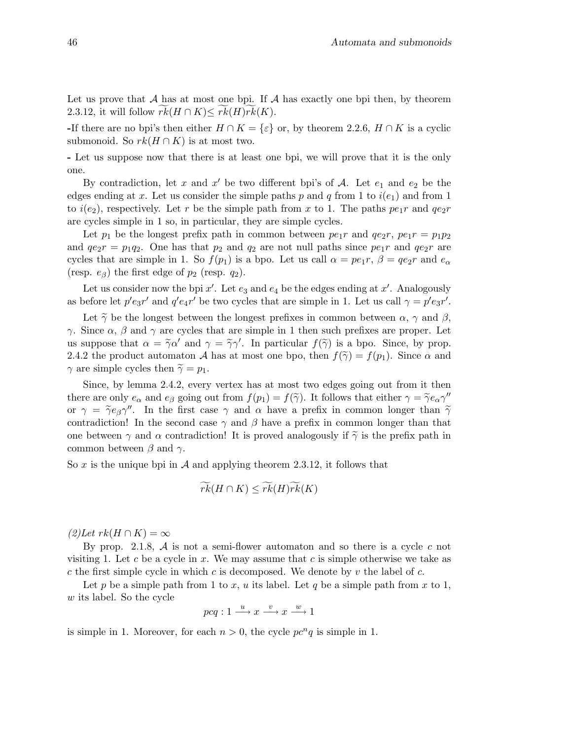Let us prove that  $A$  has at most one bpi. If  $A$  has exactly one bpi then, by theorem 2.3.12, it will follow  $rk(H \cap K) \leq rk(H)rk(K)$ .

-If there are no bpi's then either  $H \cap K = \{\varepsilon\}$  or, by theorem 2.2.6,  $H \cap K$  is a cyclic submonoid. So  $rk(H \cap K)$  is at most two.

- Let us suppose now that there is at least one bpi, we will prove that it is the only one.

By contradiction, let x and x' be two different bpi's of A. Let  $e_1$  and  $e_2$  be the edges ending at x. Let us consider the simple paths p and q from 1 to  $i(e_1)$  and from 1 to  $i(e_2)$ , respectively. Let r be the simple path from x to 1. The paths  $pe_1r$  and  $qe_2r$ are cycles simple in 1 so, in particular, they are simple cycles.

Let  $p_1$  be the longest prefix path in common between  $pe_1r$  and  $qe_2r$ ,  $pe_1r = p_1p_2$ and  $q e_2 r = p_1 q_2$ . One has that  $p_2$  and  $q_2$  are not null paths since  $p e_1 r$  and  $q e_2 r$  are cycles that are simple in 1. So  $f(p_1)$  is a bpo. Let us call  $\alpha = pe_1r$ ,  $\beta = qe_2r$  and  $e_{\alpha}$ (resp.  $e_{\beta}$ ) the first edge of  $p_2$  (resp.  $q_2$ ).

Let us consider now the bpi  $x'$ . Let  $e_3$  and  $e_4$  be the edges ending at  $x'$ . Analogously as before let  $p'e_{3}r'$  and  $q'e_{4}r'$  be two cycles that are simple in 1. Let us call  $\gamma = p'e_{3}r'$ .

Let  $\tilde{\gamma}$  be the longest between the longest prefixes in common between  $\alpha$ ,  $\gamma$  and  $\beta$ , γ. Since  $\alpha$ ,  $\beta$  and  $\gamma$  are cycles that are simple in 1 then such prefixes are proper. Let us suppose that  $\alpha = \tilde{\gamma}\alpha'$  and  $\gamma = \tilde{\gamma}\gamma'$ . In particular  $f(\tilde{\gamma})$  is a bpo. Since, by prop. 2.4.2 the product automaton A has at most one bpo, then  $f(\tilde{\gamma}) = f(p_1)$ . Since  $\alpha$  and  $\gamma$  are simple cycles then  $\tilde{\gamma} = p_1$ .

Since, by lemma 2.4.2, every vertex has at most two edges going out from it then there are only  $e_{\alpha}$  and  $e_{\beta}$  going out from  $f(p_1) = f(\tilde{\gamma})$ . It follows that either  $\gamma = \tilde{\gamma}e_{\alpha}\gamma''$ or  $\gamma = \tilde{\gamma} e_{\beta} \gamma''$ . In the first case  $\gamma$  and  $\alpha$  have a prefix in common longer than  $\tilde{\gamma}$ contradiction! In the second case  $\gamma$  and  $\beta$  have a prefix in common longer than that one between  $\gamma$  and  $\alpha$  contradiction! It is proved analogously if  $\tilde{\gamma}$  is the prefix path in common between  $\beta$  and  $\gamma$ .

So x is the unique bpi in A and applying theorem 2.3.12, it follows that

$$
\widetilde{rk}(H \cap K) \leq \widetilde{rk}(H)\widetilde{rk}(K)
$$

 $(2)$ Let  $rk(H\cap K)=\infty$ 

By prop. 2.1.8,  $\mathcal A$  is not a semi-flower automaton and so there is a cycle c not visiting 1. Let c be a cycle in x. We may assume that c is simple otherwise we take as c the first simple cycle in which c is decomposed. We denote by v the label of c.

Let p be a simple path from 1 to x, u its label. Let q be a simple path from x to 1, w its label. So the cycle

$$
pcq: 1 \xrightarrow{u} x \xrightarrow{v} x \xrightarrow{w} 1
$$

is simple in 1. Moreover, for each  $n > 0$ , the cycle  $pc<sup>n</sup>q$  is simple in 1.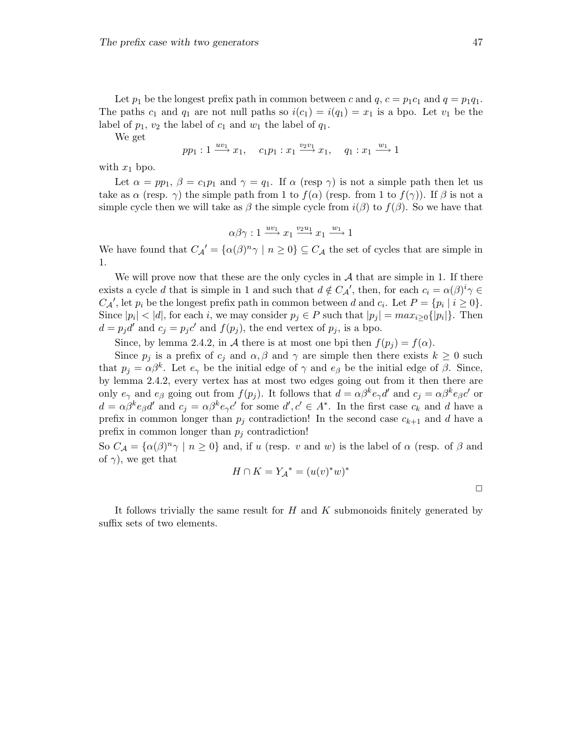Let  $p_1$  be the longest prefix path in common between c and  $q$ ,  $c = p_1c_1$  and  $q = p_1q_1$ . The paths  $c_1$  and  $q_1$  are not null paths so  $i(c_1) = i(q_1) = x_1$  is a bpo. Let  $v_1$  be the label of  $p_1, v_2$  the label of  $c_1$  and  $w_1$  the label of  $q_1$ .

We get

$$
pp_1: 1 \xrightarrow{uv_1} x_1, \quad c_1p_1: x_1 \xrightarrow{v_2v_1} x_1, \quad q_1: x_1 \xrightarrow{w_1} 1
$$

with  $x_1$  bpo.

Let  $\alpha = pp_1$ ,  $\beta = c_1p_1$  and  $\gamma = q_1$ . If  $\alpha$  (resp  $\gamma$ ) is not a simple path then let us take as  $\alpha$  (resp.  $\gamma$ ) the simple path from 1 to  $f(\alpha)$  (resp. from 1 to  $f(\gamma)$ ). If  $\beta$  is not a simple cycle then we will take as  $\beta$  the simple cycle from  $i(\beta)$  to  $f(\beta)$ . So we have that

$$
\alpha \beta \gamma : 1 \xrightarrow{uv_1} x_1 \xrightarrow{v_2u_1} x_1 \xrightarrow{w_1} 1
$$

We have found that  $C_{\mathcal{A}}' = {\alpha(\beta)^n \gamma \mid n \geq 0} \subseteq C_{\mathcal{A}}$  the set of cycles that are simple in 1.

We will prove now that these are the only cycles in  $A$  that are simple in 1. If there exists a cycle d that is simple in 1 and such that  $d \notin C_{\mathcal{A}}'$ , then, for each  $c_i = \alpha(\beta)^i \gamma \in$  $C_A'$ , let  $p_i$  be the longest prefix path in common between d and  $c_i$ . Let  $P = \{p_i \mid i \geq 0\}$ . Since  $|p_i| < |d|$ , for each i, we may consider  $p_j \in P$  such that  $|p_j| = max_{i \geq 0} \{|p_i|\}$ . Then  $d = p_j d'$  and  $c_j = p_j c'$  and  $f(p_j)$ , the end vertex of  $p_j$ , is a bpo.

Since, by lemma 2.4.2, in A there is at most one bpi then  $f(p_i) = f(\alpha)$ .

Since  $p_i$  is a prefix of  $c_i$  and  $\alpha, \beta$  and  $\gamma$  are simple then there exists  $k \geq 0$  such that  $p_j = \alpha \beta^k$ . Let  $e_\gamma$  be the initial edge of  $\gamma$  and  $e_\beta$  be the initial edge of  $\beta$ . Since, by lemma 2.4.2, every vertex has at most two edges going out from it then there are only  $e_\gamma$  and  $e_\beta$  going out from  $f(p_j)$ . It follows that  $d = \alpha \beta^k e_\gamma d'$  and  $c_j = \alpha \beta^k e_\beta c'$  or  $d = \alpha \beta^k e_\beta d'$  and  $c_j = \alpha \beta^k e_\gamma c'$  for some  $d', c' \in A^*$ . In the first case  $c_k$  and d have a prefix in common longer than  $p_j$  contradiction! In the second case  $c_{k+1}$  and d have a prefix in common longer than  $p_i$  contradiction!

So  $C_A = {\alpha(\beta)^n \gamma \mid n \ge 0}$  and, if u (resp. v and w) is the label of  $\alpha$  (resp. of  $\beta$  and of  $\gamma$ ), we get that

$$
H\cap K=Y_{\mathcal{A}}{}^*=(u(v)^*w)^*
$$

 $\Box$ 

It follows trivially the same result for  $H$  and  $K$  submonoids finitely generated by suffix sets of two elements.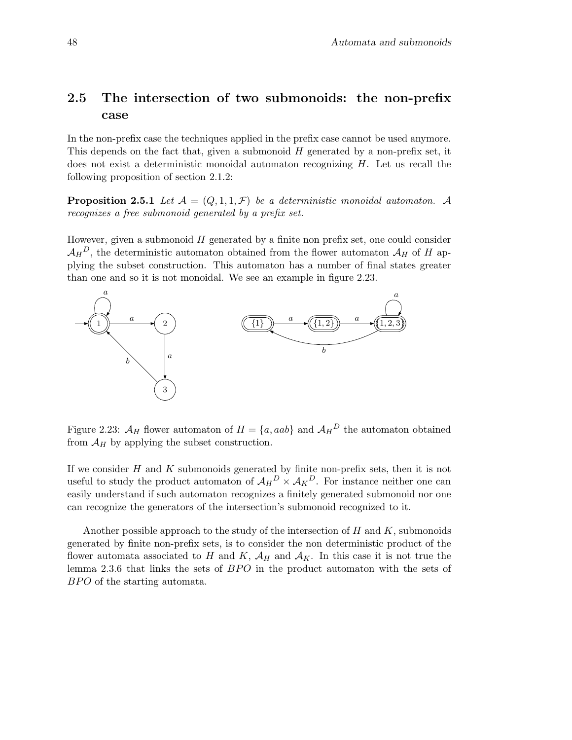# 2.5 The intersection of two submonoids: the non-prefix case

In the non-prefix case the techniques applied in the prefix case cannot be used anymore. This depends on the fact that, given a submonoid  $H$  generated by a non-prefix set, it does not exist a deterministic monoidal automaton recognizing  $H$ . Let us recall the following proposition of section 2.1.2:

**Proposition 2.5.1** Let  $\mathcal{A} = (Q, 1, 1, \mathcal{F})$  be a deterministic monoidal automaton. A recognizes a free submonoid generated by a prefix set.

However, given a submonoid  $H$  generated by a finite non prefix set, one could consider  $\mathcal{A}_H{}^D$ , the deterministic automaton obtained from the flower automaton  $\mathcal{A}_H$  of H applying the subset construction. This automaton has a number of final states greater than one and so it is not monoidal. We see an example in figure 2.23.



Figure 2.23:  $\mathcal{A}_H$  flower automaton of  $H = \{a, aab\}$  and  $\mathcal{A}_H^D$  the automaton obtained from  $\mathcal{A}_H$  by applying the subset construction.

If we consider  $H$  and  $K$  submonoids generated by finite non-prefix sets, then it is not useful to study the product automaton of  $A_H^D \times A_K^D$ . For instance neither one can easily understand if such automaton recognizes a finitely generated submonoid nor one can recognize the generators of the intersection's submonoid recognized to it.

Another possible approach to the study of the intersection of  $H$  and  $K$ , submonoids generated by finite non-prefix sets, is to consider the non deterministic product of the flower automata associated to H and K,  $\mathcal{A}_H$  and  $\mathcal{A}_K$ . In this case it is not true the lemma 2.3.6 that links the sets of BPO in the product automaton with the sets of BPO of the starting automata.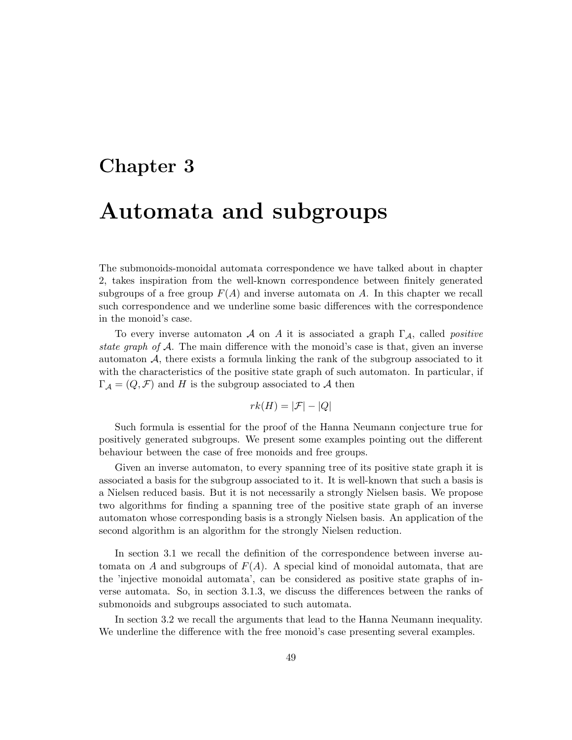# Chapter 3

# Automata and subgroups

The submonoids-monoidal automata correspondence we have talked about in chapter 2, takes inspiration from the well-known correspondence between finitely generated subgroups of a free group  $F(A)$  and inverse automata on A. In this chapter we recall such correspondence and we underline some basic differences with the correspondence in the monoid's case.

To every inverse automaton A on A it is associated a graph  $\Gamma_{\mathcal{A}}$ , called *positive* state graph of A. The main difference with the monoid's case is that, given an inverse automaton  $A$ , there exists a formula linking the rank of the subgroup associated to it with the characteristics of the positive state graph of such automaton. In particular, if  $\Gamma_{\mathcal{A}} = (Q, \mathcal{F})$  and H is the subgroup associated to A then

$$
rk(H) = |\mathcal{F}| - |Q|
$$

Such formula is essential for the proof of the Hanna Neumann conjecture true for positively generated subgroups. We present some examples pointing out the different behaviour between the case of free monoids and free groups.

Given an inverse automaton, to every spanning tree of its positive state graph it is associated a basis for the subgroup associated to it. It is well-known that such a basis is a Nielsen reduced basis. But it is not necessarily a strongly Nielsen basis. We propose two algorithms for finding a spanning tree of the positive state graph of an inverse automaton whose corresponding basis is a strongly Nielsen basis. An application of the second algorithm is an algorithm for the strongly Nielsen reduction.

In section 3.1 we recall the definition of the correspondence between inverse automata on A and subgroups of  $F(A)$ . A special kind of monoidal automata, that are the 'injective monoidal automata', can be considered as positive state graphs of inverse automata. So, in section 3.1.3, we discuss the differences between the ranks of submonoids and subgroups associated to such automata.

In section 3.2 we recall the arguments that lead to the Hanna Neumann inequality. We underline the difference with the free monoid's case presenting several examples.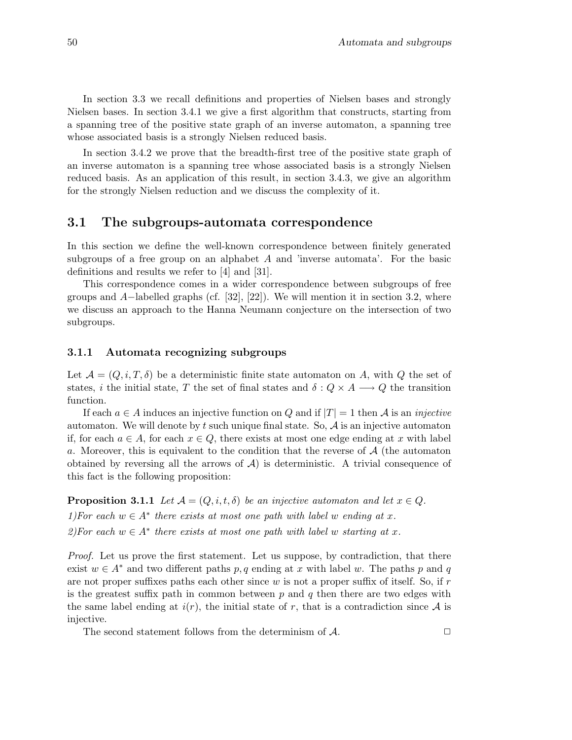In section 3.3 we recall definitions and properties of Nielsen bases and strongly Nielsen bases. In section 3.4.1 we give a first algorithm that constructs, starting from a spanning tree of the positive state graph of an inverse automaton, a spanning tree whose associated basis is a strongly Nielsen reduced basis.

In section 3.4.2 we prove that the breadth-first tree of the positive state graph of an inverse automaton is a spanning tree whose associated basis is a strongly Nielsen reduced basis. As an application of this result, in section 3.4.3, we give an algorithm for the strongly Nielsen reduction and we discuss the complexity of it.

# 3.1 The subgroups-automata correspondence

In this section we define the well-known correspondence between finitely generated subgroups of a free group on an alphabet A and 'inverse automata'. For the basic definitions and results we refer to [4] and [31].

This correspondence comes in a wider correspondence between subgroups of free groups and  $A$ -labelled graphs (cf. [32], [22]). We will mention it in section 3.2, where we discuss an approach to the Hanna Neumann conjecture on the intersection of two subgroups.

### 3.1.1 Automata recognizing subgroups

Let  $\mathcal{A} = (Q, i, T, \delta)$  be a deterministic finite state automaton on A, with Q the set of states, i the initial state, T the set of final states and  $\delta: Q \times A \longrightarrow Q$  the transition function.

If each  $a \in A$  induces an injective function on Q and if  $|T| = 1$  then A is an *injective* automaton. We will denote by  $t$  such unique final state. So,  $A$  is an injective automaton if, for each  $a \in A$ , for each  $x \in Q$ , there exists at most one edge ending at x with label a. Moreover, this is equivalent to the condition that the reverse of A (the automaton obtained by reversing all the arrows of  $\mathcal{A}$ ) is deterministic. A trivial consequence of this fact is the following proposition:

**Proposition 3.1.1** Let  $A = (Q, i, t, \delta)$  be an injective automaton and let  $x \in Q$ . 1)For each  $w \in A^*$  there exists at most one path with label w ending at x. 2)For each  $w \in A^*$  there exists at most one path with label w starting at x.

Proof. Let us prove the first statement. Let us suppose, by contradiction, that there exist  $w \in A^*$  and two different paths p, q ending at x with label w. The paths p and q are not proper suffixes paths each other since  $w$  is not a proper suffix of itself. So, if  $r$ is the greatest suffix path in common between  $p$  and  $q$  then there are two edges with the same label ending at  $i(r)$ , the initial state of r, that is a contradiction since A is injective.

The second statement follows from the determinism of  $A$ .  $\Box$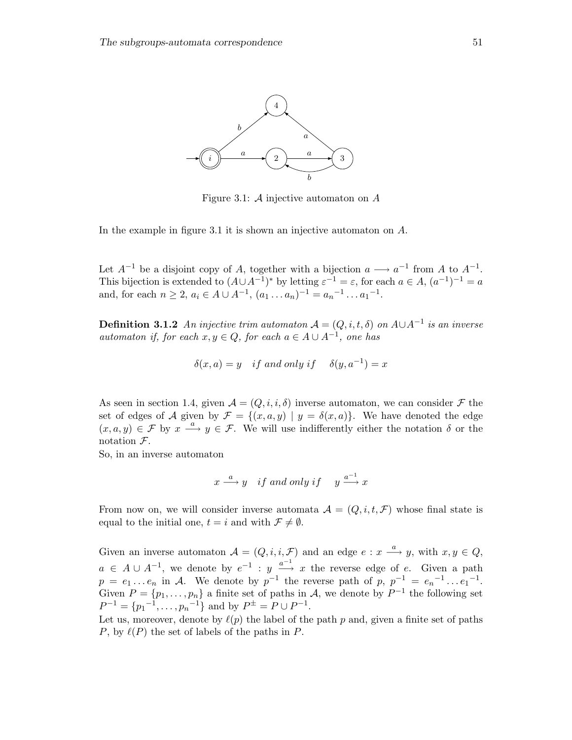

Figure 3.1:  $\mathcal A$  injective automaton on  $\mathcal A$ 

In the example in figure 3.1 it is shown an injective automaton on A.

Let  $A^{-1}$  be a disjoint copy of A, together with a bijection  $a \longrightarrow a^{-1}$  from A to  $A^{-1}$ . This bijection is extended to  $(A \cup A^{-1})^*$  by letting  $\varepsilon^{-1} = \varepsilon$ , for each  $a \in A$ ,  $(a^{-1})^{-1} = a$ and, for each  $n \ge 2$ ,  $a_i \in A \cup A^{-1}$ ,  $(a_1 \dots a_n)^{-1} = a_n^{-1} \dots a_1^{-1}$ .

**Definition 3.1.2** An injective trim automaton  $A = (Q, i, t, \delta)$  on  $A \cup A^{-1}$  is an inverse automaton if, for each  $x, y \in Q$ , for each  $a \in A \cup A^{-1}$ , one has

$$
\delta(x, a) = y \quad \text{if and only if} \quad \delta(y, a^{-1}) = x
$$

As seen in section 1.4, given  $\mathcal{A} = (Q, i, i, \delta)$  inverse automaton, we can consider  $\mathcal F$  the set of edges of A given by  $\mathcal{F} = \{(x, a, y) | y = \delta(x, a)\}\.$  We have denoted the edge  $(x, a, y) \in \mathcal{F}$  by  $x \stackrel{a}{\longrightarrow} y \in \mathcal{F}$ . We will use indifferently either the notation  $\delta$  or the notation  $\mathcal{F}.$ 

So, in an inverse automaton

$$
x \xrightarrow{a} y \quad \text{if and only if} \quad y \xrightarrow{a^{-1}} x
$$

From now on, we will consider inverse automata  $\mathcal{A} = (Q, i, t, \mathcal{F})$  whose final state is equal to the initial one,  $t = i$  and with  $\mathcal{F} \neq \emptyset$ .

Given an inverse automaton  $A = (Q, i, i, \mathcal{F})$  and an edge  $e : x \stackrel{a}{\longrightarrow} y$ , with  $x, y \in Q$ ,  $a \in A \cup A^{-1}$ , we denote by  $e^{-1}$ :  $y \stackrel{a^{-1}}{\longrightarrow} x$  the reverse edge of e. Given a path  $p = e_1 \dots e_n$  in A. We denote by  $p^{-1}$  the reverse path of  $p, p^{-1} = e_n^{-1} \dots e_1^{-1}$ . Given  $P = \{p_1, \ldots, p_n\}$  a finite set of paths in A, we denote by  $P^{-1}$  the following set  $P^{-1} = \{p_1^{-1}, \ldots, p_n^{-1}\}$  and by  $P^{\pm} = P \cup P^{-1}$ .

Let us, moreover, denote by  $\ell(p)$  the label of the path p and, given a finite set of paths P, by  $\ell(P)$  the set of labels of the paths in P.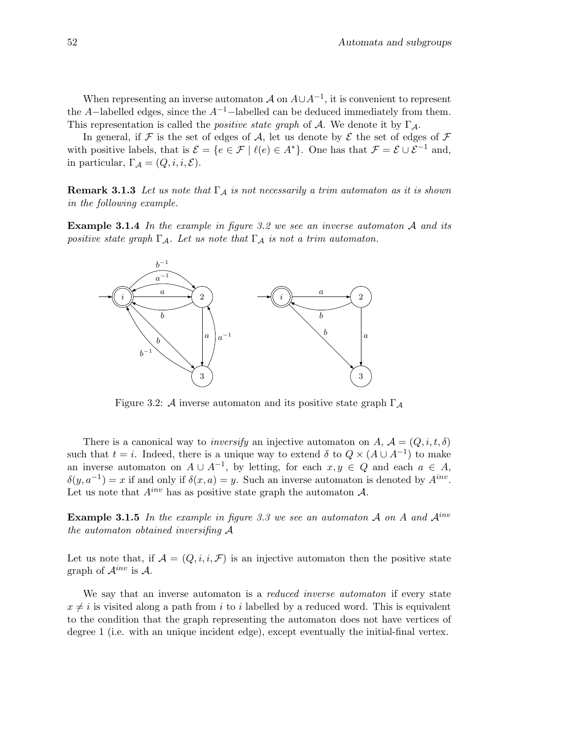When representing an inverse automaton  $A$  on  $A \cup A^{-1}$ , it is convenient to represent the A–labelled edges, since the  $A^{-1}$ –labelled can be deduced immediately from them. This representation is called the *positive state graph* of A. We denote it by  $\Gamma_A$ .

In general, if  $\mathcal F$  is the set of edges of  $\mathcal A$ , let us denote by  $\mathcal E$  the set of edges of  $\mathcal F$ with positive labels, that is  $\mathcal{E} = \{e \in \mathcal{F} \mid \ell(e) \in A^*\}$ . One has that  $\mathcal{F} = \mathcal{E} \cup \mathcal{E}^{-1}$  and, in particular,  $\Gamma_{\mathcal{A}} = (Q, i, i, \mathcal{E}).$ 

**Remark 3.1.3** Let us note that  $\Gamma_A$  is not necessarily a trim automaton as it is shown in the following example.

**Example 3.1.4** In the example in figure 3.2 we see an inverse automaton A and its positive state graph  $\Gamma_A$ . Let us note that  $\Gamma_A$  is not a trim automaton.



Figure 3.2: A inverse automaton and its positive state graph  $\Gamma_A$ 

There is a canonical way to *inversify* an injective automaton on A,  $\mathcal{A} = (Q, i, t, \delta)$ such that  $t = i$ . Indeed, there is a unique way to extend  $\delta$  to  $Q \times (A \cup A^{-1})$  to make an inverse automaton on  $A \cup A^{-1}$ , by letting, for each  $x, y \in Q$  and each  $a \in A$ ,  $\delta(y, a^{-1}) = x$  if and only if  $\delta(x, a) = y$ . Such an inverse automaton is denoted by  $A^{inv}$ . Let us note that  $A^{inv}$  has as positive state graph the automaton  $A$ .

**Example 3.1.5** In the example in figure 3.3 we see an automaton A on A and  $A^{inv}$ the automaton obtained inversifing A

Let us note that, if  $\mathcal{A} = (Q, i, i, \mathcal{F})$  is an injective automaton then the positive state graph of  $\mathcal{A}^{inv}$  is  $\mathcal{A}$ .

We say that an inverse automaton is a *reduced inverse automaton* if every state  $x \neq i$  is visited along a path from i to i labelled by a reduced word. This is equivalent to the condition that the graph representing the automaton does not have vertices of degree 1 (i.e. with an unique incident edge), except eventually the initial-final vertex.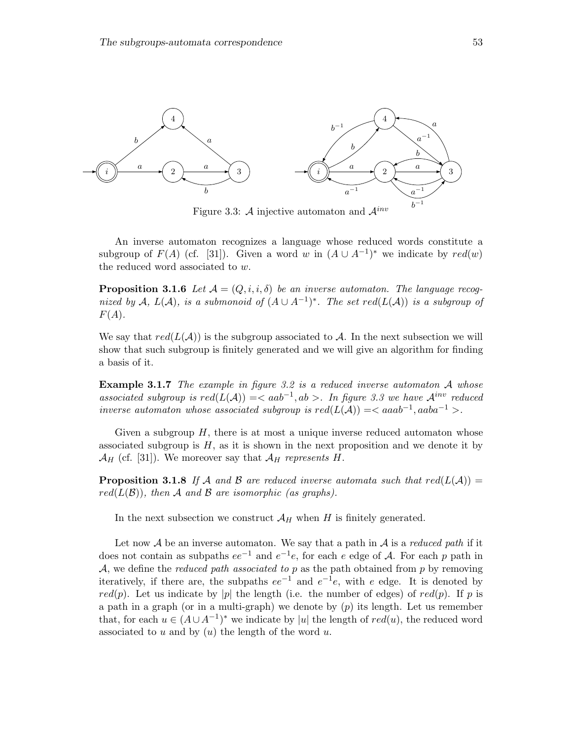

Figure 3.3:  $\mathcal{A}$  injective automaton and  $\mathcal{A}^{inv}$ 

An inverse automaton recognizes a language whose reduced words constitute a subgroup of  $F(A)$  (cf. [31]). Given a word w in  $(A \cup A^{-1})^*$  we indicate by  $red(w)$ the reduced word associated to w.

**Proposition 3.1.6** Let  $\mathcal{A} = (Q, i, i, \delta)$  be an inverse automaton. The language recognized by A,  $L(A)$ , is a submonoid of  $(A \cup A^{-1})^*$ . The set  $red(L(A))$  is a subgroup of  $F(A).$ 

We say that  $red(L(\mathcal{A}))$  is the subgroup associated to A. In the next subsection we will show that such subgroup is finitely generated and we will give an algorithm for finding a basis of it.

**Example 3.1.7** The example in figure 3.2 is a reduced inverse automaton  $A$  whose associated subgroup is  $red(L(A)) = < aab^{-1}, ab >$ . In figure 3.3 we have  $A^{inv}$  reduced inverse automaton whose associated subgroup is  $red(L(A)) = < aaab^{-1}$ ,  $aaba^{-1} >$ .

Given a subgroup  $H$ , there is at most a unique inverse reduced automaton whose associated subgroup is  $H$ , as it is shown in the next proposition and we denote it by  $\mathcal{A}_H$  (cf. [31]). We moreover say that  $\mathcal{A}_H$  represents H.

**Proposition 3.1.8** If A and B are reduced inverse automata such that  $red(L(A))$  =  $red(L(\mathcal{B}))$ , then A and B are isomorphic (as graphs).

In the next subsection we construct  $\mathcal{A}_H$  when H is finitely generated.

Let now  $\mathcal A$  be an inverse automaton. We say that a path in  $\mathcal A$  is a reduced path if it does not contain as subpaths  $ee^{-1}$  and  $e^{-1}e$ , for each e edge of A. For each p path in  $A$ , we define the *reduced path associated to p* as the path obtained from *p* by removing iteratively, if there are, the subpaths  $ee^{-1}$  and  $e^{-1}e$ , with e edge. It is denoted by red(p). Let us indicate by |p| the length (i.e. the number of edges) of red(p). If p is a path in a graph (or in a multi-graph) we denote by  $(p)$  its length. Let us remember that, for each  $u \in (A \cup A^{-1})^*$  we indicate by |u| the length of  $red(u)$ , the reduced word associated to  $u$  and by  $(u)$  the length of the word  $u$ .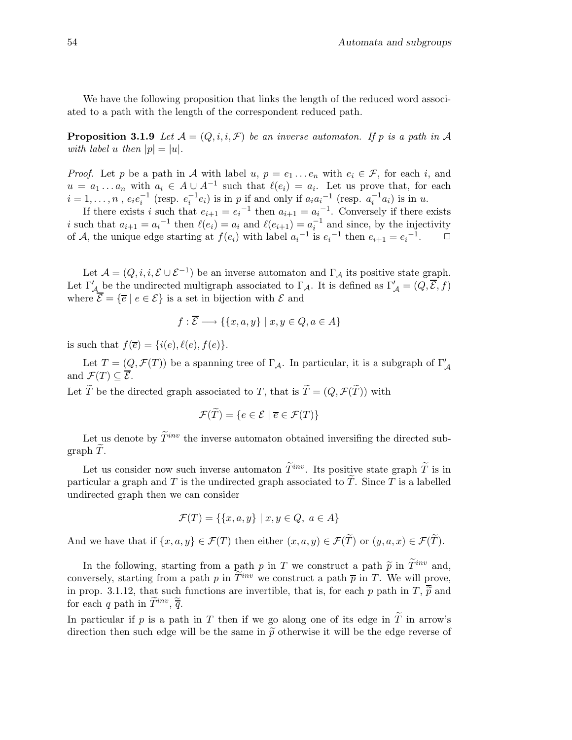We have the following proposition that links the length of the reduced word associated to a path with the length of the correspondent reduced path.

**Proposition 3.1.9** Let  $\mathcal{A} = (Q, i, i, \mathcal{F})$  be an inverse automaton. If p is a path in  $\mathcal{A}$ with label u then  $|p| = |u|$ .

*Proof.* Let p be a path in A with label u,  $p = e_1 \dots e_n$  with  $e_i \in \mathcal{F}$ , for each i, and  $u = a_1 \dots a_n$  with  $a_i \in A \cup A^{-1}$  such that  $\ell(e_i) = a_i$ . Let us prove that, for each  $i = 1, \ldots, n$ ,  $e_i e_i^{-1}$  (resp.  $e_i^{-1} e_i$ ) is in p if and only if  $a_i a_i^{-1}$  (resp.  $a_i^{-1} a_i$ ) is in u.

If there exists i such that  $e_{i+1} = e_i^{-1}$  then  $a_{i+1} = a_i^{-1}$ . Conversely if there exists i such that  $a_{i+1} = a_i^{-1}$  then  $\ell(e_i) = a_i$  and  $\ell(e_{i+1}) = a_i^{-1}$  and since, by the injectivity of A, the unique edge starting at  $f(e_i)$  with label  $a_i^{-1}$  is  $e_i^{-1}$  then  $e_{i+1} = e_i^{-1}$  $\Box$ 

Let  $\mathcal{A} = (Q, i, i, \mathcal{E} \cup \mathcal{E}^{-1})$  be an inverse automaton and  $\Gamma_{\mathcal{A}}$  its positive state graph. Let  $\Gamma'_{\mathcal{A}}$  be the undirected multigraph associated to  $\Gamma_{\mathcal{A}}$ . It is defined as  $\Gamma'_{\mathcal{A}} = (Q, \overline{\mathcal{E}}, f)$ where  $\mathcal{E} = \{ \overline{e} \mid e \in \mathcal{E} \}$  is a set in bijection with  $\mathcal E$  and

$$
f: \overline{\mathcal{E}} \longrightarrow \{\{x, a, y\} \mid x, y \in Q, a \in A\}
$$

is such that  $f(\overline{e}) = \{i(e), \ell(e), f(e)\}.$ 

Let  $T = (Q, \mathcal{F}(T))$  be a spanning tree of  $\Gamma_{\mathcal{A}}$ . In particular, it is a subgraph of  $\Gamma_{\mathcal{A}}'$ and  $\mathcal{F}(T) \subset \overline{\mathcal{E}}$ .

Let  $\widetilde{T}$  be the directed graph associated to T, that is  $\widetilde{T} = (Q, \mathcal{F}(\widetilde{T}))$  with

$$
\mathcal{F}(T) = \{ e \in \mathcal{E} \mid \overline{e} \in \mathcal{F}(T) \}
$$

Let us denote by  $\widetilde{T}^{inv}$  the inverse automaton obtained inversifing the directed subgraph  $T$ .

Let us consider now such inverse automaton  $\widetilde{T}^{inv}$ . Its positive state graph  $\widetilde{T}$  is in particular a graph and  $T$  is the undirected graph associated to  $T$ . Since  $T$  is a labelled undirected graph then we can consider

$$
\mathcal{F}(T) = \{ \{x, a, y\} \mid x, y \in Q, \ a \in A \}
$$

And we have that if  $\{x,a,y\} \in \mathcal{F}(T)$  then either  $(x,a,y) \in \mathcal{F}(\widetilde{T})$  or  $(y,a,x) \in \mathcal{F}(\widetilde{T})$ .

In the following, starting from a path p in T we construct a path  $\tilde{p}$  in  $\tilde{T}^{inv}$  and, conversely, starting from a path p in  $\widetilde{T}^{inv}$  we construct a path  $\overline{p}$  in T. We will prove, in prop. 3.1.12, that such functions are invertible, that is, for each p path in  $T$ ,  $\overline{\widetilde{p}}$  and for each q path in  $\widetilde{T}^{inv}, \widetilde{\overline{q}}$ .

In particular if p is a path in T then if we go along one of its edge in  $\widetilde{T}$  in arrow's direction then such edge will be the same in  $\tilde{p}$  otherwise it will be the edge reverse of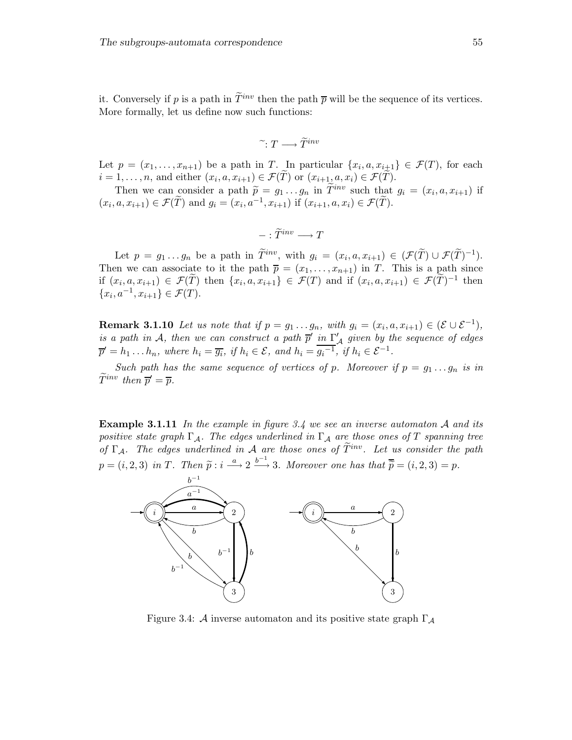it. Conversely if p is a path in  $\widetilde{T}^{inv}$  then the path  $\overline{p}$  will be the sequence of its vertices. More formally, let us define now such functions:

$$
\widetilde{\ } \colon T \longrightarrow \widetilde{T}^{inv}
$$

Let  $p = (x_1, \ldots, x_{n+1})$  be a path in T. In particular  $\{x_i, a, x_{i+1}\} \in \mathcal{F}(T)$ , for each  $i = 1, \ldots, n$ , and either  $(x_i, a, x_{i+1}) \in \mathcal{F}(T)$  or  $(x_{i+1}, a, x_i) \in \mathcal{F}(T)$ .

Then we can consider a path  $\widetilde{p} = g_1 \dots g_n$  in  $\widetilde{T}^{inv}$  such that  $g_i = (x_i, a, x_{i+1})$  if  $(x_i, a, x_{i+1}) \in \mathcal{F}(\widetilde{T})$  and  $g_i = (x_i, a^{-1}, x_{i+1})$  if  $(x_{i+1}, a, x_i) \in \mathcal{F}(\widetilde{T})$ .

$$
-:\widetilde{T}^{inv}\longrightarrow T
$$

Let  $p = g_1 \dots g_n$  be a path in  $\widetilde{T}^{inv}$ , with  $g_i = (x_i, a, x_{i+1}) \in (\mathcal{F}(\widetilde{T}) \cup \mathcal{F}(\widetilde{T})^{-1})$ . Then we can associate to it the path  $\overline{p} = (x_1, \ldots, x_{n+1})$  in T. This is a path since if  $(x_i, a, x_{i+1}) \in \mathcal{F}(T)$  then  $\{x_i, a, x_{i+1}\} \in \mathcal{F}(T)$  and if  $(x_i, a, x_{i+1}) \in \mathcal{F}(T)^{-1}$  then  $\{x_i, a^{-1}, x_{i+1}\} \in \mathcal{F}(T).$ 

**Remark 3.1.10** Let us note that if  $p = g_1 \dots g_n$ , with  $g_i = (x_i, a, x_{i+1}) \in (\mathcal{E} \cup \mathcal{E}^{-1})$ , is a path in A, then we can construct a path  $\overline{p}'$  in  $\Gamma'_{\mathcal{A}}$  given by the sequence of edges  $\overline{p}' = h_1 \dots h_n$ , where  $h_i = \overline{g_i}$ , if  $h_i \in \mathcal{E}$ , and  $h_i = \overline{g_i^{-1}}$ , if  $h_i \in \mathcal{E}^{-1}$ .

Such path has the same sequence of vertices of p. Moreover if  $p = g_1 \dots g_n$  is in  $\widetilde{T}^{inv}$  then  $\overline{p}' = \overline{p}$ .

**Example 3.1.11** In the example in figure 3.4 we see an inverse automaton A and its positive state graph  $\Gamma_A$ . The edges underlined in  $\Gamma_A$  are those ones of T spanning tree of  $\Gamma_A$ . The edges underlined in A are those ones of  $\widetilde{T}^{inv}$ . Let us consider the path  $p = (i, 2, 3)$  in T. Then  $\tilde{p} : i \stackrel{a}{\longrightarrow} 2 \stackrel{b^{-1}}{\longrightarrow} 3$ . Moreover one has that  $\overline{\tilde{p}} = (i, 2, 3) = p$ .



Figure 3.4: A inverse automaton and its positive state graph  $\Gamma_A$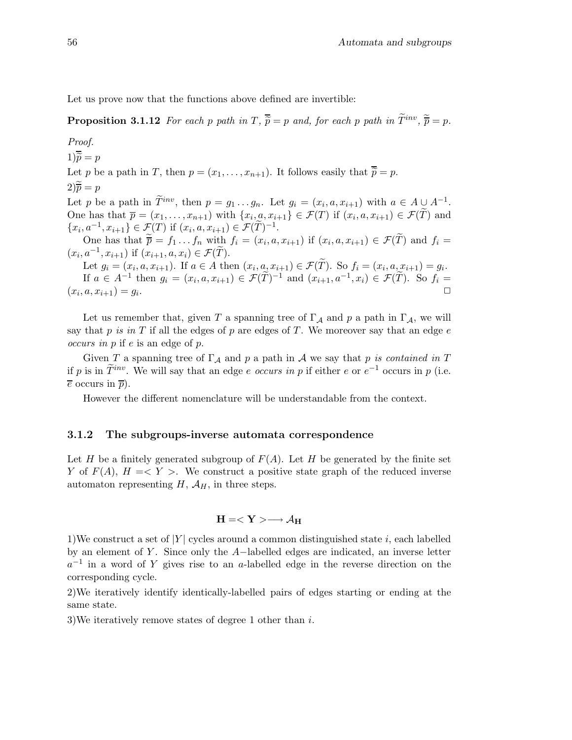Let us prove now that the functions above defined are invertible:

**Proposition 3.1.12** For each p path in  $T$ ,  $\overline{\widetilde{p}} = p$  and, for each p path in  $\widetilde{T}^{inv}$ ,  $\widetilde{\overline{p}} = p$ .

Proof.  $1\overline{\widetilde{p}} = p$ Let p be a path in T, then  $p = (x_1, \ldots, x_{n+1})$ . It follows easily that  $\overline{\tilde{p}} = p$ .  $2\overline{\widetilde{p}} = p$ Let p be a path in  $\tilde{T}^{inv}$ , then  $p = g_1 \ldots g_n$ . Let  $g_i = (x_i, a, x_{i+1})$  with  $a \in A \cup A^{-1}$ . One has that  $\overline{p} = (x_1, \ldots, x_{n+1})$  with  $\{x_i, a, x_{i+1}\} \in \mathcal{F}(T)$  if  $(x_i, a, x_{i+1}) \in \mathcal{F}(T)$  and  $\{x_i, a^{-1}, x_{i+1}\} \in \mathcal{F}(T)$  if  $(x_i, a, x_{i+1}) \in \mathcal{F}(\tilde{T})^{-1}$ . One has that  $\overline{p} = f_1 \dots f_n$  with  $f_i = (x_i, a, x_{i+1})$  if  $(x_i, a, x_{i+1}) \in \mathcal{F}(T)$  and  $f_i =$  $(x_i, a^{-1}, x_{i+1})$  if  $(x_{i+1}, a, x_i) \in \mathcal{F}(\tilde{T})$ . Let  $g_i = (x_i, a, x_{i+1})$ . If  $a \in A$  then  $(x_i, a, x_{i+1}) \in \mathcal{F}(T)$ . So  $f_i = (x_i, a, x_{i+1}) = g_i$ . If  $a \in A^{-1}$  then  $g_i = (x_i, a, x_{i+1}) \in \mathcal{F}(T)^{-1}$  and  $(x_{i+1}, a^{-1}, x_i) \in \mathcal{F}(T)$ . So  $f_i =$  $(x_i, a, x_{i+1}) = g_i$ .  $\Box$ 

Let us remember that, given T a spanning tree of  $\Gamma_A$  and p a path in  $\Gamma_A$ , we will say that p is in T if all the edges of p are edges of T. We moreover say that an edge  $e$ occurs in p if e is an edge of p.

Given T a spanning tree of  $\Gamma_A$  and p a path in A we say that p is contained in T if p is in  $\hat{T}^{inv}$ . We will say that an edge e occurs in p if either e or  $e^{-1}$  occurs in p (i.e.  $\overline{e}$  occurs in  $\overline{p}$ ).

However the different nomenclature will be understandable from the context.

### 3.1.2 The subgroups-inverse automata correspondence

Let H be a finitely generated subgroup of  $F(A)$ . Let H be generated by the finite set Y of  $F(A)$ ,  $H = \langle Y \rangle$ . We construct a positive state graph of the reduced inverse automaton representing  $H$ ,  $\mathcal{A}_H$ , in three steps.

$$
H=\longrightarrow \mathcal{A}_H
$$

1)We construct a set of  $|Y|$  cycles around a common distinguished state i, each labelled by an element of Y . Since only the A−labelled edges are indicated, an inverse letter  $a^{-1}$  in a word of Y gives rise to an a-labelled edge in the reverse direction on the corresponding cycle.

2)We iteratively identify identically-labelled pairs of edges starting or ending at the same state.

3)We iteratively remove states of degree 1 other than i.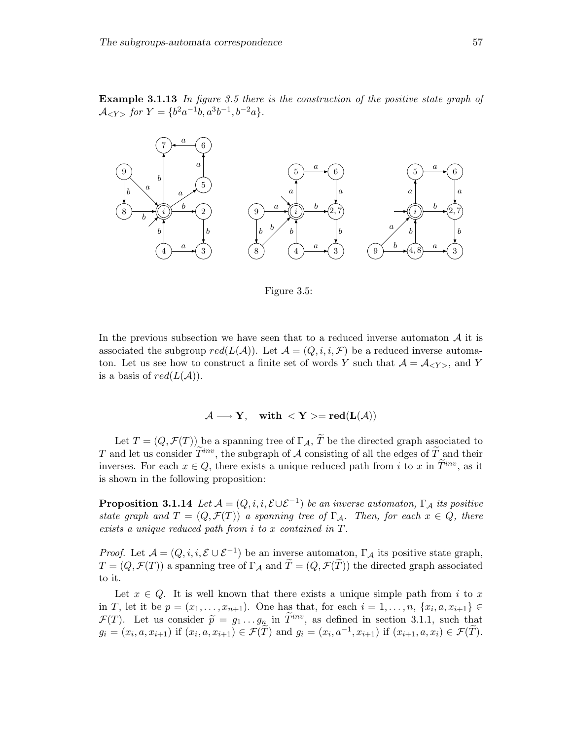Example 3.1.13 In figure 3.5 there is the construction of the positive state graph of  $\mathcal{A}_{\leq Y>}$  for  $Y = \{b^2a^{-1}b, a^3b^{-1}, b^{-2}a\}.$ 



Figure 3.5:

In the previous subsection we have seen that to a reduced inverse automaton  $A$  it is associated the subgroup  $red(L(\mathcal{A}))$ . Let  $\mathcal{A} = (Q, i, i, \mathcal{F})$  be a reduced inverse automaton. Let us see how to construct a finite set of words Y such that  $A = A_{\langle Y \rangle}$ , and Y is a basis of  $red(L(\mathcal{A}))$ .

### $\mathcal{A} \longrightarrow Y$ , with  $\langle Y \rangle = \text{red}(L(\mathcal{A}))$

Let  $T = (Q, \mathcal{F}(T))$  be a spanning tree of  $\Gamma_{\mathcal{A}}, \widetilde{T}$  be the directed graph associated to T and let us consider  $\widetilde{T}^{inv}$ , the subgraph of A consisting of all the edges of  $\widetilde{T}$  and their inverses. For each  $x \in Q$ , there exists a unique reduced path from i to x in  $\tilde{T}^{inv}$ , as it is shown in the following proposition:

**Proposition 3.1.14** Let  $\mathcal{A} = (Q, i, i, \mathcal{E} \cup \mathcal{E}^{-1})$  be an inverse automaton,  $\Gamma_{\mathcal{A}}$  its positive state graph and  $T = (Q, \mathcal{F}(T))$  a spanning tree of  $\Gamma_A$ . Then, for each  $x \in Q$ , there exists a unique reduced path from i to x contained in T.

*Proof.* Let  $\mathcal{A} = (Q, i, i, \mathcal{E} \cup \mathcal{E}^{-1})$  be an inverse automaton,  $\Gamma_{\mathcal{A}}$  its positive state graph,  $T = (Q, \mathcal{F}(T))$  a spanning tree of  $\Gamma_A$  and  $\tilde{T} = (Q, \mathcal{F}(T))$  the directed graph associated to it.

Let  $x \in Q$ . It is well known that there exists a unique simple path from i to x in T, let it be  $p = (x_1, ..., x_{n+1})$ . One has that, for each  $i = 1, ..., n$ ,  $\{x_i, a, x_{i+1}\} \in$  $\mathcal{F}(T)$ . Let us consider  $\tilde{p} = g_1 \dots g_n$  in  $\tilde{T}^{inv}$ , as defined in section 3.1.1, such that  $g_i = (x_i, a, x_{i+1})$  if  $(x_i, a, x_{i+1}) \in \mathcal{F}(\tilde{T})$  and  $g_i = (x_i, a^{-1}, x_{i+1})$  if  $(x_{i+1}, a, x_i) \in \mathcal{F}(\tilde{T})$ .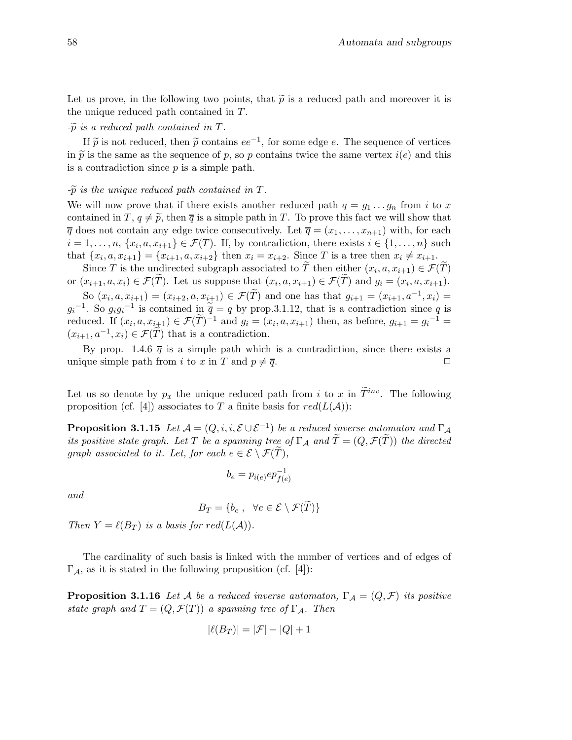Let us prove, in the following two points, that  $\tilde{p}$  is a reduced path and moreover it is the unique reduced path contained in T.

#### $-\widetilde{p}$  is a reduced path contained in T.

If  $\tilde{p}$  is not reduced, then  $\tilde{p}$  contains  $ee^{-1}$ , for some edge e. The sequence of vertices in  $\tilde{p}$  is the same as the sequence of p, so p contains twice the same vertex  $i(e)$  and this is a contradiction since  $p$  is a simple path.

### $-\widetilde{p}$  is the unique reduced path contained in T.

We will now prove that if there exists another reduced path  $q = g_1 \dots g_n$  from i to x contained in T,  $q \neq \tilde{p}$ , then  $\overline{q}$  is a simple path in T. To prove this fact we will show that  $\overline{q}$  does not contain any edge twice consecutively. Let  $\overline{q} = (x_1, \ldots, x_{n+1})$  with, for each  $i = 1, \ldots, n, \{x_i, a, x_{i+1}\} \in \mathcal{F}(T)$ . If, by contradiction, there exists  $i \in \{1, \ldots, n\}$  such that  $\{x_i, a, x_{i+1}\} = \{x_{i+1}, a, x_{i+2}\}$  then  $x_i = x_{i+2}$ . Since T is a tree then  $x_i \neq x_{i+1}$ .

Since T is the undirected subgraph associated to T then either  $(x_i, a, x_{i+1}) \in \mathcal{F}(T)$ or  $(x_{i+1}, a, x_i) \in \mathcal{F}(T)$ . Let us suppose that  $(x_i, a, x_{i+1}) \in \mathcal{F}(T)$  and  $g_i = (x_i, a, x_{i+1})$ .

So  $(x_i, a, x_{i+1}) = (x_{i+2}, a, x_{i+1}) \in \mathcal{F}(\tilde{T})$  and one has that  $g_{i+1} = (x_{i+1}, a^{-1}, x_i) =$  $g_i^{-1}$ . So  $g_i g_i^{-1}$  is contained in  $\tilde{\overline{q}} = q$  by prop. 3.1.12, that is a contradiction since q is reduced. If  $(x_i, a, x_{i+1}) \in \mathcal{F}(\tilde{T})^{-1}$  and  $g_i = (x_i, a, x_{i+1})$  then, as before,  $g_{i+1} = g_i^{-1} =$  $(x_{i+1}, a^{-1}, x_i) \in \mathcal{F}(\tilde{T})$  that is a contradiction.

By prop. 1.4.6  $\bar{q}$  is a simple path which is a contradiction, since there exists a unique simple path from i to x in T and  $p \neq \overline{q}$ .

Let us so denote by  $p_x$  the unique reduced path from i to x in  $\widetilde{T}^{inv}$ . The following proposition (cf. [4]) associates to T a finite basis for  $red(L(\mathcal{A}))$ :

**Proposition 3.1.15** Let  $\mathcal{A} = (Q, i, i, \mathcal{E} \cup \mathcal{E}^{-1})$  be a reduced inverse automaton and  $\Gamma_{\mathcal{A}}$ its positive state graph. Let T be a spanning tree of  $\Gamma_A$  and  $T=(Q,\mathcal{F}(T))$  the directed graph associated to it. Let, for each  $e \in \mathcal{E} \setminus \mathcal{F}(\widetilde{T})$ ,

$$
b_e = p_{i(e)} ep_{f(e)}^{-1}
$$

and

$$
B_T = \{b_e, \ \forall e \in \mathcal{E} \setminus \mathcal{F}(T)\}\
$$

Then  $Y = \ell(B_T)$  is a basis for  $red(L(\mathcal{A}))$ .

The cardinality of such basis is linked with the number of vertices and of edges of  $\Gamma_{\mathcal{A}}$ , as it is stated in the following proposition (cf. [4]):

**Proposition 3.1.16** Let A be a reduced inverse automaton,  $\Gamma_A = (Q, \mathcal{F})$  its positive state graph and  $T = (Q, \mathcal{F}(T))$  a spanning tree of  $\Gamma_{\mathcal{A}}$ . Then

$$
|\ell(B_T)| = |\mathcal{F}| - |Q| + 1
$$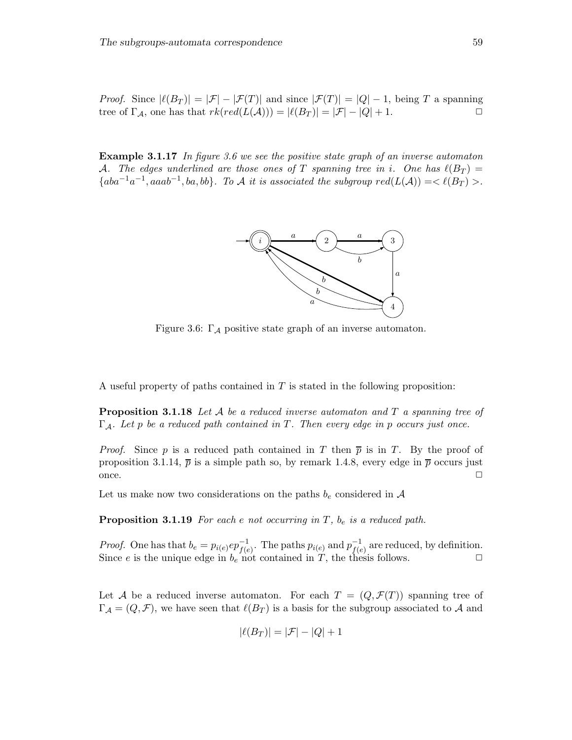*Proof.* Since  $|\ell(B_T)| = |\mathcal{F}| - |\mathcal{F}(T)|$  and since  $|\mathcal{F}(T)| = |Q| - 1$ , being T a spanning tree of  $\Gamma_{\mathcal{A}}$ , one has that  $rk(\text{red}(L(\mathcal{A}))) = |\ell(B_T)| = |\mathcal{F}| - |Q| + 1$ .

**Example 3.1.17** In figure 3.6 we see the positive state graph of an inverse automaton A. The edges underlined are those ones of T spanning tree in i. One has  $\ell(B_T) =$  ${[aba^{-1}a^{-1},aaab^{-1},ba,bb]}$ . To A it is associated the subgroup  $red(L(\mathcal{A}))=<\ell(B_T)>$ .



Figure 3.6:  $\Gamma_A$  positive state graph of an inverse automaton.

A useful property of paths contained in  $T$  is stated in the following proposition:

**Proposition 3.1.18** Let A be a reduced inverse automaton and T a spanning tree of  $\Gamma_A$ . Let p be a reduced path contained in T. Then every edge in p occurs just once.

*Proof.* Since p is a reduced path contained in T then  $\bar{p}$  is in T. By the proof of proposition 3.1.14,  $\bar{p}$  is a simple path so, by remark 1.4.8, every edge in  $\bar{p}$  occurs just once.  $\Box$ 

Let us make now two considerations on the paths  $b_e$  considered in A

**Proposition 3.1.19** For each e not occurring in  $T$ ,  $b_e$  is a reduced path.

*Proof.* One has that  $b_e = p_{i(e)} ep_{f(e)}^{-1}$ . The paths  $p_{i(e)}$  and  $p_{f(e)}^{-1}$  $f(e)$  are reduced, by definition. Since e is the unique edge in  $b_e$  not contained in  $T$ , the thesis follows.

Let A be a reduced inverse automaton. For each  $T = (Q, \mathcal{F}(T))$  spanning tree of  $\Gamma_{\mathcal{A}} = (Q, \mathcal{F})$ , we have seen that  $\ell(B_T)$  is a basis for the subgroup associated to A and

$$
|\ell(B_T)| = |\mathcal{F}| - |Q| + 1
$$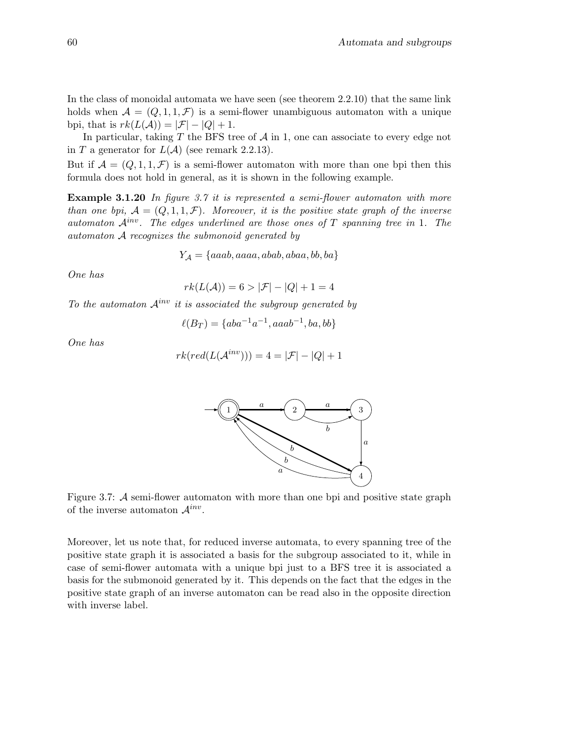In the class of monoidal automata we have seen (see theorem 2.2.10) that the same link holds when  $\mathcal{A} = (Q, 1, 1, \mathcal{F})$  is a semi-flower unambiguous automaton with a unique bpi, that is  $rk(L(\mathcal{A})) = |\mathcal{F}| - |Q| + 1$ .

In particular, taking  $T$  the BFS tree of  $A$  in 1, one can associate to every edge not in T a generator for  $L(A)$  (see remark 2.2.13).

But if  $\mathcal{A} = (Q, 1, 1, \mathcal{F})$  is a semi-flower automaton with more than one bpi then this formula does not hold in general, as it is shown in the following example.

Example 3.1.20 In figure 3.7 it is represented a semi-flower automaton with more than one bpi,  $A = (Q, 1, 1, \mathcal{F})$ . Moreover, it is the positive state graph of the inverse automaton  $\mathcal{A}^{inv}$ . The edges underlined are those ones of T spanning tree in 1. The automaton A recognizes the submonoid generated by

$$
Y_{\mathcal{A}} = \{aaab, aaaa, abab, abaa, bb, ba\}
$$

One has

$$
rk(L(\mathcal{A})) = 6 > |\mathcal{F}| - |Q| + 1 = 4
$$

To the automaton  $\mathcal{A}^{inv}$  it is associated the subgroup generated by

$$
\ell(B_T) = \{aba^{-1}a^{-1}, aaab^{-1}, ba, bb\}
$$

One has

$$
rk(\text{red}(L(\mathcal{A}^{inv}))) = 4 = |\mathcal{F}| - |Q| + 1
$$



Figure 3.7: A semi-flower automaton with more than one bpi and positive state graph of the inverse automaton  $\mathcal{A}^{inv}$ .

Moreover, let us note that, for reduced inverse automata, to every spanning tree of the positive state graph it is associated a basis for the subgroup associated to it, while in case of semi-flower automata with a unique bpi just to a BFS tree it is associated a basis for the submonoid generated by it. This depends on the fact that the edges in the positive state graph of an inverse automaton can be read also in the opposite direction with inverse label.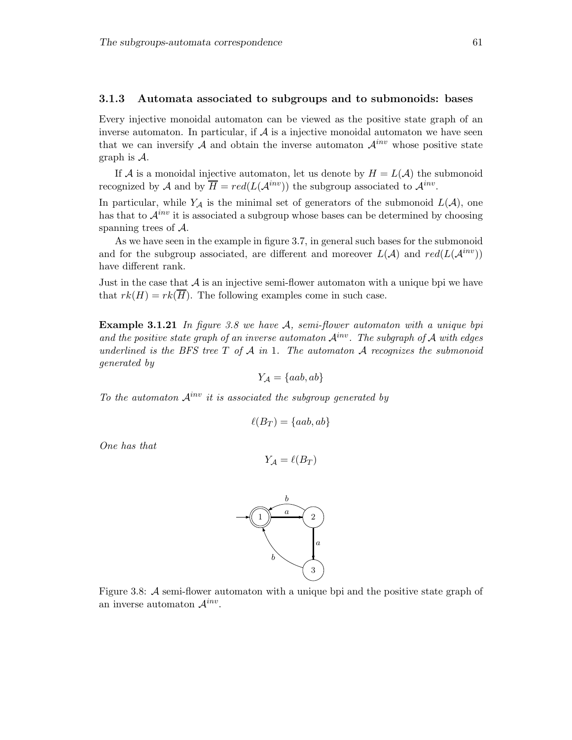#### 3.1.3 Automata associated to subgroups and to submonoids: bases

Every injective monoidal automaton can be viewed as the positive state graph of an inverse automaton. In particular, if  $A$  is a injective monoidal automaton we have seen that we can inversify A and obtain the inverse automaton  $\mathcal{A}^{inv}$  whose positive state graph is A.

If A is a monoidal injective automaton, let us denote by  $H = L(\mathcal{A})$  the submonoid recognized by A and by  $\overline{H} = red(L(A^{inv}))$  the subgroup associated to  $A^{inv}$ .

In particular, while  $Y_{\mathcal{A}}$  is the minimal set of generators of the submonoid  $L(\mathcal{A})$ , one has that to  $\mathcal{A}^{inv}$  it is associated a subgroup whose bases can be determined by choosing spanning trees of A.

As we have seen in the example in figure 3.7, in general such bases for the submonoid and for the subgroup associated, are different and moreover  $L(\mathcal{A})$  and  $red(L(\mathcal{A}^{inv}))$ have different rank.

Just in the case that  $A$  is an injective semi-flower automaton with a unique bpi we have that  $rk(H) = rk(\overline{H})$ . The following examples come in such case.

**Example 3.1.21** In figure 3.8 we have  $A$ , semi-flower automaton with a unique bpi and the positive state graph of an inverse automaton  $\mathcal{A}^{inv}$ . The subgraph of A with edges underlined is the BFS tree T of  $\mathcal A$  in 1. The automaton  $\mathcal A$  recognizes the submonoid generated by

$$
Y_{\mathcal{A}} = \{aab, ab\}
$$

To the automaton  $\mathcal{A}^{inv}$  it is associated the subgroup generated by

$$
\ell(B_T) = \{aab, ab\}
$$

One has that

$$
Y_{\mathcal{A}} = \ell(B_T)
$$



Figure 3.8: A semi-flower automaton with a unique bpi and the positive state graph of an inverse automaton  $\mathcal{A}^{inv}$ .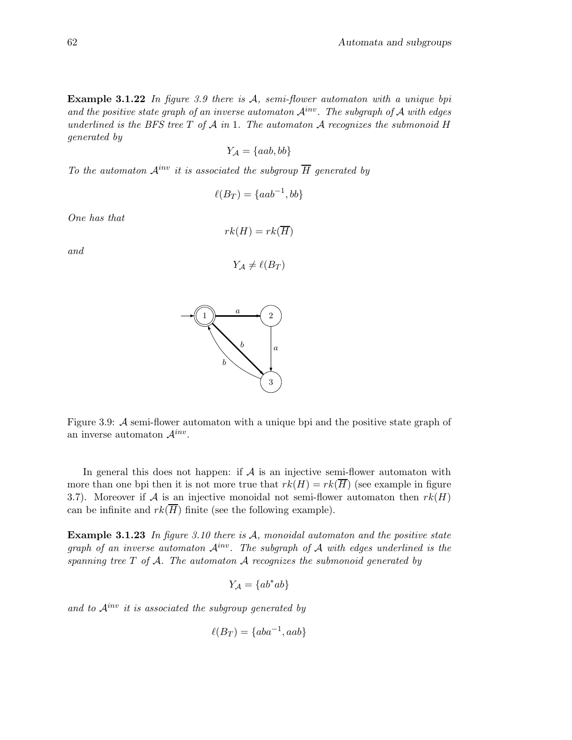**Example 3.1.22** In figure 3.9 there is  $A$ , semi-flower automaton with a unique bpi and the positive state graph of an inverse automaton  $\mathcal{A}^{inv}$ . The subgraph of A with edges underlined is the BFS tree  $T$  of  $A$  in 1. The automaton  $A$  recognizes the submonoid  $H$ generated by

$$
Y_{\mathcal{A}} = \{aab, bb\}
$$

To the automaton  $\mathcal{A}^{inv}$  it is associated the subgroup  $\overline{H}$  generated by

$$
\ell(B_T) = \{aab^{-1}, bb\}
$$

One has that

and

$$
rk(H) = rk(\overline{H})
$$

$$
Y_{\mathcal{A}} \neq \ell(B_T)
$$



In general this does not happen: if  $A$  is an injective semi-flower automaton with more than one bpi then it is not more true that  $rk(H) = rk(\overline{H})$  (see example in figure 3.7). Moreover if A is an injective monoidal not semi-flower automaton then  $rk(H)$ can be infinite and  $rk(\overline{H})$  finite (see the following example).

Example 3.1.23 In figure 3.10 there is  $A$ , monoidal automaton and the positive state graph of an inverse automaton  $A^{inv}$ . The subgraph of A with edges underlined is the spanning tree  $T$  of  $A$ . The automaton  $A$  recognizes the submonoid generated by

$$
Y_{\mathcal{A}} = \{ab^*ab\}
$$

and to  $\mathcal{A}^{inv}$  it is associated the subgroup generated by

$$
\ell(B_T) = \{aba^{-1}, aab\}
$$

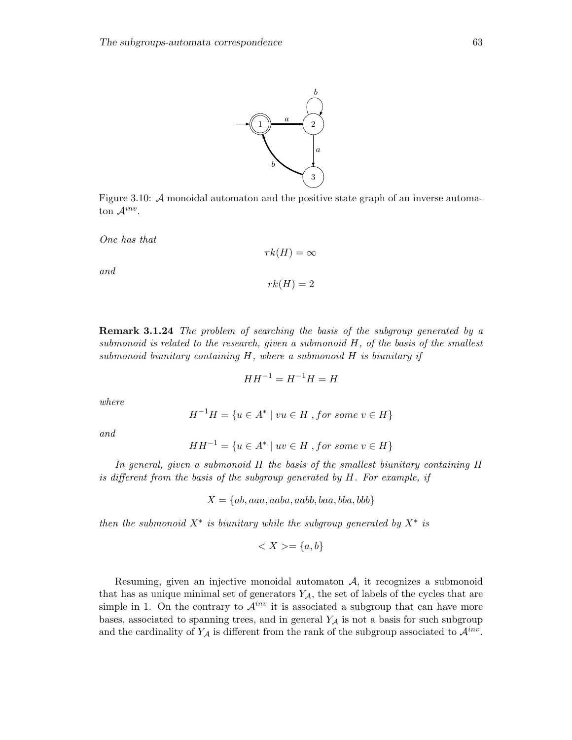

 $rk(H) = \infty$ 

 $rk(\overline{H})=2$ 

One has that

and

Remark 3.1.24 The problem of searching the basis of the subgroup generated by a submonoid is related to the research, given a submonoid  $H$ , of the basis of the smallest submonoid biunitary containing  $H$ , where a submonoid  $H$  is biunitary if

$$
HH^{-1} = H^{-1}H = H
$$

where

$$
H^{-1}H = \{ u \in A^* \mid vu \in H, \text{ for some } v \in H \}
$$

and

$$
HH^{-1} = \{ u \in A^* \mid uv \in H, \text{ for some } v \in H \}
$$

In general, given a submonoid H the basis of the smallest biunitary containing H is different from the basis of the subgroup generated by H. For example, if

$$
X = \{ab, aaa, aaba, aabb, baa, bba, bbb\}
$$

then the submonoid  $X^*$  is biunitary while the subgroup generated by  $X^*$  is

$$
\langle X \rangle = \{a, b\}
$$

Resuming, given an injective monoidal automaton  $A$ , it recognizes a submonoid that has as unique minimal set of generators  $Y_{\mathcal{A}}$ , the set of labels of the cycles that are simple in 1. On the contrary to  $\mathcal{A}^{inv}$  it is associated a subgroup that can have more bases, associated to spanning trees, and in general  $Y_{\mathcal{A}}$  is not a basis for such subgroup and the cardinality of  $Y_{\mathcal{A}}$  is different from the rank of the subgroup associated to  $\mathcal{A}^{inv}$ .

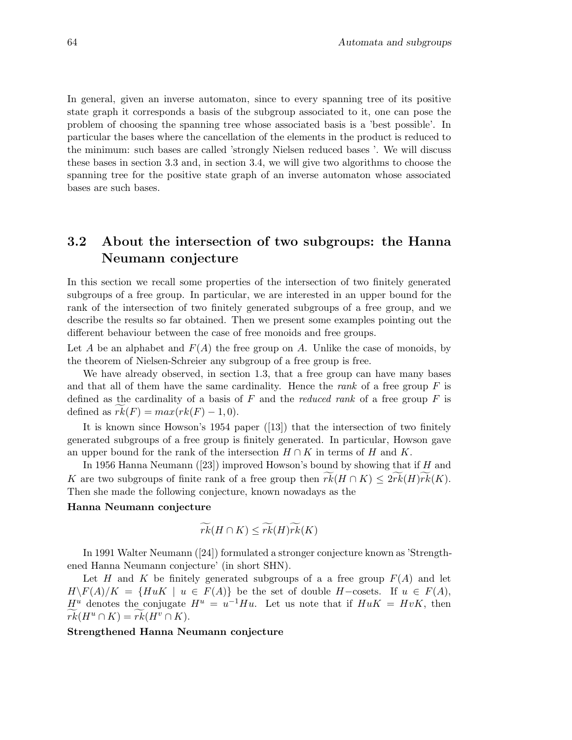In general, given an inverse automaton, since to every spanning tree of its positive state graph it corresponds a basis of the subgroup associated to it, one can pose the problem of choosing the spanning tree whose associated basis is a 'best possible'. In particular the bases where the cancellation of the elements in the product is reduced to the minimum: such bases are called 'strongly Nielsen reduced bases '. We will discuss these bases in section 3.3 and, in section 3.4, we will give two algorithms to choose the spanning tree for the positive state graph of an inverse automaton whose associated bases are such bases.

# 3.2 About the intersection of two subgroups: the Hanna Neumann conjecture

In this section we recall some properties of the intersection of two finitely generated subgroups of a free group. In particular, we are interested in an upper bound for the rank of the intersection of two finitely generated subgroups of a free group, and we describe the results so far obtained. Then we present some examples pointing out the different behaviour between the case of free monoids and free groups.

Let A be an alphabet and  $F(A)$  the free group on A. Unlike the case of monoids, by the theorem of Nielsen-Schreier any subgroup of a free group is free.

We have already observed, in section 1.3, that a free group can have many bases and that all of them have the same cardinality. Hence the rank of a free group  $F$  is defined as the cardinality of a basis of  $F$  and the *reduced rank* of a free group  $F$  is defined as  $rk(F) = max(rk(F) - 1, 0)$ .

It is known since Howson's 1954 paper ([13]) that the intersection of two finitely generated subgroups of a free group is finitely generated. In particular, Howson gave an upper bound for the rank of the intersection  $H \cap K$  in terms of H and K.

In 1956 Hanna Neumann  $([23])$  improved Howson's bound by showing that if H and K are two subgroups of finite rank of a free group then  $rk(H \cap K) \leq 2rk(H)rk(K)$ . Then she made the following conjecture, known nowadays as the

#### Hanna Neumann conjecture

$$
\widetilde{rk}(H\cap K)\leq \widetilde{rk}(H)\widetilde{rk}(K)
$$

In 1991 Walter Neumann ([24]) formulated a stronger conjecture known as 'Strengthened Hanna Neumann conjecture' (in short SHN).

Let H and K be finitely generated subgroups of a a free group  $F(A)$  and let  $H\backslash F(A)/K = \{HuK \mid u \in F(A)\}\$ be the set of double  $H$ -cosets. If  $u \in F(A)$ ,  $H^u$  denotes the conjugate  $H^u = u^{-1}Hu$ . Let us note that if  $H uK = HvK$ , then  $rk(H^u \cap K) = rk(H^v \cap K).$ 

#### Strengthened Hanna Neumann conjecture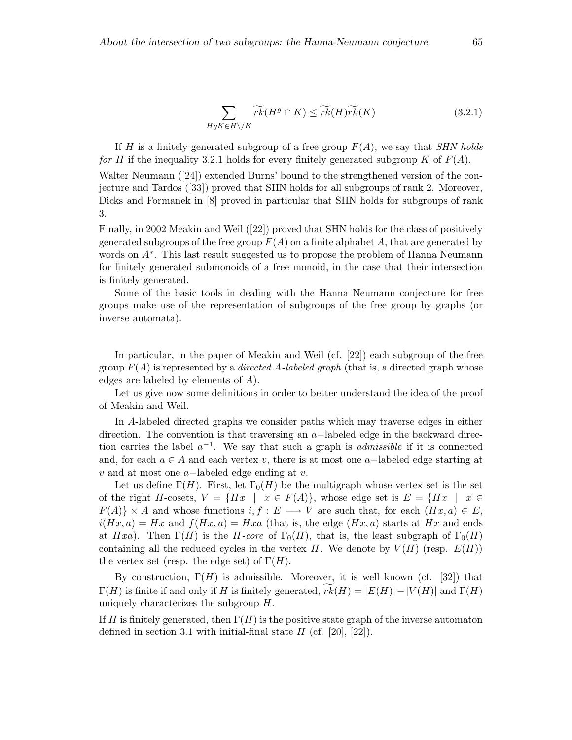$$
\sum_{HgK\in H\backslash/K} \widetilde{rk}(H^g\cap K) \leq \widetilde{rk}(H)\widetilde{rk}(K) \tag{3.2.1}
$$

If H is a finitely generated subgroup of a free group  $F(A)$ , we say that *SHN holds* for H if the inequality 3.2.1 holds for every finitely generated subgroup K of  $F(A)$ .

Walter Neumann ([24]) extended Burns' bound to the strengthened version of the conjecture and Tardos ([33]) proved that SHN holds for all subgroups of rank 2. Moreover, Dicks and Formanek in [8] proved in particular that SHN holds for subgroups of rank 3.

Finally, in 2002 Meakin and Weil ([22]) proved that SHN holds for the class of positively generated subgroups of the free group  $F(A)$  on a finite alphabet A, that are generated by words on  $A^*$ . This last result suggested us to propose the problem of Hanna Neumann for finitely generated submonoids of a free monoid, in the case that their intersection is finitely generated.

Some of the basic tools in dealing with the Hanna Neumann conjecture for free groups make use of the representation of subgroups of the free group by graphs (or inverse automata).

In particular, in the paper of Meakin and Weil (cf. [22]) each subgroup of the free group  $F(A)$  is represented by a *directed A-labeled graph* (that is, a directed graph whose edges are labeled by elements of A).

Let us give now some definitions in order to better understand the idea of the proof of Meakin and Weil.

In A-labeled directed graphs we consider paths which may traverse edges in either direction. The convention is that traversing an a−labeled edge in the backward direction carries the label  $a^{-1}$ . We say that such a graph is *admissible* if it is connected and, for each  $a \in A$  and each vertex v, there is at most one a-labeled edge starting at v and at most one a−labeled edge ending at v.

Let us define  $\Gamma(H)$ . First, let  $\Gamma_0(H)$  be the multigraph whose vertex set is the set of the right H-cosets,  $V = \{Hx \mid x \in F(A)\}$ , whose edge set is  $E = \{Hx \mid x \in F(A)\}$  $F(A)$  × A and whose functions  $i, f : E \longrightarrow V$  are such that, for each  $(Hx, a) \in E$ ,  $i(Hx,a) = Hx$  and  $f(Hx,a) = Hxa$  (that is, the edge  $(Hx,a)$  starts at Hx and ends at Hxa). Then  $\Gamma(H)$  is the H-core of  $\Gamma_0(H)$ , that is, the least subgraph of  $\Gamma_0(H)$ containing all the reduced cycles in the vertex H. We denote by  $V(H)$  (resp.  $E(H)$ ) the vertex set (resp. the edge set) of  $\Gamma(H)$ .

By construction,  $\Gamma(H)$  is admissible. Moreover, it is well known (cf. [32]) that  $\Gamma(H)$  is finite if and only if H is finitely generated,  $rk(H) = |E(H)| - |V(H)|$  and  $\Gamma(H)$ uniquely characterizes the subgroup  $H$ .

If H is finitely generated, then  $\Gamma(H)$  is the positive state graph of the inverse automaton defined in section 3.1 with initial-final state  $H$  (cf. [20], [22]).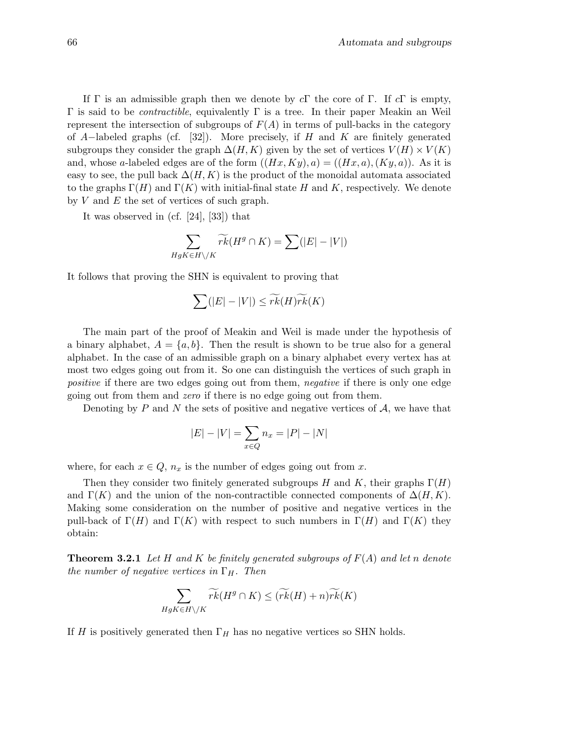If Γ is an admissible graph then we denote by  $c\Gamma$  the core of Γ. If  $c\Gamma$  is empty,  $Γ$  is said to be *contractible*, equivalently Γ is a tree. In their paper Meakin an Weil represent the intersection of subgroups of  $F(A)$  in terms of pull-backs in the category of A–labeled graphs (cf. [32]). More precisely, if H and K are finitely generated subgroups they consider the graph  $\Delta(H, K)$  given by the set of vertices  $V(H) \times V(K)$ and, whose a-labeled edges are of the form  $((Hx, Ky), a) = ((Hx, a), (Ky, a))$ . As it is easy to see, the pull back  $\Delta(H, K)$  is the product of the monoidal automata associated to the graphs  $\Gamma(H)$  and  $\Gamma(K)$  with initial-final state H and K, respectively. We denote by  $V$  and  $E$  the set of vertices of such graph.

It was observed in (cf. [24], [33]) that

$$
\sum_{HgK\in H\setminus/K}\widetilde{rk}(H^g\cap K)=\sum(|E|-|V|)
$$

It follows that proving the SHN is equivalent to proving that

$$
\sum (|E| - |V|) \leq \widetilde{rk}(H)\widetilde{rk}(K)
$$

The main part of the proof of Meakin and Weil is made under the hypothesis of a binary alphabet,  $A = \{a, b\}$ . Then the result is shown to be true also for a general alphabet. In the case of an admissible graph on a binary alphabet every vertex has at most two edges going out from it. So one can distinguish the vertices of such graph in positive if there are two edges going out from them, negative if there is only one edge going out from them and zero if there is no edge going out from them.

Denoting by P and N the sets of positive and negative vertices of  $A$ , we have that

$$
|E| - |V| = \sum_{x \in Q} n_x = |P| - |N|
$$

where, for each  $x \in Q$ ,  $n_x$  is the number of edges going out from x.

Then they consider two finitely generated subgroups H and K, their graphs  $\Gamma(H)$ and  $\Gamma(K)$  and the union of the non-contractible connected components of  $\Delta(H,K)$ . Making some consideration on the number of positive and negative vertices in the pull-back of  $\Gamma(H)$  and  $\Gamma(K)$  with respect to such numbers in  $\Gamma(H)$  and  $\Gamma(K)$  they obtain:

**Theorem 3.2.1** Let H and K be finitely generated subgroups of  $F(A)$  and let n denote the number of negative vertices in  $\Gamma_H$ . Then

$$
\sum_{HgK\in H\setminus/K}\widetilde{rk}(H^g\cap K)\leq (\widetilde{rk}(H)+n)\widetilde{rk}(K)
$$

If H is positively generated then  $\Gamma_H$  has no negative vertices so SHN holds.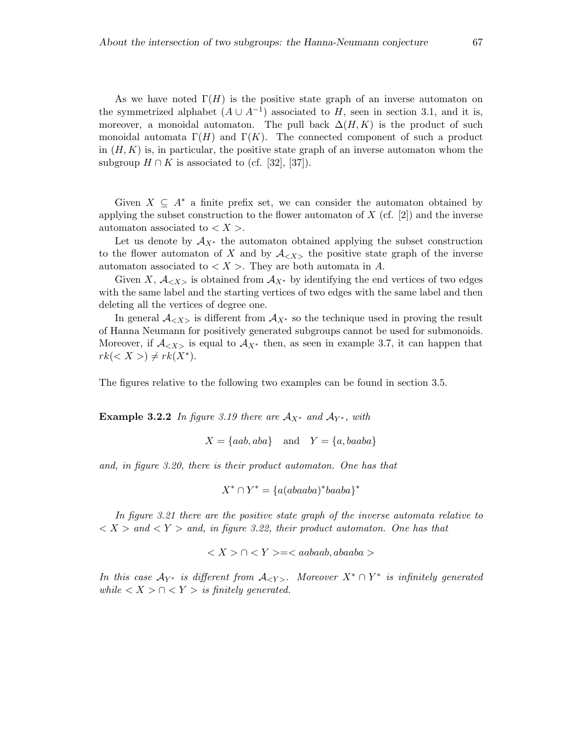As we have noted  $\Gamma(H)$  is the positive state graph of an inverse automaton on the symmetrized alphabet  $(A \cup A^{-1})$  associated to H, seen in section 3.1, and it is, moreover, a monoidal automaton. The pull back  $\Delta(H,K)$  is the product of such monoidal automata  $\Gamma(H)$  and  $\Gamma(K)$ . The connected component of such a product in  $(H,K)$  is, in particular, the positive state graph of an inverse automaton whom the subgroup  $H \cap K$  is associated to (cf. [32], [37]).

Given  $X \subseteq A^*$  a finite prefix set, we can consider the automaton obtained by applying the subset construction to the flower automaton of  $X$  (cf. [2]) and the inverse automaton associated to  $\langle X \rangle$ .

Let us denote by  $A_{X^*}$  the automaton obtained applying the subset construction to the flower automaton of X and by  $A_{\langle X \rangle}$  the positive state graph of the inverse automaton associated to  $\langle X \rangle$ . They are both automata in A.

Given X,  $A_{< X>}$  is obtained from  $A_{X^*}$  by identifying the end vertices of two edges with the same label and the starting vertices of two edges with the same label and then deleting all the vertices of degree one.

In general  $\mathcal{A}_{\langle X \rangle}$  is different from  $\mathcal{A}_{X^*}$  so the technique used in proving the result of Hanna Neumann for positively generated subgroups cannot be used for submonoids. Moreover, if  $A_{< X>}$  is equal to  $A_{X^*}$  then, as seen in example 3.7, it can happen that  $rk(*X*>) \neq rk(*X*<sup>*</sup>).$ 

The figures relative to the following two examples can be found in section 3.5.

**Example 3.2.2** In figure 3.19 there are  $A_{X^*}$  and  $A_{Y^*}$ , with

 $X = \{aab, aba\}$  and  $Y = \{a, baaba\}$ 

and, in figure 3.20, there is their product automaton. One has that

$$
X^* \cap Y^* = \{a(abaaba)^*baaba\}^*
$$

In figure 3.21 there are the positive state graph of the inverse automata relative to  $\langle X \rangle$  and  $\langle Y \rangle$  and, in figure 3.22, their product automaton. One has that

 $\langle X \rangle \cap \langle Y \rangle = \langle aabaab, abaaba \rangle$ 

In this case  $\mathcal{A}_{Y^*}$  is different from  $\mathcal{A}_{\langle Y \rangle}$ . Moreover  $X^* \cap Y^*$  is infinitely generated while  $\langle X \rangle \cap \langle Y \rangle$  is finitely generated.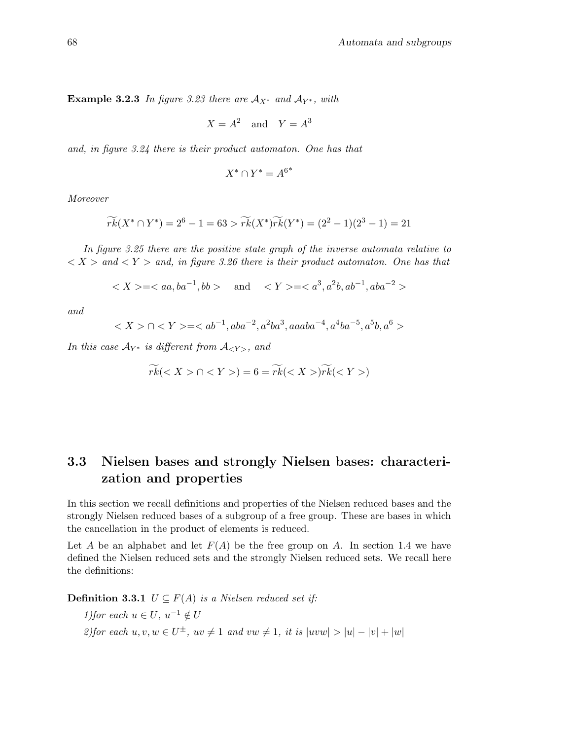Example 3.2.3 In figure 3.23 there are  $A_{X^*}$  and  $A_{Y^*}$ , with

$$
X = A^2 \quad \text{and} \quad Y = A^3
$$

and, in figure 3.24 there is their product automaton. One has that

$$
X^* \cap Y^* = A^{6^*}
$$

Moreover

$$
\widetilde{rk}(X^* \cap Y^*) = 2^6 - 1 = 63 > \widetilde{rk}(X^*)\widetilde{rk}(Y^*) = (2^2 - 1)(2^3 - 1) = 21
$$

In figure 3.25 there are the positive state graph of the inverse automata relative to  $\langle X \rangle$  and  $\langle Y \rangle$  and, in figure 3.26 there is their product automaton. One has that

$$
\langle X \rangle = \langle aa, ba^{-1}, bb \rangle \quad \text{and} \quad \langle Y \rangle = \langle a^3, a^2b, ab^{-1}, aba^{-2} \rangle
$$

and

$$
\cap \langle Y \rangle = \langle ab^{-1}, aba^{-2}, a^2ba^3, aaaba^{-4}, a^4ba^{-5}, a^5b, a^6 \rangle
$$

In this case  $A_{Y^*}$  is different from  $A_{\langle Y \rangle}$ , and

$$
\widetilde{rk}(\cap)=6=\widetilde{rk}()\widetilde{rk}()
$$

# 3.3 Nielsen bases and strongly Nielsen bases: characterization and properties

In this section we recall definitions and properties of the Nielsen reduced bases and the strongly Nielsen reduced bases of a subgroup of a free group. These are bases in which the cancellation in the product of elements is reduced.

Let A be an alphabet and let  $F(A)$  be the free group on A. In section 1.4 we have defined the Nielsen reduced sets and the strongly Nielsen reduced sets. We recall here the definitions:

**Definition 3.3.1**  $U \subseteq F(A)$  is a Nielsen reduced set if:

1) for each  $u \in U$ ,  $u^{-1} \notin U$ 2) for each  $u, v, w \in U^{\pm}$ ,  $uv \neq 1$  and  $vw \neq 1$ , it is  $|uvw| > |u| - |v| + |w|$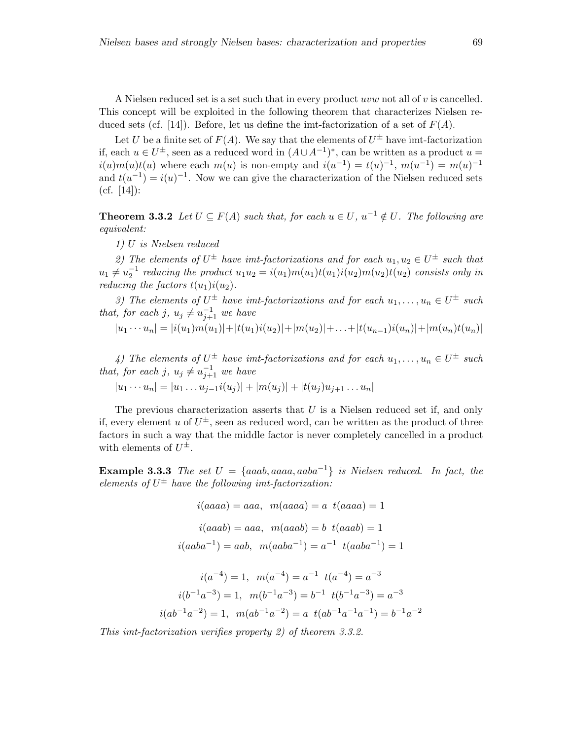A Nielsen reduced set is a set such that in every product uvw not all of v is cancelled. This concept will be exploited in the following theorem that characterizes Nielsen reduced sets (cf. [14]). Before, let us define the imt-factorization of a set of  $F(A)$ .

Let U be a finite set of  $F(A)$ . We say that the elements of  $U^{\pm}$  have imt-factorization if, each  $u \in U^{\pm}$ , seen as a reduced word in  $(A \cup A^{-1})^*$ , can be written as a product  $u =$  $i(u)m(u)t(u)$  where each  $m(u)$  is non-empty and  $i(u^{-1}) = t(u)^{-1}$ ,  $m(u^{-1}) = m(u)^{-1}$ and  $t(u^{-1}) = i(u)^{-1}$ . Now we can give the characterization of the Nielsen reduced sets  $(cf. [14])$ :

**Theorem 3.3.2** Let  $U \subseteq F(A)$  such that, for each  $u \in U$ ,  $u^{-1} \notin U$ . The following are equivalent:

1) U is Nielsen reduced

2) The elements of  $U^{\pm}$  have imt-factorizations and for each  $u_1, u_2 \in U^{\pm}$  such that  $u_1 \neq u_2^{-1}$  reducing the product  $u_1u_2 = i(u_1)m(u_1)t(u_1)i(u_2)m(u_2)t(u_2)$  consists only in reducing the factors  $t(u_1)i(u_2)$ .

3) The elements of  $U^{\pm}$  have imt-factorizations and for each  $u_1, \ldots, u_n \in U^{\pm}$  such that, for each j,  $u_j \neq u_{j+1}^{-1}$  we have

$$
|u_1 \cdots u_n| = |i(u_1)m(u_1)| + |t(u_1)i(u_2)| + |m(u_2)| + \ldots + |t(u_{n-1})i(u_n)| + |m(u_n)t(u_n)|
$$

4) The elements of  $U^{\pm}$  have imt-factorizations and for each  $u_1, \ldots, u_n \in U^{\pm}$  such that, for each j,  $u_j \neq u_{j+1}^{-1}$  we have

$$
|u_1 \cdots u_n| = |u_1 \cdots u_{j-1} i(u_j)| + |m(u_j)| + |t(u_j) u_{j+1} \cdots u_n|
$$

The previous characterization asserts that  $U$  is a Nielsen reduced set if, and only if, every element u of  $U^{\pm}$ , seen as reduced word, can be written as the product of three factors in such a way that the middle factor is never completely cancelled in a product with elements of  $U^{\pm}$ .

**Example 3.3.3** The set  $U = \{aaab, aaaa, aaba^{-1}\}\$ is Nielsen reduced. In fact, the elements of  $U^{\pm}$  have the following imt-factorization:

$$
i(aaaa) = aaa, \ m(aaaa) = a \ t(aaaa) = 1
$$

$$
i(aaab) = aaa, \ m(aaab) = b \ t(aaab) = 1
$$

$$
i(aaba^{-1}) = aab, \ m(aaba^{-1}) = a^{-1} \ t(aaba^{-1}) = 1
$$

$$
i(a^{-4}) = 1, \quad m(a^{-4}) = a^{-1} \quad t(a^{-4}) = a^{-3}
$$

$$
i(b^{-1}a^{-3}) = 1, \quad m(b^{-1}a^{-3}) = b^{-1} \quad t(b^{-1}a^{-3}) = a^{-3}
$$

$$
i(ab^{-1}a^{-2}) = 1, \quad m(ab^{-1}a^{-2}) = a \quad t(ab^{-1}a^{-1}a^{-1}) = b^{-1}a^{-2}
$$

This imt-factorization verifies property 2) of theorem 3.3.2.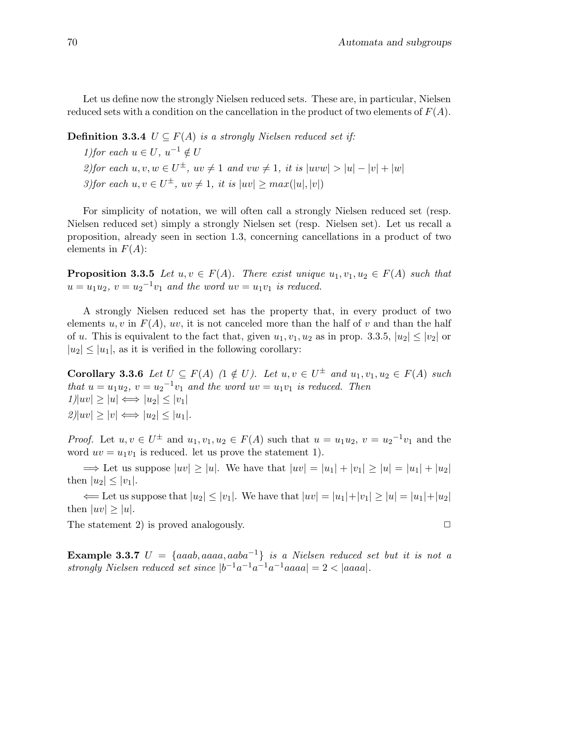Let us define now the strongly Nielsen reduced sets. These are, in particular, Nielsen reduced sets with a condition on the cancellation in the product of two elements of  $F(A)$ .

**Definition 3.3.4**  $U \subseteq F(A)$  is a strongly Nielsen reduced set if:

1) for each  $u \in U$ ,  $u^{-1} \notin U$ 2) for each  $u, v, w \in U^{\pm}$ ,  $uv \neq 1$  and  $vw \neq 1$ , it is  $|uvw| > |u| - |v| + |w|$ 3)for each  $u, v \in U^{\pm}$ ,  $uv \neq 1$ , it is  $|uv| \geq max(|u|, |v|)$ 

For simplicity of notation, we will often call a strongly Nielsen reduced set (resp. Nielsen reduced set) simply a strongly Nielsen set (resp. Nielsen set). Let us recall a proposition, already seen in section 1.3, concerning cancellations in a product of two elements in  $F(A)$ :

**Proposition 3.3.5** Let  $u, v \in F(A)$ . There exist unique  $u_1, v_1, u_2 \in F(A)$  such that  $u = u_1 u_2$ ,  $v = u_2^{-1} v_1$  and the word  $uv = u_1 v_1$  is reduced.

A strongly Nielsen reduced set has the property that, in every product of two elements u, v in  $F(A)$ , uv, it is not canceled more than the half of v and than the half of u. This is equivalent to the fact that, given  $u_1, v_1, u_2$  as in prop. 3.3.5,  $|u_2| \le |v_2|$  or  $|u_2| \leq |u_1|$ , as it is verified in the following corollary:

**Corollary 3.3.6** Let  $U \subseteq F(A)$  ( $1 \notin U$ ). Let  $u, v \in U^{\pm}$  and  $u_1, v_1, u_2 \in F(A)$  such that  $u = u_1 u_2$ ,  $v = u_2^{-1} v_1$  and the word  $uv = u_1 v_1$  is reduced. Then  $1|uv| \geq |u| \Longleftrightarrow |u_2| \leq |v_1|$  $|2||uv| \geq |v| \Longleftrightarrow |u_2| \leq |u_1|$ .

*Proof.* Let  $u, v \in U^{\pm}$  and  $u_1, v_1, u_2 \in F(A)$  such that  $u = u_1 u_2, v = u_2^{-1} v_1$  and the word  $uv = u_1v_1$  is reduced. let us prove the statement 1).

 $\Rightarrow$  Let us suppose  $|uv| \ge |u|$ . We have that  $|uv| = |u_1| + |v_1| \ge |u| = |u_1| + |u_2|$ then  $|u_2| \le |v_1|$ .

 $\Leftarrow$  Let us suppose that  $|u_2| \le |v_1|$ . We have that  $|uv| = |u_1| + |v_1| \ge |u| = |u_1| + |u_2|$ then  $|uv| \geq |u|$ .

The statement 2) is proved analogously.  $\square$ 

Example 3.3.7  $U = \{aaab, aaaa, aaba^{-1}\}\$ is a Nielsen reduced set but it is not a strongly Nielsen reduced set since  $|b^{-1}a^{-1}a^{-1}a^{-1}aaa| = 2 < |aaaa|$ .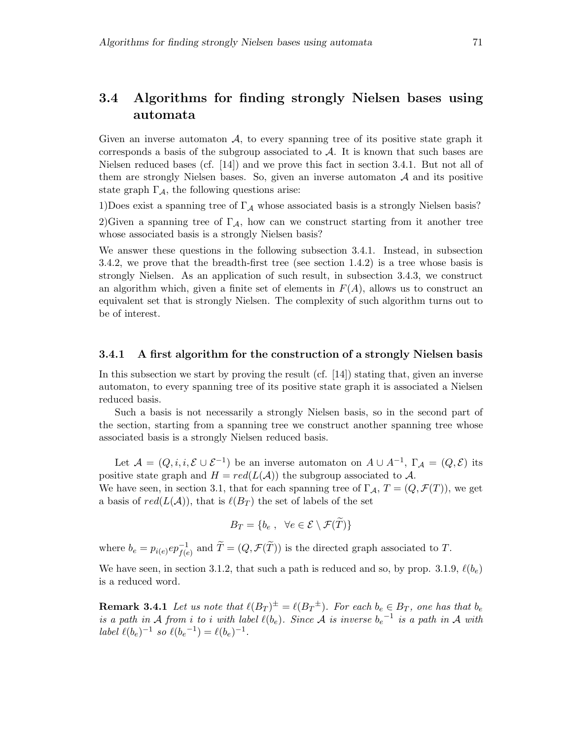# 3.4 Algorithms for finding strongly Nielsen bases using automata

Given an inverse automaton  $A$ , to every spanning tree of its positive state graph it corresponds a basis of the subgroup associated to  $A$ . It is known that such bases are Nielsen reduced bases (cf. [14]) and we prove this fact in section 3.4.1. But not all of them are strongly Nielsen bases. So, given an inverse automaton  $A$  and its positive state graph  $\Gamma_A$ , the following questions arise:

1)Does exist a spanning tree of  $\Gamma_{\mathcal{A}}$  whose associated basis is a strongly Nielsen basis?

2)Given a spanning tree of  $\Gamma_A$ , how can we construct starting from it another tree whose associated basis is a strongly Nielsen basis?

We answer these questions in the following subsection 3.4.1. Instead, in subsection 3.4.2, we prove that the breadth-first tree (see section 1.4.2) is a tree whose basis is strongly Nielsen. As an application of such result, in subsection 3.4.3, we construct an algorithm which, given a finite set of elements in  $F(A)$ , allows us to construct an equivalent set that is strongly Nielsen. The complexity of such algorithm turns out to be of interest.

#### 3.4.1 A first algorithm for the construction of a strongly Nielsen basis

In this subsection we start by proving the result  $(cf. \t[14])$  stating that, given an inverse automaton, to every spanning tree of its positive state graph it is associated a Nielsen reduced basis.

Such a basis is not necessarily a strongly Nielsen basis, so in the second part of the section, starting from a spanning tree we construct another spanning tree whose associated basis is a strongly Nielsen reduced basis.

Let  $\mathcal{A} = (Q, i, i, \mathcal{E} \cup \mathcal{E}^{-1})$  be an inverse automaton on  $A \cup A^{-1}$ ,  $\Gamma_{\mathcal{A}} = (Q, \mathcal{E})$  its positive state graph and  $H = red(L(A))$  the subgroup associated to A.

We have seen, in section 3.1, that for each spanning tree of  $\Gamma_{\mathcal{A}}, T = (Q, \mathcal{F}(T))$ , we get a basis of  $red(L(\mathcal{A}))$ , that is  $\ell(B_T)$  the set of labels of the set

$$
B_T = \{b_e, \ \forall e \in \mathcal{E} \setminus \mathcal{F}(\widetilde{T})\}
$$

where  $b_e = p_{i(e)} ep^{-1}_{f(e)}$  and  $\widetilde{T} = (Q, \mathcal{F}(\widetilde{T}))$  is the directed graph associated to T.

We have seen, in section 3.1.2, that such a path is reduced and so, by prop. 3.1.9,  $\ell(b_e)$ is a reduced word.

**Remark 3.4.1** Let us note that  $\ell(B_T)^{\pm} = \ell(B_T^{\pm})$ . For each  $b_e \in B_T$ , one has that  $b_e$ is a path in A from i to i with label  $\ell(b_e)$ . Since A is inverse  $b_e^{-1}$  is a path in A with label  $\ell(b_e)^{-1}$  so  $\ell(b_e^{-1}) = \ell(b_e)^{-1}$ .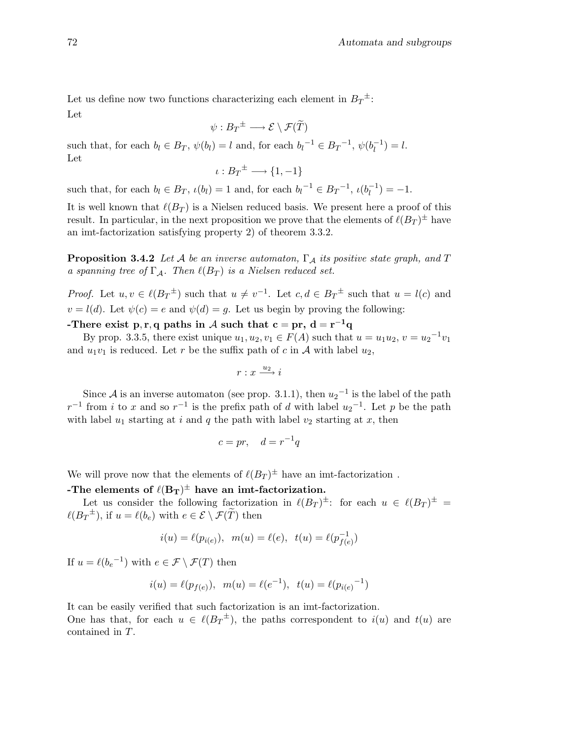Let us define now two functions characterizing each element in  $B_T^{\pm}$ : Let

$$
\psi: B_T^{\pm} \longrightarrow \mathcal{E} \setminus \mathcal{F}(\widetilde{T})
$$

such that, for each  $b_l \in B_T$ ,  $\psi(b_l) = l$  and, for each  $b_l^{-1} \in B_T^{-1}$ ,  $\psi(b_l^{-1})$  $\binom{-1}{l} = l.$ Let

$$
\iota: B_T^{\pm} \longrightarrow \{1, -1\}
$$

such that, for each  $b_l \in B_T$ ,  $\iota(b_l) = 1$  and, for each  $b_l^{-1} \in B_T^{-1}$ ,  $\iota(b_l^{-1})$  $\binom{-1}{l} = -1.$ 

It is well known that  $\ell(B_T)$  is a Nielsen reduced basis. We present here a proof of this result. In particular, in the next proposition we prove that the elements of  $\ell(B_T)^{\pm}$  have an imt-factorization satisfying property 2) of theorem 3.3.2.

**Proposition 3.4.2** Let A be an inverse automaton,  $\Gamma_A$  its positive state graph, and T a spanning tree of  $\Gamma_A$ . Then  $\ell(B_T)$  is a Nielsen reduced set.

*Proof.* Let  $u, v \in \ell(B_T^{\pm})$  such that  $u \neq v^{-1}$ . Let  $c, d \in B_T^{\pm}$  such that  $u = l(c)$  and  $v = l(d)$ . Let  $\psi(c) = e$  and  $\psi(d) = g$ . Let us begin by proving the following:

-There exist p, r, q paths in  $\mathcal A$  such that  $\mathbf c = \mathbf {pr}, \, \mathbf d = \mathbf r^{-1}\mathbf q$ 

By prop. 3.3.5, there exist unique  $u_1, u_2, v_1 \in F(A)$  such that  $u = u_1 u_2, v = u_2^{-1} v_1$ and  $u_1v_1$  is reduced. Let r be the suffix path of c in A with label  $u_2$ ,

$$
r:x\overset{u_{2}}{\longrightarrow}i
$$

Since A is an inverse automaton (see prop. 3.1.1), then  $u_2^{-1}$  is the label of the path  $r^{-1}$  from i to x and so  $r^{-1}$  is the prefix path of d with label  $u_2$ <sup>-1</sup>. Let p be the path with label  $u_1$  starting at i and q the path with label  $v_2$  starting at x, then

$$
c = pr, \quad d = r^{-1}q
$$

We will prove now that the elements of  $\ell(B_T)^{\pm}$  have an imt-factorization.

-The elements of  $\ell(B_T)^\pm$  have an imt-factorization.

Let us consider the following factorization in  $\ell(B_T)^{\pm}$ : for each  $u \in \ell(B_T)^{\pm}$  =  $\ell(B_T^{\pm}),$  if  $u = \ell(b_e)$  with  $e \in \mathcal{E} \setminus \mathcal{F}(\widetilde{T})$  then

$$
i(u) = \ell(p_{i(e)}), \ \ m(u) = \ell(e), \ \ t(u) = \ell(p_{f(e)}^{-1})
$$

If  $u = \ell(b_e^{-1})$  with  $e \in \mathcal{F} \setminus \mathcal{F}(T)$  then

$$
i(u) = \ell(p_{f(e)}), \ \ m(u) = \ell(e^{-1}), \ \ t(u) = \ell(p_{i(e)}^{-1})
$$

It can be easily verified that such factorization is an imt-factorization.

One has that, for each  $u \in \ell(B_T^{\pm})$ , the paths correspondent to  $i(u)$  and  $t(u)$  are contained in T.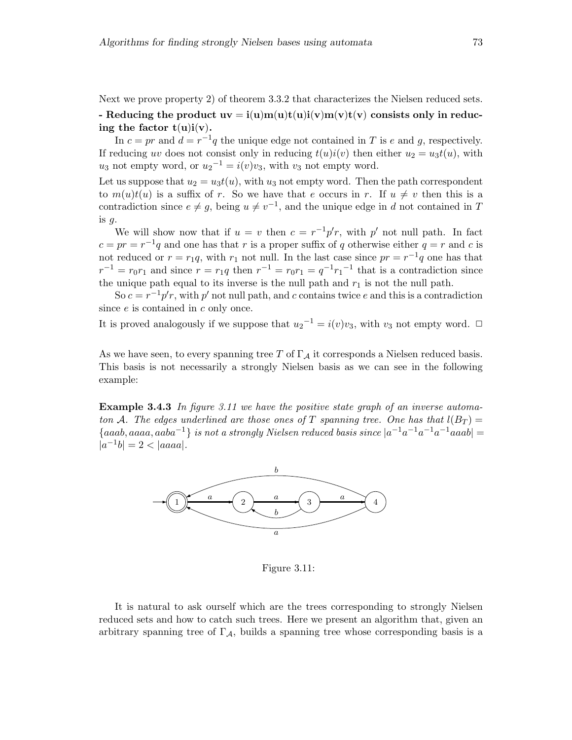Next we prove property 2) of theorem 3.3.2 that characterizes the Nielsen reduced sets.

- Reducing the product  $uv = i(u)m(u)t(u)i(v)m(v)t(v)$  consists only in reducing the factor  $t(u)i(v)$ .

In  $c = pr$  and  $d = r^{-1}q$  the unique edge not contained in T is e and g, respectively. If reducing uv does not consist only in reducing  $t(u)i(v)$  then either  $u_2 = u_3t(u)$ , with  $u_3$  not empty word, or  $u_2^{-1} = i(v)v_3$ , with  $v_3$  not empty word.

Let us suppose that  $u_2 = u_3t(u)$ , with  $u_3$  not empty word. Then the path correspondent to  $m(u)t(u)$  is a suffix of r. So we have that e occurs in r. If  $u \neq v$  then this is a contradiction since  $e \neq g$ , being  $u \neq v^{-1}$ , and the unique edge in d not contained in T is  $g$ .

We will show now that if  $u = v$  then  $c = r^{-1}p'r$ , with p' not null path. In fact  $c = pr = r^{-1}q$  and one has that r is a proper suffix of q otherwise either  $q = r$  and c is not reduced or  $r = r_1 q$ , with  $r_1$  not null. In the last case since  $pr = r^{-1} q$  one has that  $r^{-1} = r_0 r_1$  and since  $r = r_1 q$  then  $r^{-1} = r_0 r_1 = q^{-1} r_1^{-1}$  that is a contradiction since the unique path equal to its inverse is the null path and  $r_1$  is not the null path.

So  $c = r^{-1}p'r$ , with p' not null path, and c contains twice e and this is a contradiction since  $e$  is contained in  $c$  only once.

It is proved analogously if we suppose that  $u_2^{-1} = i(v)v_3$ , with  $v_3$  not empty word.  $\Box$ 

As we have seen, to every spanning tree T of  $\Gamma_A$  it corresponds a Nielsen reduced basis. This basis is not necessarily a strongly Nielsen basis as we can see in the following example:

**Example 3.4.3** In figure 3.11 we have the positive state graph of an inverse automaton A. The edges underlined are those ones of T spanning tree. One has that  $l(B_T)$  =  ${aaab, aaaa, aaba<sup>-1</sup>}$  is not a strongly Nielsen reduced basis since  $|a^{-1}a^{-1}a^{-1}a^{-1}aaab|=$  $|a^{-1}b| = 2 < |aaaa|$ .



Figure 3.11:

It is natural to ask ourself which are the trees corresponding to strongly Nielsen reduced sets and how to catch such trees. Here we present an algorithm that, given an arbitrary spanning tree of  $\Gamma_A$ , builds a spanning tree whose corresponding basis is a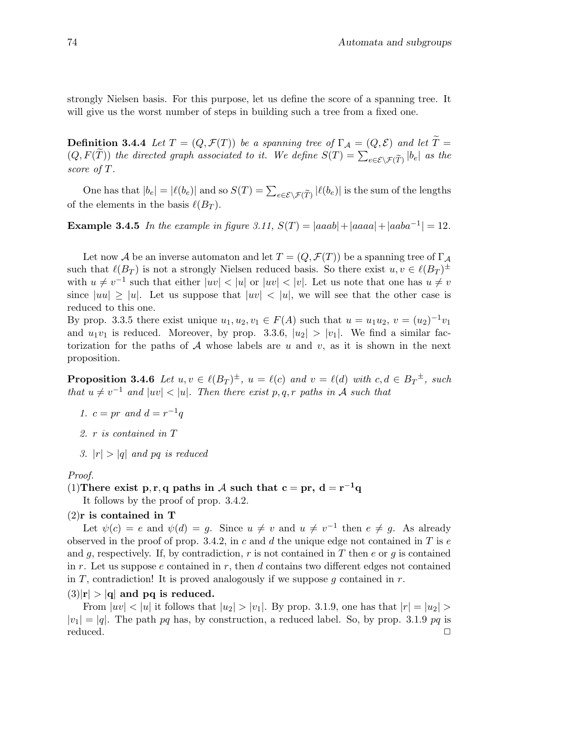strongly Nielsen basis. For this purpose, let us define the score of a spanning tree. It will give us the worst number of steps in building such a tree from a fixed one.

**Definition 3.4.4** Let  $T = (Q, \mathcal{F}(T))$  be a spanning tree of  $\Gamma_A = (Q, \mathcal{E})$  and let  $\widetilde{T} =$  $(Q, F(\tilde{T}))$  the directed graph associated to it. We define  $S(T) = \sum_{e \in \mathcal{E} \setminus \mathcal{F}(\tilde{T})} |b_e|$  as the score of T.

One has that  $|b_e| = |\ell(b_e)|$  and so  $S(T) = \sum_{e \in \mathcal{E} \setminus \mathcal{F}(\widetilde{T})} |\ell(b_e)|$  is the sum of the lengths of the elements in the basis  $\ell(B_T)$ .

**Example 3.4.5** In the example in figure 3.11,  $S(T) = |aaa b| + |aaaa + |aaba^{-1}| = 12$ .

Let now A be an inverse automaton and let  $T = (Q, \mathcal{F}(T))$  be a spanning tree of  $\Gamma_A$ such that  $\ell(B_T)$  is not a strongly Nielsen reduced basis. So there exist  $u, v \in \ell(B_T)^{\pm}$ with  $u \neq v^{-1}$  such that either  $|uv| < |u|$  or  $|uv| < |v|$ . Let us note that one has  $u \neq v$ since  $|uu| \ge |u|$ . Let us suppose that  $|uv| < |u|$ , we will see that the other case is reduced to this one.

By prop. 3.3.5 there exist unique  $u_1, u_2, v_1 \in F(A)$  such that  $u = u_1 u_2, v = (u_2)^{-1} v_1$ and  $u_1v_1$  is reduced. Moreover, by prop. 3.3.6,  $|u_2| > |v_1|$ . We find a similar factorization for the paths of  $A$  whose labels are u and v, as it is shown in the next proposition.

**Proposition 3.4.6** Let  $u, v \in \ell(B_T)^{\pm}$ ,  $u = \ell(c)$  and  $v = \ell(d)$  with  $c, d \in B_T^{\pm}$ , such that  $u \neq v^{-1}$  and  $|uv| < |u|$ . Then there exist p,q,r paths in A such that

- 1.  $c = pr$  and  $d = r^{-1}q$
- 2. r is contained in T
- 3.  $|r| > |q|$  and pq is reduced

#### Proof.

(1) There exist p, r, q paths in A such that  $c = pr$ ,  $d = r^{-1}q$ 

It follows by the proof of prop. 3.4.2.

#### (2)r is contained in T

Let  $\psi(c) = e$  and  $\psi(d) = g$ . Since  $u \neq v$  and  $u \neq v^{-1}$  then  $e \neq g$ . As already observed in the proof of prop. 3.4.2, in c and d the unique edge not contained in T is  $e$ and g, respectively. If, by contradiction, r is not contained in T then e or g is contained in r. Let us suppose e contained in r, then d contains two different edges not contained in T, contradiction! It is proved analogously if we suppose g contained in  $r$ .

#### $(3)|\mathbf{r}| > |\mathbf{q}|$  and pq is reduced.

From  $|uv| < |u|$  it follows that  $|u_2| > |v_1|$ . By prop. 3.1.9, one has that  $|r| = |u_2| >$  $|v_1| = |q|$ . The path pq has, by construction, a reduced label. So, by prop. 3.1.9 pq is reduced. □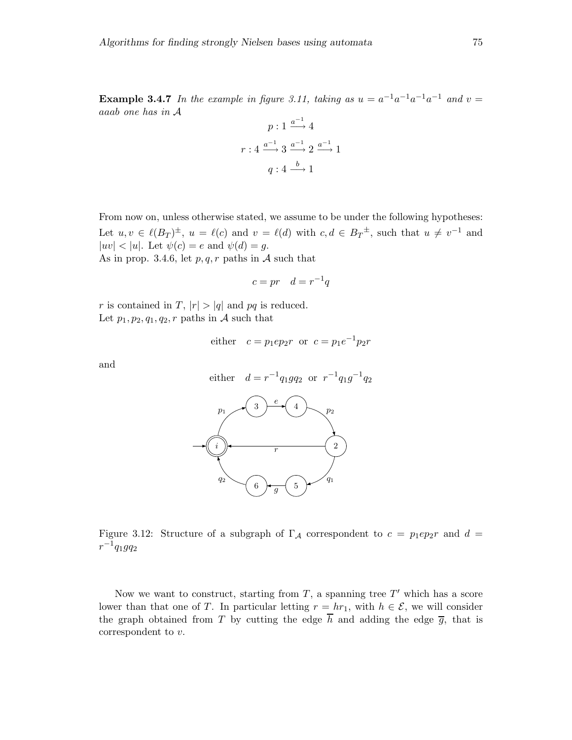**Example 3.4.7** In the example in figure 3.11, taking as  $u = a^{-1}a^{-1}a^{-1}a^{-1}$  and  $v =$ aaab one has in A  $\sim$ −1

$$
p: 1 \xrightarrow{a^{-1}} 4
$$

$$
r: 4 \xrightarrow{a^{-1}} 3 \xrightarrow{a^{-1}} 2 \xrightarrow{a^{-1}} 1
$$

$$
q: 4 \xrightarrow{b} 1
$$

From now on, unless otherwise stated, we assume to be under the following hypotheses: Let  $u, v \in \ell(B_T)^{\pm}$ ,  $u = \ell(c)$  and  $v = \ell(d)$  with  $c, d \in B_T^{\pm}$ , such that  $u \neq v^{-1}$  and  $|uv| < |u|$ . Let  $\psi(c) = e$  and  $\psi(d) = g$ . As in prop. 3.4.6, let  $p, q, r$  paths in A such that

$$
c = pr \quad d = r^{-1}q
$$

r is contained in T,  $|r| > |q|$  and pq is reduced. Let  $p_1, p_2, q_1, q_2, r$  paths in A such that

either 
$$
c = p_1 ep_2r
$$
 or  $c = p_1e^{-1}p_2r$ 

and



Figure 3.12: Structure of a subgraph of  $\Gamma_A$  correspondent to  $c = p_1 ep_2r$  and  $d =$  $r^{-1}q_1gq_2$ 

Now we want to construct, starting from  $T$ , a spanning tree  $T'$  which has a score lower than that one of T. In particular letting  $r = hr_1$ , with  $h \in \mathcal{E}$ , we will consider the graph obtained from T by cutting the edge  $\overline{h}$  and adding the edge  $\overline{g}$ , that is correspondent to v.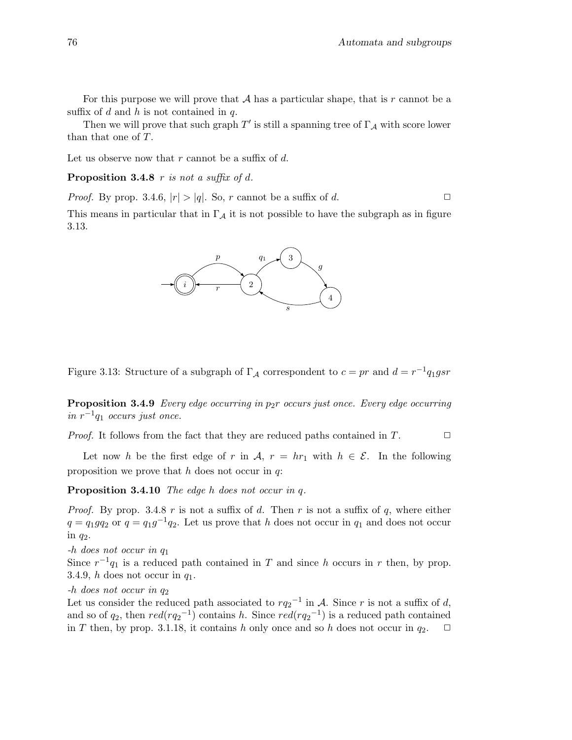For this purpose we will prove that  $A$  has a particular shape, that is  $r$  cannot be a suffix of d and h is not contained in  $q$ .

Then we will prove that such graph  $T'$  is still a spanning tree of  $\Gamma_{\mathcal{A}}$  with score lower than that one of T.

Let us observe now that r cannot be a suffix of  $d$ .

Proposition 3.4.8 r is not a suffix of d.

*Proof.* By prop. 3.4.6,  $|r| > |q|$ . So, r cannot be a suffix of d.  $\Box$ 

This means in particular that in  $\Gamma_A$  it is not possible to have the subgraph as in figure 3.13.



Figure 3.13: Structure of a subgraph of  $\Gamma_{\mathcal{A}}$  correspondent to  $c = pr$  and  $d = r^{-1}q_1gsr$ 

**Proposition 3.4.9** Every edge occurring in  $p_2r$  occurs just once. Every edge occurring in  $r^{-1}q_1$  occurs just once.

*Proof.* It follows from the fact that they are reduced paths contained in T.  $\Box$ 

Let now h be the first edge of r in A,  $r = hr_1$  with  $h \in \mathcal{E}$ . In the following proposition we prove that  $h$  does not occur in  $q$ .

Proposition 3.4.10 The edge h does not occur in q.

*Proof.* By prop. 3.4.8 r is not a suffix of d. Then r is not a suffix of q, where either  $q = q_1 q_2$  or  $q = q_1 g^{-1} q_2$ . Let us prove that h does not occur in  $q_1$  and does not occur in  $q_2$ .

-h does not occur in q<sup>1</sup>

Since  $r^{-1}q_1$  is a reduced path contained in T and since h occurs in r then, by prop. 3.4.9, h does not occur in  $q_1$ .

 $-h$  does not occur in  $q_2$ 

Let us consider the reduced path associated to  $rq_2^{-1}$  in A. Since r is not a suffix of d, and so of  $q_2$ , then  $red(rq_2^{-1})$  contains h. Since  $red(rq_2^{-1})$  is a reduced path contained in T then, by prop. 3.1.18, it contains h only once and so h does not occur in  $q_2$ .  $\Box$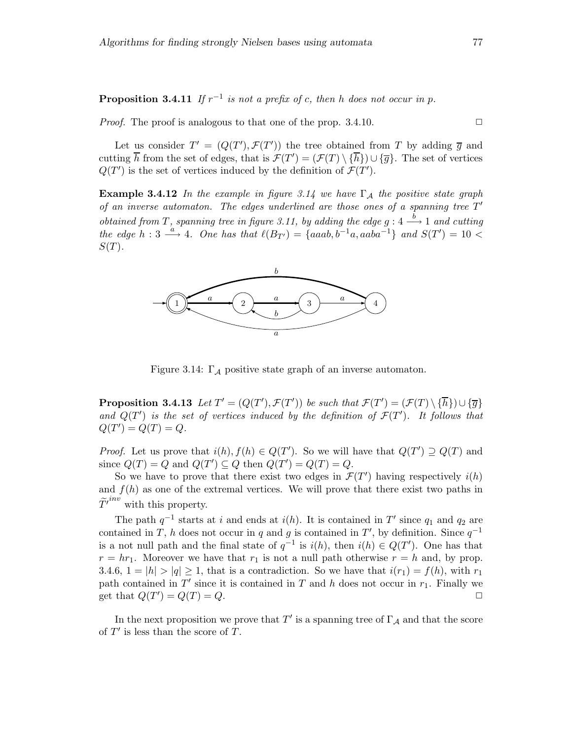**Proposition 3.4.11** If  $r^{-1}$  is not a prefix of c, then h does not occur in p.

*Proof.* The proof is analogous to that one of the prop. 3.4.10.  $\Box$ 

Let us consider  $T' = (Q(T'), \mathcal{F}(T'))$  the tree obtained from T by adding  $\overline{g}$  and cutting  $\overline{h}$  from the set of edges, that is  $\mathcal{F}(T') = (\mathcal{F}(T) \setminus {\overline{h}}) \cup {\overline{g}}$ . The set of vertices  $Q(T')$  is the set of vertices induced by the definition of  $\mathcal{F}(T')$ .

**Example 3.4.12** In the example in figure 3.14 we have  $\Gamma_A$  the positive state graph of an inverse automaton. The edges underlined are those ones of a spanning tree  $T'$ obtained from T, spanning tree in figure 3.11, by adding the edge g :  $4 \xrightarrow{b} 1$  and cutting the edge  $h: 3 \stackrel{a}{\longrightarrow} 4$ . One has that  $\ell(B_{T'}) = \{aaab, b^{-1}a, aaba^{-1}\}$  and  $S(T') = 10$  $S(T)$ .



Figure 3.14:  $\Gamma_A$  positive state graph of an inverse automaton.

**Proposition 3.4.13** Let  $T' = (Q(T'), \mathcal{F}(T'))$  be such that  $\mathcal{F}(T') = (\mathcal{F}(T) \setminus {\overline{h}}) \cup {\overline{g}}$ and  $Q(T')$  is the set of vertices induced by the definition of  $\mathcal{F}(T')$ . It follows that  $Q(T') = Q(T) = Q.$ 

*Proof.* Let us prove that  $i(h), f(h) \in Q(T')$ . So we will have that  $Q(T') \supseteq Q(T)$  and since  $Q(T) = Q$  and  $Q(T') \subseteq Q$  then  $Q(T') = Q(T) = Q$ .

So we have to prove that there exist two edges in  $\mathcal{F}(T')$  having respectively  $i(h)$ and  $f(h)$  as one of the extremal vertices. We will prove that there exist two paths in  $\widetilde{T'}^{inv}$  with this property.

The path  $q^{-1}$  starts at i and ends at i(h). It is contained in T' since  $q_1$  and  $q_2$  are contained in T, h does not occur in q and g is contained in T', by definition. Since  $q^{-1}$ is a not null path and the final state of  $q^{-1}$  is  $i(h)$ , then  $i(h) \in Q(T')$ . One has that  $r = hr_1$ . Moreover we have that  $r_1$  is not a null path otherwise  $r = h$  and, by prop. 3.4.6,  $1 = |h| > |q| \ge 1$ , that is a contradiction. So we have that  $i(r_1) = f(h)$ , with  $r_1$ path contained in  $T'$  since it is contained in  $T$  and  $h$  does not occur in  $r_1$ . Finally we get that  $Q(T') = Q(T) = Q$ .

In the next proposition we prove that  $T'$  is a spanning tree of  $\Gamma_{\mathcal{A}}$  and that the score of  $T'$  is less than the score of  $T$ .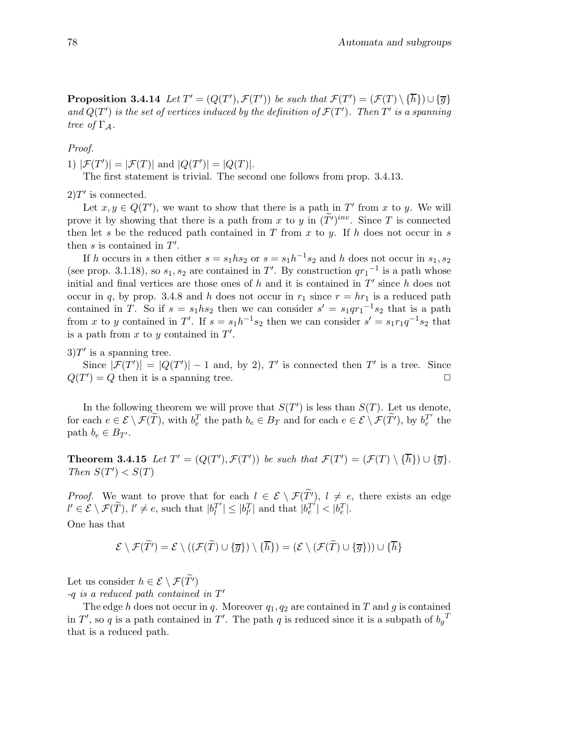**Proposition 3.4.14** Let  $T' = (Q(T'), \mathcal{F}(T'))$  be such that  $\mathcal{F}(T') = (\mathcal{F}(T) \setminus {\overline{\{h\}}}) \cup {\overline{\{g\}}}$ and  $Q(T')$  is the set of vertices induced by the definition of  $\mathcal{F}(T')$ . Then T' is a spanning tree of  $\Gamma_A$ .

Proof.

1)  $|\mathcal{F}(T')| = |\mathcal{F}(T)|$  and  $|Q(T')| = |Q(T)|$ .

The first statement is trivial. The second one follows from prop. 3.4.13.

 $2)T'$  is connected.

Let  $x, y \in Q(T')$ , we want to show that there is a path in T' from x to y. We will prove it by showing that there is a path from x to y in  $(T')^{inv}$ . Since T is connected then let s be the reduced path contained in T from x to y. If h does not occur in s then  $s$  is contained in  $T'$ .

If h occurs in s then either  $s = s_1 h s_2$  or  $s = s_1 h^{-1} s_2$  and h does not occur in  $s_1, s_2$ (see prop. 3.1.18), so  $s_1, s_2$  are contained in T'. By construction  $q{r_1}^{-1}$  is a path whose initial and final vertices are those ones of  $h$  and it is contained in  $T'$  since  $h$  does not occur in q, by prop. 3.4.8 and h does not occur in  $r_1$  since  $r = hr_1$  is a reduced path contained in T. So if  $s = s_1 h s_2$  then we can consider  $s' = s_1 q r_1^{-1} s_2$  that is a path from x to y contained in T'. If  $s = s_1 h^{-1} s_2$  then we can consider  $s' = s_1 r_1 q^{-1} s_2$  that is a path from  $x$  to  $y$  contained in  $T'$ .

 $3)T'$  is a spanning tree.

Since  $|\mathcal{F}(T')| = |Q(T')| - 1$  and, by 2), T' is connected then T' is a tree. Since  $Q(T') = Q$  then it is a spanning tree.

In the following theorem we will prove that  $S(T')$  is less than  $S(T)$ . Let us denote, for each  $e \in \mathcal{E} \setminus \mathcal{F}(\widetilde{T})$ , with  $b_e^T$  the path  $b_e \in B_T$  and for each  $e \in \mathcal{E} \setminus \mathcal{F}(\widetilde{T}')$ , by  $b_e^{T'}$  $e^T$  the path  $b_e \in B_{T'}$ .

**Theorem 3.4.15** Let  $T' = (Q(T'), \mathcal{F}(T'))$  be such that  $\mathcal{F}(T') = (\mathcal{F}(T) \setminus {\overline{h}}) \cup {\overline{g}}$ . Then  $S(T') < S(T)$ 

*Proof.* We want to prove that for each  $l \in \mathcal{E} \setminus \mathcal{F}(\widetilde{T})$ ,  $l \neq e$ , there exists an edge  $l' \in \mathcal{E} \setminus \mathcal{F}(\widetilde{T}), l' \neq e$ , such that  $|b_l^{T'}|$  $\left| \sum_{l}^{T'} \right| \leq |b_{l'}^{T'}|$  and that  $|b_e^{T'}|$  $|T'| < |b_e^T|.$ One has that

$$
\mathcal{E} \setminus \mathcal{F}(\widetilde{T'}) = \mathcal{E} \setminus ((\mathcal{F}(\widetilde{T}) \cup \{\overline{g}\}) \setminus \{\overline{h}\}) = (\mathcal{E} \setminus (\mathcal{F}(\widetilde{T}) \cup \{\overline{g}\})) \cup \{\overline{h}\}\
$$

Let us consider  $h \in \mathcal{E} \setminus \mathcal{F}(\widetilde{T}')$  $-q$  is a reduced path contained in  $T'$ 

The edge h does not occur in q. Moreover  $q_1, q_2$  are contained in T and q is contained in T', so q is a path contained in T'. The path q is reduced since it is a subpath of  $b_g^T$ that is a reduced path.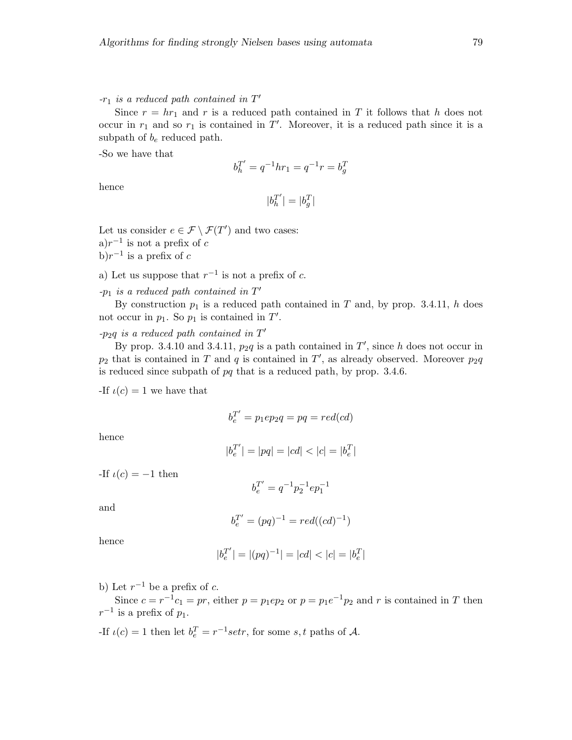$-r_1$  is a reduced path contained in  $T'$ 

Since  $r = hr_1$  and r is a reduced path contained in T it follows that h does not occur in  $r_1$  and so  $r_1$  is contained in  $T'$ . Moreover, it is a reduced path since it is a subpath of  $b_e$  reduced path.

-So we have that

$$
b_h^{T'} = q^{-1}hr_1 = q^{-1}r = b_g^T
$$

hence

$$
|b_h^{T^\prime}| = |b_g^T|
$$

Let us consider  $e \in \mathcal{F} \setminus \mathcal{F}(T')$  and two cases:

a) $r^{-1}$  is not a prefix of c

b) $r^{-1}$  is a prefix of c

a) Let us suppose that  $r^{-1}$  is not a prefix of c.

 $-p_1$  is a reduced path contained in  $T'$ 

By construction  $p_1$  is a reduced path contained in T and, by prop. 3.4.11, h does not occur in  $p_1$ . So  $p_1$  is contained in  $T'$ .

# $-p_2q$  is a reduced path contained in  $T'$

By prop. 3.4.10 and 3.4.11,  $p_2q$  is a path contained in  $T'$ , since h does not occur in  $p_2$  that is contained in T and q is contained in T', as already observed. Moreover  $p_2q$ is reduced since subpath of pq that is a reduced path, by prop. 3.4.6.

-If  $\iota(c) = 1$  we have that

$$
b_e^{T'} = p_1 ep_2 q = pq = red(cd)
$$

hence

$$
|b_e^{T'}| = |pq| = |cd| < |c| = |b_e^{T}|
$$

-If  $\iota(c) = -1$  then

$$
b_{e}^{T^{\prime }}=q^{-1}p_{2}^{-1}ep_{1}^{-1}
$$

and

$$
b_e^{T'} = (pq)^{-1} = red((cd)^{-1})
$$

hence

$$
|b_e^{T'}| = |(pq)^{-1}| = |cd| < |c| = |b_e^{T}|
$$

b) Let  $r^{-1}$  be a prefix of c.

Since  $c = r^{-1}c_1 = pr$ , either  $p = p_1ep_2$  or  $p = p_1e^{-1}p_2$  and r is contained in T then  $r^{-1}$  is a prefix of  $p_1$ .

-If  $\iota(c) = 1$  then let  $b_e^T = r^{-1}setr$ , for some  $s, t$  paths of  $A$ .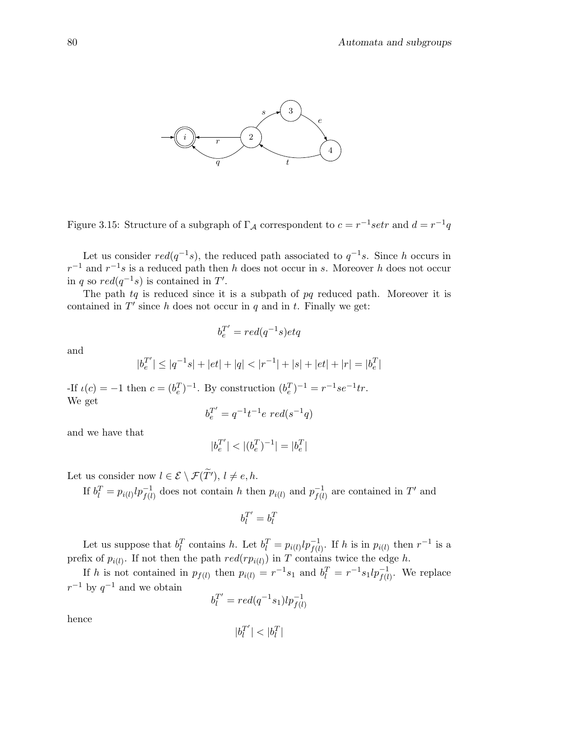

Figure 3.15: Structure of a subgraph of  $\Gamma_A$  correspondent to  $c = r^{-1}$ setr and  $d = r^{-1}q$ 

Let us consider  $red(q^{-1}s)$ , the reduced path associated to  $q^{-1}s$ . Since h occurs in  $r^{-1}$  and  $r^{-1}s$  is a reduced path then h does not occur in s. Moreover h does not occur in q so  $red(q^{-1}s)$  is contained in T'.

The path  $tq$  is reduced since it is a subpath of  $pq$  reduced path. Moreover it is contained in  $T'$  since h does not occur in q and in t. Finally we get:

$$
b_e^{T'} = red(q^{-1}s)etq
$$

and

$$
|b_e^{T'}| \le |q^{-1}s| + |et| + |q| < |r^{-1}| + |s| + |et| + |r| = |b_e^T|
$$

-If  $\iota(c) = -1$  then  $c = (b_e^T)^{-1}$ . By construction  $(b_e^T)^{-1} = r^{-1}se^{-1}tr$ . We get ′

$$
b_e^{T'} = q^{-1}t^{-1}e \ red(s^{-1}q)
$$

and we have that

$$
|b_e^{T'}| < |(b_e^T)^{-1}| = |b_e^T|
$$

Let us consider now  $l \in \mathcal{E} \setminus \mathcal{F}(\widetilde{T}'), l \neq e,h$ .

If  $b_l^T = p_{i(l)}lp_{f(l)}^{-1}$  does not contain h then  $p_{i(l)}$  and  $p_{f(l)}^{-1}$  $\overline{f(l)}^{-1}$  are contained in T' and

$$
b_l^{T^\prime} = b_l^T
$$

Let us suppose that  $b_l^T$  contains h. Let  $b_l^T = p_{i(l)}lp_{f(l)}^{-1}$ . If h is in  $p_{i(l)}$  then  $r^{-1}$  is a prefix of  $p_{i(l)}$ . If not then the path  $red(rp_{i(l)})$  in T contains twice the edge h.

If h is not contained in  $p_{f(l)}$  then  $p_{i(l)} = r^{-1} s_1$  and  $b_l^T = r^{-1} s_1 l p_{f(l)}^{-1}$ . We replace  $r^{-1}$  by  $q^{-1}$  and we obtain

$$
b_l^{T'} = red(q^{-1}s_1)lp_{f(l)}^{-1}
$$

hence

$$
\vert b_l^{T'}\vert < \vert b_l^{T}
$$

|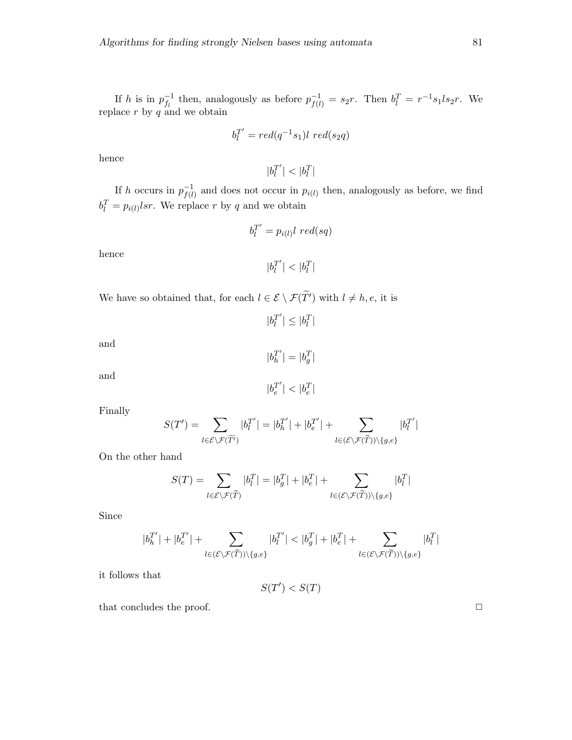If h is in  $p_{f_i}^{-1}$  $f_l^{-1}$  then, analogously as before  $p_{f(l)}^{-1} = s_2r$ . Then  $b_l^T = r^{-1}s_1ls_2r$ . We replace  $r$  by  $q$  and we obtain

$$
b_l^{T'} = red(q^{-1}s_1)l\ red(s_2q)
$$

hence

 $|b_l^{T'}|$  $\left| \begin{smallmatrix} T' \\ l \end{smallmatrix} \right| < \left| b_l^T \right|$ 

If h occurs in  $p_{f(l)}^{-1}$  $f_{(l)}^{-1}$  and does not occur in  $p_{i(l)}$  then, analogously as before, we find  $b_l^T = p_{i(l)}lsr$ . We replace r by q and we obtain

$$
b_l^{T'} = p_{i(l)} l \ red(sq)
$$

hence

 $|b_l^{T'}|$  $\left| \frac{T'}{l} \right| < \left| b_l^T \right|$ 

We have so obtained that, for each  $l \in \mathcal{E} \setminus \mathcal{F}(T')$  with  $l \neq h, e$ , it is

and

and

 $|b_e^{T'}|$  $|T'| < |b_e^T|$ 

Finally

$$
S(T') = \sum_{l \in \mathcal{E} \setminus \mathcal{F}(\widetilde{T'})} |b_l^{T'}| = |b_h^{T'}| + |b_e^{T'}| + \sum_{l \in (\mathcal{E} \setminus \mathcal{F}(\widetilde{T})) \setminus \{g, e\}} |b_l^{T'}|
$$

On the other hand

 $\overline{\phantom{a}}$ 

$$
S(T)=\sum_{l\in\mathcal{E}\backslash\mathcal{F}(\widetilde{T})}|b_l^T|=|b_g^T|+|b_e^T|+\sum_{l\in(\mathcal{E}\backslash\mathcal{F}(\widetilde{T}))\backslash\{g,e\}}|b_l^T|
$$

Since

$$
b_h^{T'}|+|b_e^{T'}|+\sum_{l\in (\mathcal{E}\backslash\mathcal{F}(\widetilde{T}))\backslash \{g,e\}}|b_l^{T'}|<|b_g^{T}|+|b_e^{T}|+\sum_{l\in (\mathcal{E}\backslash\mathcal{F}(\widetilde{T}))\backslash \{g,e\}}|b_l^{T}|
$$

it follows that

$$
S(T') < S(T)
$$

that concludes the proof.  $\Box$ 

$$
|b_h^{T^\prime}| = |b_g^T
$$

|

 $|I^{T'}|\leq |b_l^{T}|$ 

 $|b_l^{T'}|$ 

$$
\mathbb{Z}^l \qquad \mathbb{Z}
$$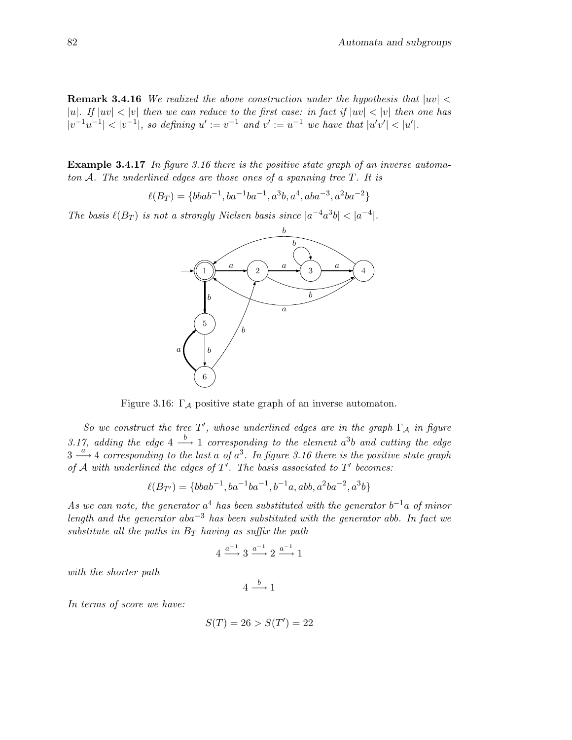**Remark 3.4.16** We realized the above construction under the hypothesis that  $|uv|$ |u|. If  $|uv| < |v|$  then we can reduce to the first case: in fact if  $|uv| < |v|$  then one has  $|v^{-1}u^{-1}| < |v^{-1}|$ , so defining  $u' := v^{-1}$  and  $v' := u^{-1}$  we have that  $|u'v'| < |u'|$ .

Example 3.4.17 In figure 3.16 there is the positive state graph of an inverse automaton A. The underlined edges are those ones of a spanning tree T. It is

$$
\ell(B_T) = \{bbab^{-1}, ba^{-1}ba^{-1}, a^3b, a^4, aba^{-3}, a^2ba^{-2}\}
$$

The basis  $\ell(B_T)$  is not a strongly Nielsen basis since  $|a^{-4}a^3b| < |a^{-4}|$ .



Figure 3.16:  $\Gamma_A$  positive state graph of an inverse automaton.

So we construct the tree T', whose underlined edges are in the graph  $\Gamma_A$  in figure 3.17, adding the edge  $4 \stackrel{b}{\longrightarrow} 1$  corresponding to the element  $a^3b$  and cutting the edge  $3 \stackrel{a}{\longrightarrow} 4$  corresponding to the last a of  $a^3$ . In figure 3.16 there is the positive state graph of  $A$  with underlined the edges of  $T'$ . The basis associated to  $T'$  becomes:

$$
\ell(B_{T'}) = \{bbab^{-1}, ba^{-1}ba^{-1}, b^{-1}a, abb, a^2ba^{-2}, a^3b\}
$$

As we can note, the generator  $a^4$  has been substituted with the generator  $b^{-1}a$  of minor length and the generator aba<sup>-3</sup> has been substituted with the generator abb. In fact we substitute all the paths in  $B_T$  having as suffix the path

$$
4\xrightarrow{a^{-1}}3\xrightarrow{a^{-1}}2\xrightarrow{a^{-1}}1
$$

with the shorter path

$$
4 \xrightarrow{b} 1
$$

In terms of score we have:

$$
S(T) = 26 > S(T') = 22
$$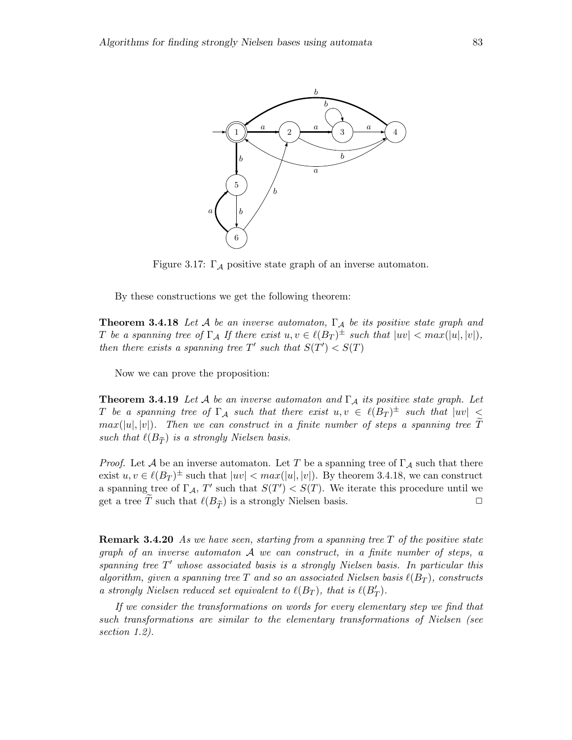

Figure 3.17:  $\Gamma_A$  positive state graph of an inverse automaton.

By these constructions we get the following theorem:

**Theorem 3.4.18** Let A be an inverse automaton,  $\Gamma_A$  be its positive state graph and T be a spanning tree of  $\Gamma_A$  If there exist  $u, v \in \ell(B_T)^{\pm}$  such that  $|uv| < max(|u|, |v|)$ , then there exists a spanning tree T' such that  $S(T') < S(T)$ 

Now we can prove the proposition:

**Theorem 3.4.19** Let A be an inverse automaton and  $\Gamma_A$  its positive state graph. Let T be a spanning tree of  $\Gamma_\mathcal{A}$  such that there exist  $u,v \in \ell(B_T)^\pm$  such that  $|uv| \leq$  $max(|u|, |v|)$ . Then we can construct in a finite number of steps a spanning tree  $\tilde{T}$ such that  $\ell(B_{\widetilde{\mathcal{T}}})$  is a strongly Nielsen basis.

*Proof.* Let A be an inverse automaton. Let T be a spanning tree of  $\Gamma_A$  such that there exist  $u, v \in \ell(B_T)^{\pm}$  such that  $|uv| < max(|u|, |v|)$ . By theorem 3.4.18, we can construct a spanning tree of  $\Gamma_A$ , T' such that  $S(T') < S(T)$ . We iterate this procedure until we get a tree T such that  $\ell(B_{\widetilde{T}})$  is a strongly Nielsen basis.

**Remark 3.4.20** As we have seen, starting from a spanning tree  $T$  of the positive state graph of an inverse automaton A we can construct, in a finite number of steps, a spanning tree  $T'$  whose associated basis is a strongly Nielsen basis. In particular this algorithm, given a spanning tree T and so an associated Nielsen basis  $\ell(B_T)$ , constructs a strongly Nielsen reduced set equivalent to  $\ell(B_T)$ , that is  $\ell(B'_T)$ .

If we consider the transformations on words for every elementary step we find that such transformations are similar to the elementary transformations of Nielsen (see section 1.2).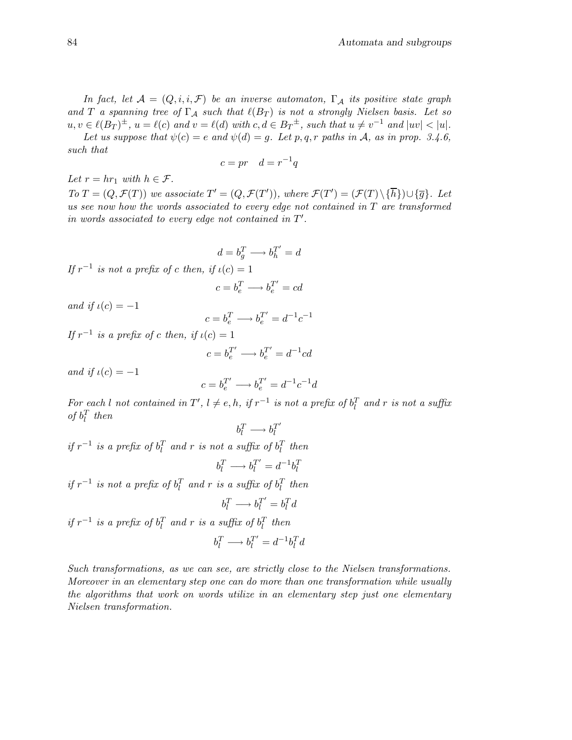In fact, let  $\mathcal{A} = (Q, i, i, \mathcal{F})$  be an inverse automaton,  $\Gamma_{\mathcal{A}}$  its positive state graph and T a spanning tree of  $\Gamma_A$  such that  $\ell(B_T)$  is not a strongly Nielsen basis. Let so  $u, v \in \ell(B_T)^{\pm}, u = \ell(c)$  and  $v = \ell(d)$  with  $c, d \in B_T^{\pm}$ , such that  $u \neq v^{-1}$  and  $|uv| < |u|$ .

Let us suppose that  $\psi(c) = e$  and  $\psi(d) = q$ . Let p, q, r paths in A, as in prop. 3.4.6, such that

$$
c = pr \quad d = r^{-1}q
$$

Let  $r = hr_1$  with  $h \in \mathcal{F}$ .

To  $T = (Q, \mathcal{F}(T))$  we associate  $T' = (Q, \mathcal{F}(T'))$ , where  $\mathcal{F}(T') = (\mathcal{F}(T) \setminus {\overline{h}}) \cup {\overline{g}}$ . Let us see now how the words associated to every edge not contained in  $T$  are transformed in words associated to every edge not contained in  $T'$ .

$$
d=b_g^T\longrightarrow b_h^{T'}=d
$$

If  $r^{-1}$  is not a prefix of c then, if  $\iota(c) = 1$ 

$$
c=b_e^T\longrightarrow b_e^{T'}=cd
$$

and if  $\iota(c) = -1$ 

$$
c=b_e^T\longrightarrow b_e^{T'}=d^{-1}c^{-1}
$$

If  $r^{-1}$  is a prefix of c then, if  $\iota(c) = 1$ 

$$
c = b_e^{T'} \longrightarrow b_e^{T'} = d^{-1}cd
$$

and if  $\iota(c) = -1$ 

$$
c=b_e^{T'}\longrightarrow b_e^{T'}=d^{-1}c^{-1}d
$$

For each l not contained in T',  $l \neq e, h$ , if  $r^{-1}$  is not a prefix of  $b_l^T$  and r is not a suffix of  $b_l^T$  then

$$
b_l^T \longrightarrow b_l^{T'}
$$

 $if r^{-1}$  is a prefix of  $b_l^T$  and r is not a suffix of  $b_l^T$  then

$$
b_l^T \longrightarrow b_l^{T'} = d^{-1} b_l^T
$$

 $if r^{-1}$  is not a prefix of  $b_l^T$  and r is a suffix of  $b_l^T$  then

$$
b_l^T \longrightarrow b_l^{T'} = b_l^T d
$$

 $if r^{-1}$  is a prefix of  $b_l^T$  and r is a suffix of  $b_l^T$  then

$$
b_l^T \longrightarrow b_l^{T'} = d^{-1} b_l^T d
$$

Such transformations, as we can see, are strictly close to the Nielsen transformations. Moreover in an elementary step one can do more than one transformation while usually the algorithms that work on words utilize in an elementary step just one elementary Nielsen transformation.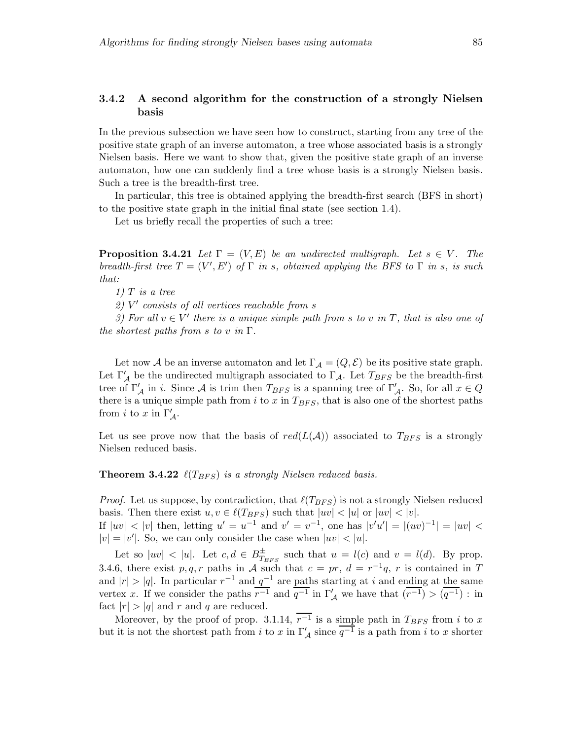### 3.4.2 A second algorithm for the construction of a strongly Nielsen basis

In the previous subsection we have seen how to construct, starting from any tree of the positive state graph of an inverse automaton, a tree whose associated basis is a strongly Nielsen basis. Here we want to show that, given the positive state graph of an inverse automaton, how one can suddenly find a tree whose basis is a strongly Nielsen basis. Such a tree is the breadth-first tree.

In particular, this tree is obtained applying the breadth-first search (BFS in short) to the positive state graph in the initial final state (see section 1.4).

Let us briefly recall the properties of such a tree:

**Proposition 3.4.21** Let  $\Gamma = (V, E)$  be an undirected multigraph. Let  $s \in V$ . The breadth-first tree  $T = (V', E')$  of  $\Gamma$  in s, obtained applying the BFS to  $\Gamma$  in s, is such that:

 $1)$  T is a tree

2) V ′ consists of all vertices reachable from s

3) For all  $v \in V'$  there is a unique simple path from s to v in T, that is also one of the shortest paths from s to v in  $\Gamma$ .

Let now A be an inverse automaton and let  $\Gamma_A = (Q, \mathcal{E})$  be its positive state graph. Let  $\Gamma'_{\mathcal{A}}$  be the undirected multigraph associated to  $\Gamma_{\mathcal{A}}$ . Let  $T_{BFS}$  be the breadth-first tree of  $\Gamma'_{\mathcal{A}}$  in i. Since  $\mathcal{A}$  is trim then  $T_{BFS}$  is a spanning tree of  $\Gamma'_{\mathcal{A}}$ . So, for all  $x \in Q$ there is a unique simple path from i to x in  $T_{BFS}$ , that is also one of the shortest paths from *i* to *x* in  $\Gamma'_\mathcal{A}$ .

Let us see prove now that the basis of  $red(L(\mathcal{A}))$  associated to  $T_{BFS}$  is a strongly Nielsen reduced basis.

**Theorem 3.4.22**  $\ell(T_{BFS})$  is a strongly Nielsen reduced basis.

*Proof.* Let us suppose, by contradiction, that  $\ell(T_{BFS})$  is not a strongly Nielsen reduced basis. Then there exist  $u, v \in \ell(T_{BFS})$  such that  $|uv| < |u|$  or  $|uv| < |v|$ .

If  $|uv| < |v|$  then, letting  $u' = u^{-1}$  and  $v' = v^{-1}$ , one has  $|v'u'| = |(uv)^{-1}| = |uv| <$  $|v| = |v'|$ . So, we can only consider the case when  $|uv| < |u|$ .

Let so  $|uv| < |u|$ . Let  $c, d \in B_T^{\pm}$  $T_{BFS}^{\pm}$  such that  $u = l(c)$  and  $v = l(d)$ . By prop. 3.4.6, there exist p,q,r paths in A such that  $c = pr$ ,  $d = r^{-1}q$ , r is contained in T and  $|r| > |q|$ . In particular  $r^{-1}$  and  $q^{-1}$  are paths starting at i and ending at the same vertex x. If we consider the paths  $\overline{r^{-1}}$  and  $\overline{q^{-1}}$  in  $\Gamma'_{\mathcal{A}}$  we have that  $(\overline{r^{-1}}) > (\overline{q^{-1}})$ : in fact  $|r| > |q|$  and r and q are reduced.

Moreover, by the proof of prop. 3.1.14,  $\overline{r^{-1}}$  is a simple path in  $T_{BFS}$  from i to x but it is not the shortest path from i to x in  $\Gamma'_\mathcal{A}$  since  $\overline{q^{-1}}$  is a path from i to x shorter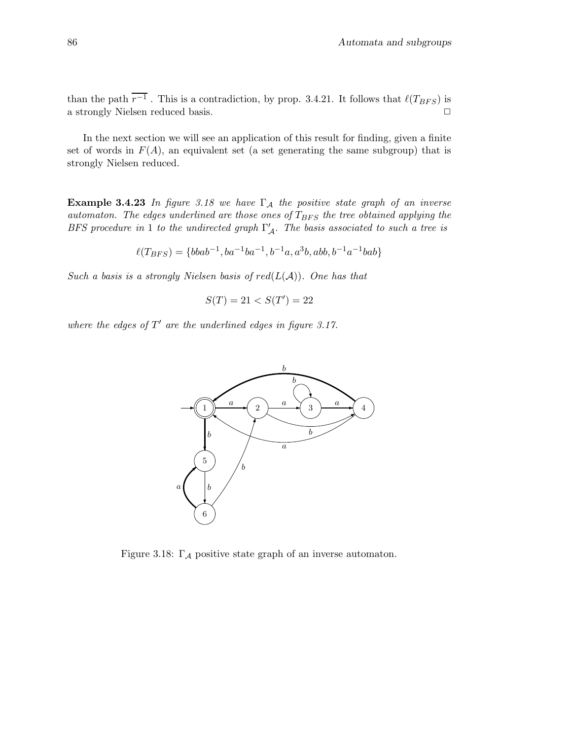than the path  $r^{-1}$ . This is a contradiction, by prop. 3.4.21. It follows that  $\ell(T_{BFS})$  is a strongly Nielsen reduced basis.  $\Box$ 

In the next section we will see an application of this result for finding, given a finite set of words in  $F(A)$ , an equivalent set (a set generating the same subgroup) that is strongly Nielsen reduced.

**Example 3.4.23** In figure 3.18 we have  $\Gamma_A$  the positive state graph of an inverse automaton. The edges underlined are those ones of  $T_{BFS}$  the tree obtained applying the BFS procedure in 1 to the undirected graph  $\Gamma'_{\mathcal{A}}$ . The basis associated to such a tree is

$$
\ell(T_{BFS}) = \{bbab^{-1}, ba^{-1}ba^{-1}, b^{-1}a, a^{3}b, abb, b^{-1}a^{-1}bab\}
$$

Such a basis is a strongly Nielsen basis of  $red(L(\mathcal{A}))$ . One has that

$$
S(T) = 21 < S(T') = 22
$$

where the edges of  $T'$  are the underlined edges in figure 3.17.



Figure 3.18:  $\Gamma_A$  positive state graph of an inverse automaton.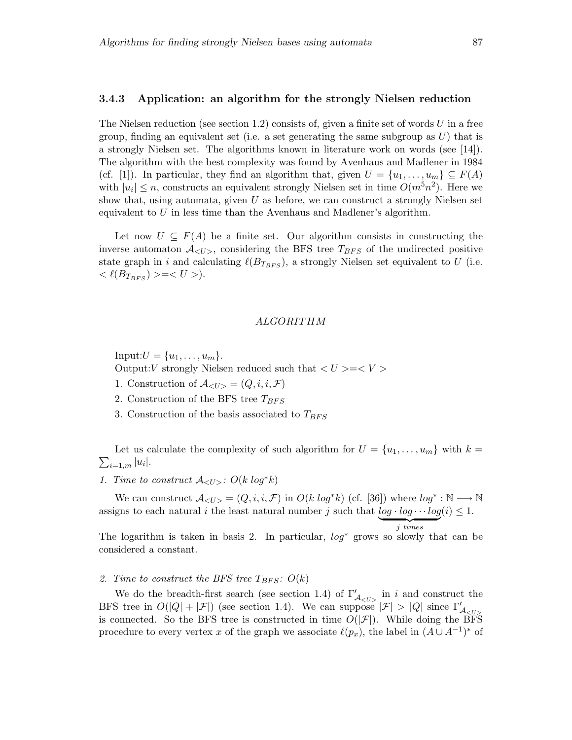#### 3.4.3 Application: an algorithm for the strongly Nielsen reduction

The Nielsen reduction (see section 1.2) consists of, given a finite set of words U in a free group, finding an equivalent set (i.e. a set generating the same subgroup as  $U$ ) that is a strongly Nielsen set. The algorithms known in literature work on words (see [14]). The algorithm with the best complexity was found by Avenhaus and Madlener in 1984 (cf. [1]). In particular, they find an algorithm that, given  $U = \{u_1, \ldots, u_m\} \subseteq F(A)$ with  $|u_i| \leq n$ , constructs an equivalent strongly Nielsen set in time  $O(m^5n^2)$ . Here we show that, using automata, given  $U$  as before, we can construct a strongly Nielsen set equivalent to  $U$  in less time than the Avenhaus and Madlener's algorithm.

Let now  $U \subseteq F(A)$  be a finite set. Our algorithm consists in constructing the inverse automaton  $A_{\langle U \rangle}$ , considering the BFS tree  $T_{BFS}$  of the undirected positive state graph in i and calculating  $\ell(B_{T_{BFS}})$ , a strongly Nielsen set equivalent to U (i.e.  $\langle \ell(B_{T_{BFS}}) \rangle = \langle U \rangle.$ 

#### ALGORITHM

Input: $U = \{u_1, \ldots, u_m\}.$ 

Output: V strongly Nielsen reduced such that  $\langle U \rangle = \langle V \rangle$ 

- 1. Construction of  $\mathcal{A}_{\langle U \rangle} = (Q, i, i, \mathcal{F})$
- 2. Construction of the BFS tree  $T_{BFS}$
- 3. Construction of the basis associated to  $T_{BFS}$

 $\sum_{i=1,m} |u_i|$ . Let us calculate the complexity of such algorithm for  $U = \{u_1, \ldots, u_m\}$  with  $k =$ 

1. Time to construct  $\mathcal{A}_{\langle U \rangle}$ :  $O(k \log^* k)$ 

We can construct  $\mathcal{A}_{\langle U \rangle} = (Q, i, i, \mathcal{F})$  in  $O(k \log^* k)$  (cf. [36]) where  $\log^* : \mathbb{N} \longrightarrow \mathbb{N}$ assigns to each natural i the least natural number j such that  $log \cdot log \cdots log(i) \leq 1$ .

 $\frac{1}{i \cdot \text{times}}$ 

The logarithm is taken in basis 2. In particular,  $log^*$  grows so slowly that can be considered a constant.

## 2. Time to construct the BFS tree  $T_{BFS}$ :  $O(k)$

We do the breadth-first search (see section 1.4) of  $\Gamma'_{\mathcal{A}_{\leq U>} }$  in i and construct the BFS tree in  $O(|Q| + |\mathcal{F}|)$  (see section 1.4). We can suppose  $|\mathcal{F}| > |Q|$  since  $\Gamma'_{\mathcal{A}_{\leq U>}$ is connected. So the BFS tree is constructed in time  $O(|\mathcal{F}|)$ . While doing the BFS procedure to every vertex x of the graph we associate  $\ell(p_x)$ , the label in  $(A \cup A^{-1})^*$  of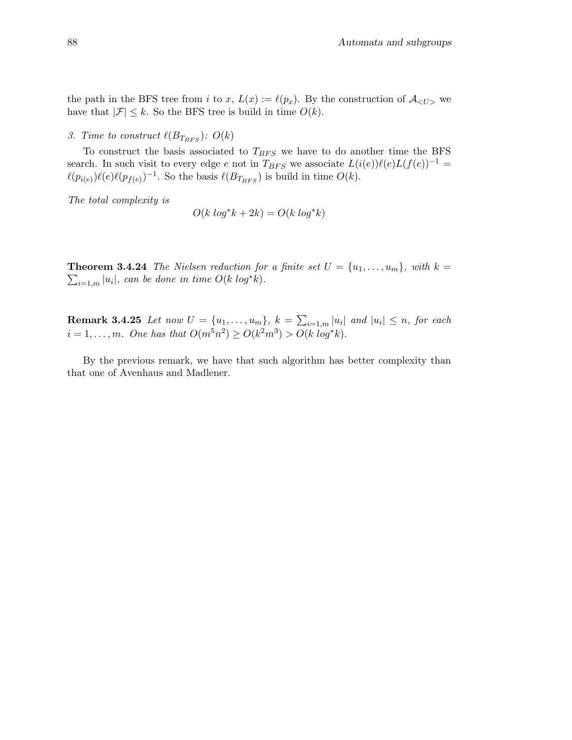the path in the BFS tree from i to x,  $L(x) := \ell(p_x)$ . By the construction of  $\mathcal{A}_{\leq U>}$  we have that  $|\mathcal{F}| \leq k$ . So the BFS tree is build in time  $O(k)$ .

# 3. Time to construct  $\ell(B_{T_{BFS}})$ :  $O(k)$

To construct the basis associated to  $T_{BFS}$  we have to do another time the BFS search. In such visit to every edge e not in  $T_{BFS}$  we associate  $L(i(e))\ell(e)L(f(e))^{-1}$  =  $\ell(p_{i(e)})\ell(e)\ell(p_{f(e)})^{-1}$ . So the basis  $\ell(B_{T_{BFS}})$  is build in time  $O(k)$ .

The total complexity is

$$
O(k \log^* k + 2k) = O(k \log^* k)
$$

**Theorem 3.4.24** The Nielsen reduction for a finite set  $U = \{u_1, \ldots, u_m\}$ , with  $k =$  $\sum_{i=1,m} |u_i|$ , can be done in time  $O(k \log^* k)$ .

**Remark 3.4.25** Let now  $U = \{u_1, \ldots, u_m\}$ ,  $k = \sum_{i=1,m} |u_i|$  and  $|u_i| \leq n$ , for each  $i = 1, ..., m$ . One has that  $O(m^5n^2) \ge O(k^2m^3) > O(k \log^* k)$ .

By the previous remark, we have that such algorithm has better complexity than that one of Avenhaus and Madlener.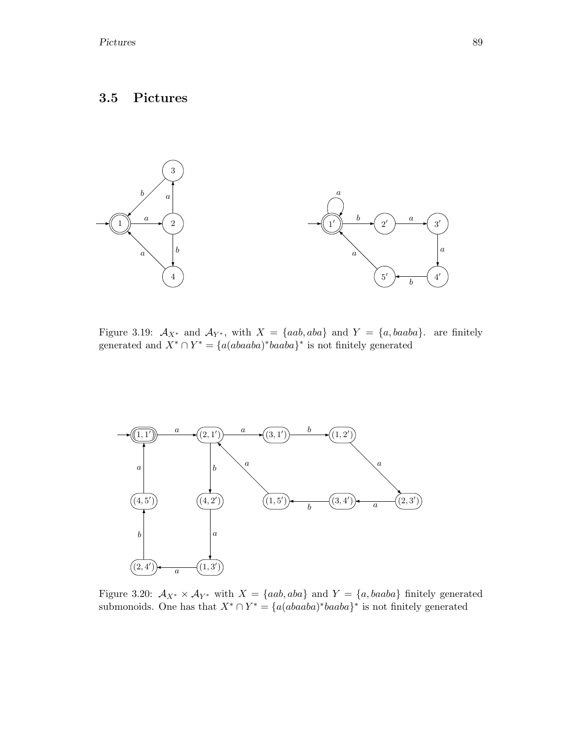# 3.5 Pictures



Figure 3.19:  $\mathcal{A}_{X^*}$  and  $\mathcal{A}_{Y^*}$ , with  $X = \{aab, aba\}$  and  $Y = \{a, baaba\}$ . are finitely generated and  $X^* \cap Y^* = \{a(abaaba)^*baaba\}^*$  is not finitely generated



Figure 3.20:  $A_{X^*} \times A_{Y^*}$  with  $X = \{aab, aba\}$  and  $Y = \{a, baaba\}$  finitely generated submonoids. One has that  $X^* \cap Y^* = \{a(abaaba)^*baaba\}^*$  is not finitely generated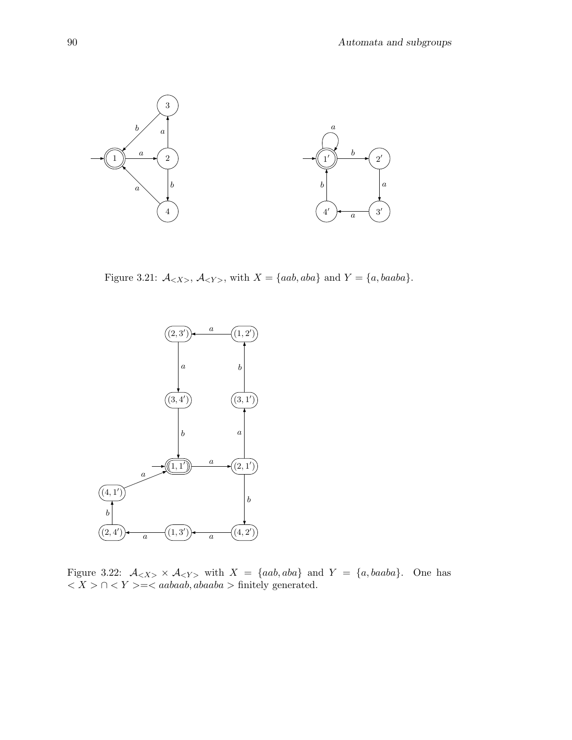

Figure 3.21:  $A_{}$ ,  $A_{}$ , with  $X = \{aab, aba\}$  and  $Y = \{a, baaba\}$ .



Figure 3.22:  $A_{\langle X \rangle} \times A_{\langle Y \rangle}$  with  $X = \{aab, aba\}$  and  $Y = \{a, baaba\}$ . One has  $\langle X \rangle \cap \langle Y \rangle = \langle aabaab, abaaba \rangle$  finitely generated.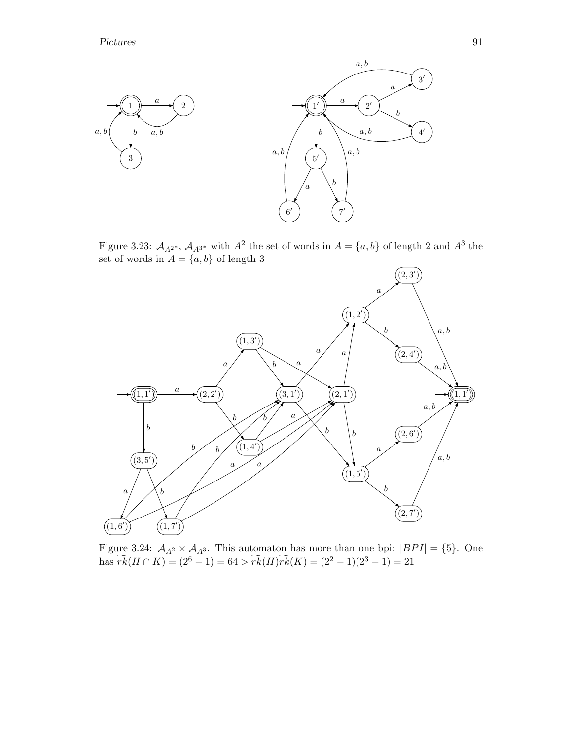

Figure 3.23:  $A_{A^{2^*}}$ ,  $A_{A^{3^*}}$  with  $A^2$  the set of words in  $A = \{a, b\}$  of length 2 and  $A^3$  the set of words in  $A = \{a, b\}$  of length 3



Figure 3.24:  $A_{A^2} \times A_{A^3}$ . This automaton has more than one bpi:  $|BPI| = \{5\}$ . One has  $\widetilde{rk}(H \cap K) = (2^6 - 1) = 64 > \widetilde{rk}(H)\widetilde{rk}(K) = (2^2 - 1)(2^3 - 1) = 21$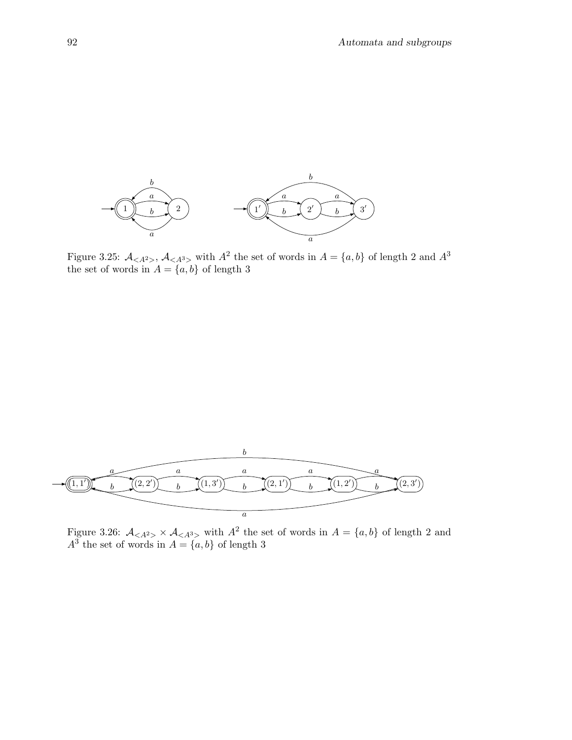

Figure 3.25:  $\mathcal{A}_{\leq A^2>}$ ,  $\mathcal{A}_{\leq A^3>}$  with  $A^2$  the set of words in  $A = \{a, b\}$  of length 2 and  $A^3$ the set of words in  $A = \{a, b\}$  of length 3



Figure 3.26:  $A_{\langle A^2 \rangle} \times A_{\langle A^3 \rangle}$  with  $A^2$  the set of words in  $A = \{a, b\}$  of length 2 and  $A^3$  the set of words in  $A = \{a, b\}$  of length 3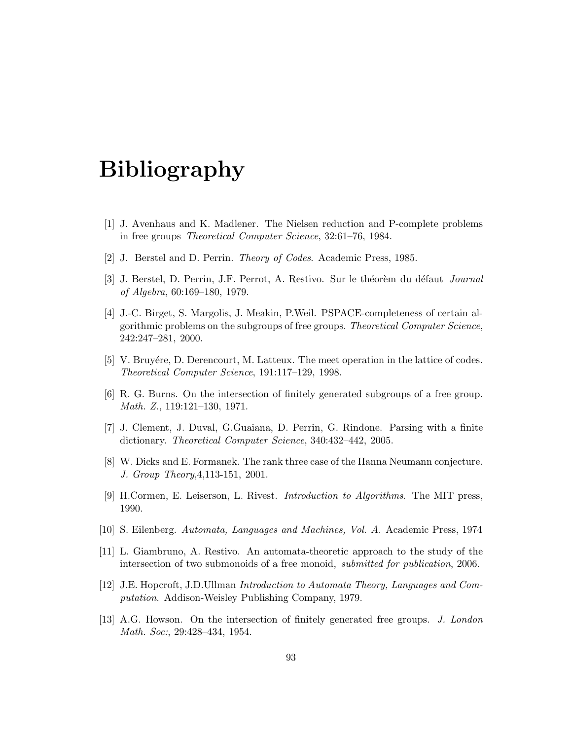# Bibliography

- [1] J. Avenhaus and K. Madlener. The Nielsen reduction and P-complete problems in free groups Theoretical Computer Science, 32:61–76, 1984.
- [2] J. Berstel and D. Perrin. Theory of Codes. Academic Press, 1985.
- [3] J. Berstel, D. Perrin, J.F. Perrot, A. Restivo. Sur le théorèm du défaut *Journal* of Algebra, 60:169–180, 1979.
- [4] J.-C. Birget, S. Margolis, J. Meakin, P.Weil. PSPACE-completeness of certain algorithmic problems on the subgroups of free groups. Theoretical Computer Science, 242:247–281, 2000.
- [5] V. Bruyére, D. Derencourt, M. Latteux. The meet operation in the lattice of codes. Theoretical Computer Science, 191:117–129, 1998.
- [6] R. G. Burns. On the intersection of finitely generated subgroups of a free group. Math. Z., 119:121–130, 1971.
- [7] J. Clement, J. Duval, G.Guaiana, D. Perrin, G. Rindone. Parsing with a finite dictionary. Theoretical Computer Science, 340:432–442, 2005.
- [8] W. Dicks and E. Formanek. The rank three case of the Hanna Neumann conjecture. J. Group Theory,4,113-151, 2001.
- [9] H.Cormen, E. Leiserson, L. Rivest. Introduction to Algorithms. The MIT press, 1990.
- [10] S. Eilenberg. Automata, Languages and Machines, Vol. A. Academic Press, 1974
- [11] L. Giambruno, A. Restivo. An automata-theoretic approach to the study of the intersection of two submonoids of a free monoid, submitted for publication, 2006.
- [12] J.E. Hopcroft, J.D.Ullman Introduction to Automata Theory, Languages and Computation. Addison-Weisley Publishing Company, 1979.
- [13] A.G. Howson. On the intersection of finitely generated free groups. J. London Math. Soc:, 29:428–434, 1954.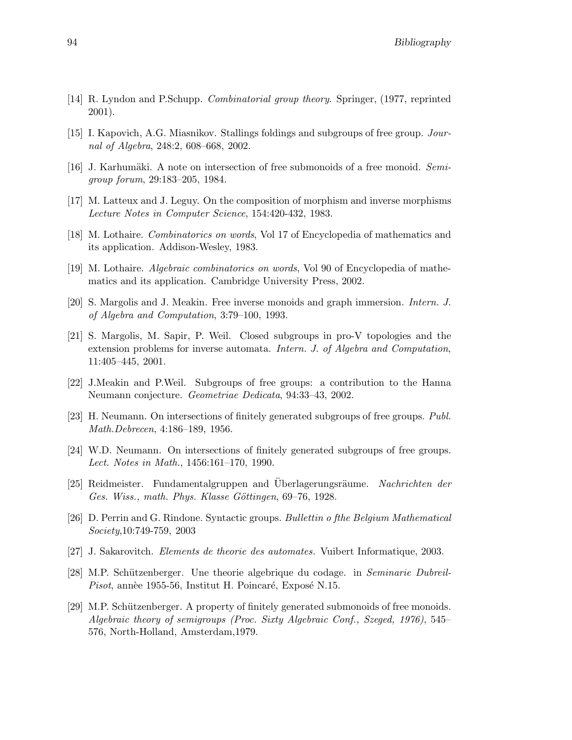- [14] R. Lyndon and P.Schupp. Combinatorial group theory. Springer, (1977, reprinted 2001).
- [15] I. Kapovich, A.G. Miasnikov. Stallings foldings and subgroups of free group. Journal of Algebra, 248:2, 608–668, 2002.
- [16] J. Karhumäki. A note on intersection of free submonoids of a free monoid. Semigroup forum, 29:183–205, 1984.
- [17] M. Latteux and J. Leguy. On the composition of morphism and inverse morphisms Lecture Notes in Computer Science, 154:420-432, 1983.
- [18] M. Lothaire. Combinatorics on words, Vol 17 of Encyclopedia of mathematics and its application. Addison-Wesley, 1983.
- [19] M. Lothaire. Algebraic combinatorics on words, Vol 90 of Encyclopedia of mathematics and its application. Cambridge University Press, 2002.
- [20] S. Margolis and J. Meakin. Free inverse monoids and graph immersion. Intern. J. of Algebra and Computation, 3:79–100, 1993.
- [21] S. Margolis, M. Sapir, P. Weil. Closed subgroups in pro-V topologies and the extension problems for inverse automata. Intern. J. of Algebra and Computation, 11:405–445, 2001.
- [22] J.Meakin and P.Weil. Subgroups of free groups: a contribution to the Hanna Neumann conjecture. Geometriae Dedicata, 94:33–43, 2002.
- [23] H. Neumann. On intersections of finitely generated subgroups of free groups. Publ. Math.Debrecen, 4:186–189, 1956.
- [24] W.D. Neumann. On intersections of finitely generated subgroups of free groups. Lect. Notes in Math., 1456:161–170, 1990.
- [25] Reidmeister. Fundamentalgruppen and Uberlagerungsräume. Nachrichten der Ges. Wiss., math. Phys. Klasse Göttingen, 69–76, 1928.
- [26] D. Perrin and G. Rindone. Syntactic groups. Bullettin o fthe Belgium Mathematical Society,10:749-759, 2003
- [27] J. Sakarovitch. Elements de theorie des automates. Vuibert Informatique, 2003.
- [28] M.P. Schützenberger. Une theorie algebrique du codage. in Seminarie Dubreil-Pisot, annèe 1955-56, Institut H. Poincaré, Exposé N.15.
- [29] M.P. Schützenberger. A property of finitely generated submonoids of free monoids. Algebraic theory of semigroups (Proc. Sixty Algebraic Conf., Szeged, 1976), 545– 576, North-Holland, Amsterdam,1979.